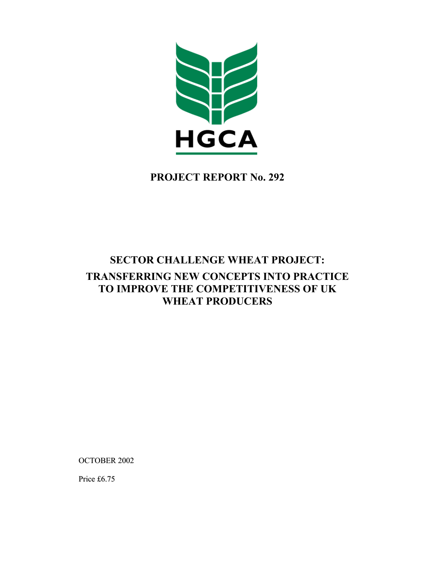

## **PROJECT REPORT No. 292**

# **SECTOR CHALLENGE WHEAT PROJECT: TRANSFERRING NEW CONCEPTS INTO PRACTICE TO IMPROVE THE COMPETITIVENESS OF UK WHEAT PRODUCERS**

OCTOBER 2002

Price £6.75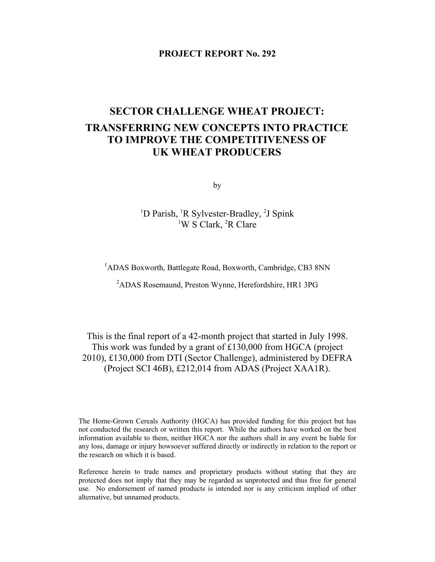#### **PROJECT REPORT No. 292**

## **SECTOR CHALLENGE WHEAT PROJECT: TRANSFERRING NEW CONCEPTS INTO PRACTICE TO IMPROVE THE COMPETITIVENESS OF UK WHEAT PRODUCERS**

by

<sup>1</sup>D Parish, <sup>1</sup>R Sylvester-Bradley, <sup>2</sup>J Spink <sup>1</sup>W S Clark, <sup>2</sup>R Clare

<sup>1</sup>ADAS Boxworth, Battlegate Road, Boxworth, Cambridge, CB3 8NN

<sup>2</sup>ADAS Rosemaund, Preston Wynne, Herefordshire, HR1 3PG

This is the final report of a 42-month project that started in July 1998. This work was funded by a grant of £130,000 from HGCA (project 2010), £130,000 from DTI (Sector Challenge), administered by DEFRA (Project SCI 46B), £212,014 from ADAS (Project XAA1R).

The Home-Grown Cereals Authority (HGCA) has provided funding for this project but has not conducted the research or written this report. While the authors have worked on the best information available to them, neither HGCA nor the authors shall in any event be liable for any loss, damage or injury howsoever suffered directly or indirectly in relation to the report or the research on which it is based.

Reference herein to trade names and proprietary products without stating that they are protected does not imply that they may be regarded as unprotected and thus free for general use. No endorsement of named products is intended nor is any criticism implied of other alternative, but unnamed products.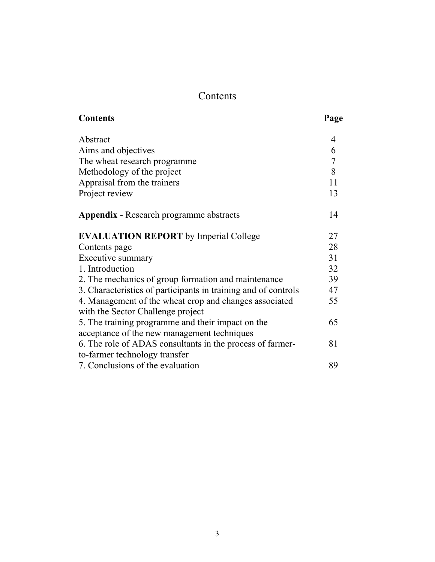# Contents

| <b>Contents</b>                                                | Page             |
|----------------------------------------------------------------|------------------|
| Abstract                                                       | 4                |
| Aims and objectives                                            | 6                |
| The wheat research programme                                   | $\boldsymbol{7}$ |
| Methodology of the project                                     | 8                |
| Appraisal from the trainers                                    | 11               |
| Project review                                                 | 13               |
| <b>Appendix</b> - Research programme abstracts                 | 14               |
| <b>EVALUATION REPORT</b> by Imperial College                   | 27               |
| Contents page                                                  | 28               |
| Executive summary                                              | 31               |
| 1. Introduction                                                | 32               |
| 2. The mechanics of group formation and maintenance            | 39               |
| 3. Characteristics of participants in training and of controls | 47               |
| 4. Management of the wheat crop and changes associated         | 55               |
| with the Sector Challenge project                              |                  |
| 5. The training programme and their impact on the              | 65               |
| acceptance of the new management techniques                    |                  |
| 6. The role of ADAS consultants in the process of farmer-      | 81               |
| to-farmer technology transfer                                  |                  |
| 7. Conclusions of the evaluation                               | 89               |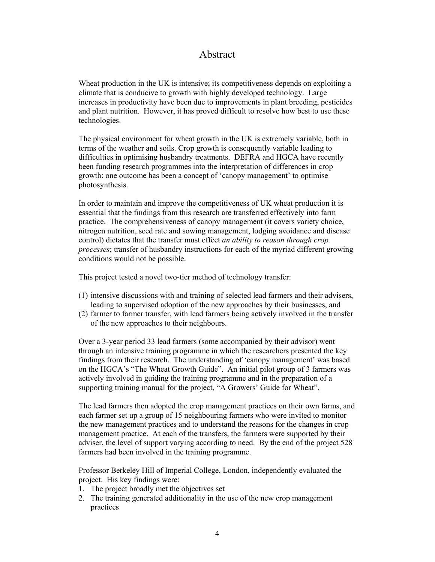## Abstract

Wheat production in the UK is intensive; its competitiveness depends on exploiting a climate that is conducive to growth with highly developed technology. Large increases in productivity have been due to improvements in plant breeding, pesticides and plant nutrition. However, it has proved difficult to resolve how best to use these technologies.

The physical environment for wheat growth in the UK is extremely variable, both in terms of the weather and soils. Crop growth is consequently variable leading to difficulties in optimising husbandry treatments. DEFRA and HGCA have recently been funding research programmes into the interpretation of differences in crop growth: one outcome has been a concept of 'canopy management' to optimise photosynthesis.

In order to maintain and improve the competitiveness of UK wheat production it is essential that the findings from this research are transferred effectively into farm practice. The comprehensiveness of canopy management (it covers variety choice, nitrogen nutrition, seed rate and sowing management, lodging avoidance and disease control) dictates that the transfer must effect *an ability to reason through crop processes*; transfer of husbandry instructions for each of the myriad different growing conditions would not be possible.

This project tested a novel two-tier method of technology transfer:

- (1) intensive discussions with and training of selected lead farmers and their advisers, leading to supervised adoption of the new approaches by their businesses, and
- (2) farmer to farmer transfer, with lead farmers being actively involved in the transfer of the new approaches to their neighbours.

Over a 3-year period 33 lead farmers (some accompanied by their advisor) went through an intensive training programme in which the researchers presented the key findings from their research. The understanding of 'canopy management' was based on the HGCA's "The Wheat Growth Guide". An initial pilot group of 3 farmers was actively involved in guiding the training programme and in the preparation of a supporting training manual for the project, "A Growers' Guide for Wheat".

The lead farmers then adopted the crop management practices on their own farms, and each farmer set up a group of 15 neighbouring farmers who were invited to monitor the new management practices and to understand the reasons for the changes in crop management practice. At each of the transfers, the farmers were supported by their adviser, the level of support varying according to need. By the end of the project 528 farmers had been involved in the training programme.

Professor Berkeley Hill of Imperial College, London, independently evaluated the project. His key findings were:

- 1. The project broadly met the objectives set
- 2. The training generated additionality in the use of the new crop management practices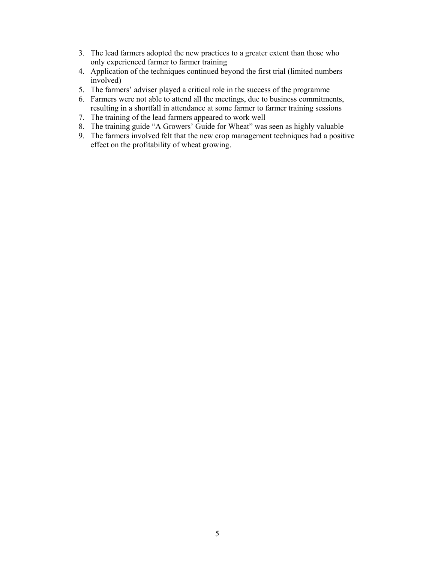- 3. The lead farmers adopted the new practices to a greater extent than those who only experienced farmer to farmer training
- 4. Application of the techniques continued beyond the first trial (limited numbers involved)
- 5. The farmers' adviser played a critical role in the success of the programme
- 6. Farmers were not able to attend all the meetings, due to business commitments, resulting in a shortfall in attendance at some farmer to farmer training sessions
- 7. The training of the lead farmers appeared to work well
- 8. The training guide "A Growers' Guide for Wheat" was seen as highly valuable
- 9. The farmers involved felt that the new crop management techniques had a positive effect on the profitability of wheat growing.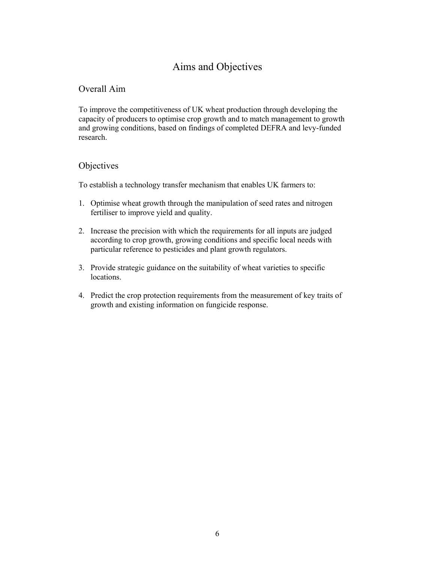## Aims and Objectives

#### Overall Aim

To improve the competitiveness of UK wheat production through developing the capacity of producers to optimise crop growth and to match management to growth and growing conditions, based on findings of completed DEFRA and levy-funded research.

#### **Objectives**

To establish a technology transfer mechanism that enables UK farmers to:

- 1. Optimise wheat growth through the manipulation of seed rates and nitrogen fertiliser to improve yield and quality.
- 2. Increase the precision with which the requirements for all inputs are judged according to crop growth, growing conditions and specific local needs with particular reference to pesticides and plant growth regulators.
- 3. Provide strategic guidance on the suitability of wheat varieties to specific locations.
- 4. Predict the crop protection requirements from the measurement of key traits of growth and existing information on fungicide response.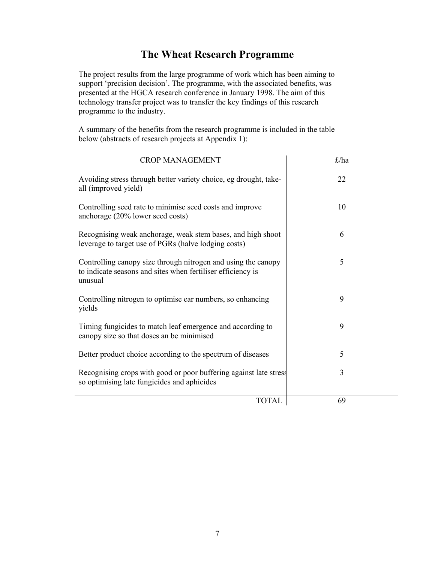## **The Wheat Research Programme**

The project results from the large programme of work which has been aiming to support 'precision decision'. The programme, with the associated benefits, was presented at the HGCA research conference in January 1998. The aim of this technology transfer project was to transfer the key findings of this research programme to the industry.

A summary of the benefits from the research programme is included in the table below (abstracts of research projects at Appendix 1):

| <b>CROP MANAGEMENT</b>                                                                                                                  | $\pounds$ /ha |
|-----------------------------------------------------------------------------------------------------------------------------------------|---------------|
| Avoiding stress through better variety choice, eg drought, take-<br>all (improved yield)                                                | 22            |
| Controlling seed rate to minimise seed costs and improve<br>anchorage (20% lower seed costs)                                            | 10            |
| Recognising weak anchorage, weak stem bases, and high shoot<br>leverage to target use of PGRs (halve lodging costs)                     | 6             |
| Controlling canopy size through nitrogen and using the canopy<br>to indicate seasons and sites when fertiliser efficiency is<br>unusual | 5             |
| Controlling nitrogen to optimise ear numbers, so enhancing<br>yields                                                                    | 9             |
| Timing fungicides to match leaf emergence and according to<br>canopy size so that doses an be minimised                                 | 9             |
| Better product choice according to the spectrum of diseases                                                                             | 5             |
| Recognising crops with good or poor buffering against late stress<br>so optimising late fungicides and aphicides                        | 3             |
| <b>TOTAL</b>                                                                                                                            | 69            |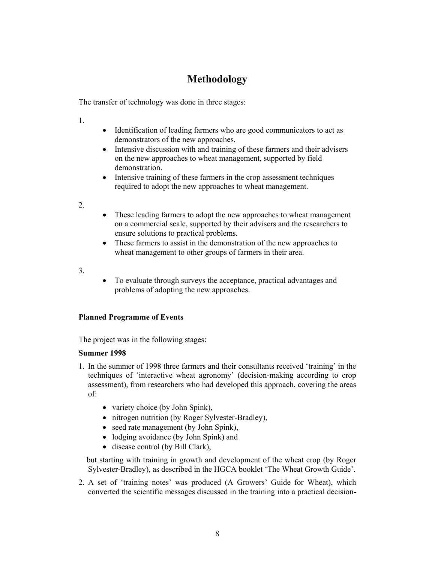## **Methodology**

The transfer of technology was done in three stages:

1.

- Identification of leading farmers who are good communicators to act as demonstrators of the new approaches.
- Intensive discussion with and training of these farmers and their advisers on the new approaches to wheat management, supported by field demonstration.
- Intensive training of these farmers in the crop assessment techniques required to adopt the new approaches to wheat management.

2.

- These leading farmers to adopt the new approaches to wheat management on a commercial scale, supported by their advisers and the researchers to ensure solutions to practical problems.
- These farmers to assist in the demonstration of the new approaches to wheat management to other groups of farmers in their area.
- 3.
- To evaluate through surveys the acceptance, practical advantages and problems of adopting the new approaches.

#### **Planned Programme of Events**

The project was in the following stages:

#### **Summer 1998**

- 1. In the summer of 1998 three farmers and their consultants received 'training' in the techniques of 'interactive wheat agronomy' (decision-making according to crop assessment), from researchers who had developed this approach, covering the areas of:
	- variety choice (by John Spink),
	- nitrogen nutrition (by Roger Sylvester-Bradley),
	- seed rate management (by John Spink),
	- lodging avoidance (by John Spink) and
	- disease control (by Bill Clark),

 but starting with training in growth and development of the wheat crop (by Roger Sylvester-Bradley), as described in the HGCA booklet 'The Wheat Growth Guide'.

2. A set of 'training notes' was produced (A Growers' Guide for Wheat), which converted the scientific messages discussed in the training into a practical decision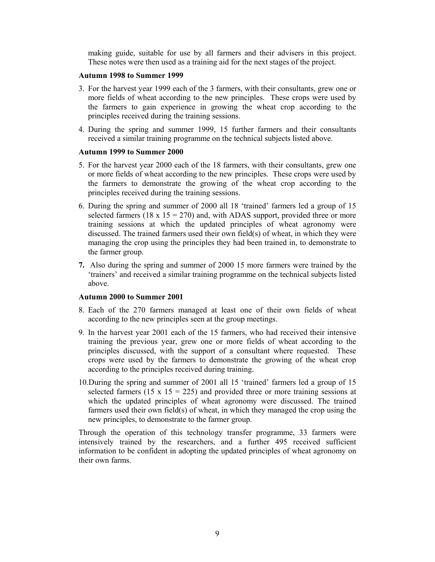making guide, suitable for use by all farmers and their advisers in this project. These notes were then used as a training aid for the next stages of the project.

#### **Autumn 1998 to Summer 1999**

- 3. For the harvest year 1999 each of the 3 farmers, with their consultants, grew one or more fields of wheat according to the new principles. These crops were used by the farmers to gain experience in growing the wheat crop according to the principles received during the training sessions.
- 4. During the spring and summer 1999, 15 further farmers and their consultants received a similar training programme on the technical subjects listed above.

#### **Autumn 1999 to Summer 2000**

- 5. For the harvest year 2000 each of the 18 farmers, with their consultants, grew one or more fields of wheat according to the new principles. These crops were used by the farmers to demonstrate the growing of the wheat crop according to the principles received during the training sessions.
- 6. During the spring and summer of 2000 all 18 'trained' farmers led a group of 15 selected farmers (18 x  $15 = 270$ ) and, with ADAS support, provided three or more training sessions at which the updated principles of wheat agronomy were discussed. The trained farmers used their own field(s) of wheat, in which they were managing the crop using the principles they had been trained in, to demonstrate to the farmer group.
- **7.** Also during the spring and summer of 2000 15 more farmers were trained by the 'trainers' and received a similar training programme on the technical subjects listed above.

#### **Autumn 2000 to Summer 2001**

- 8. Each of the 270 farmers managed at least one of their own fields of wheat according to the new principles seen at the group meetings.
- 9. In the harvest year 2001 each of the 15 farmers, who had received their intensive training the previous year, grew one or more fields of wheat according to the principles discussed, with the support of a consultant where requested. These crops were used by the farmers to demonstrate the growing of the wheat crop according to the principles received during training.
- 10.During the spring and summer of 2001 all 15 'trained' farmers led a group of 15 selected farmers (15 x 15 = 225) and provided three or more training sessions at which the updated principles of wheat agronomy were discussed. The trained farmers used their own field(s) of wheat, in which they managed the crop using the new principles, to demonstrate to the farmer group.

Through the operation of this technology transfer programme, 33 farmers were intensively trained by the researchers, and a further 495 received sufficient information to be confident in adopting the updated principles of wheat agronomy on their own farms.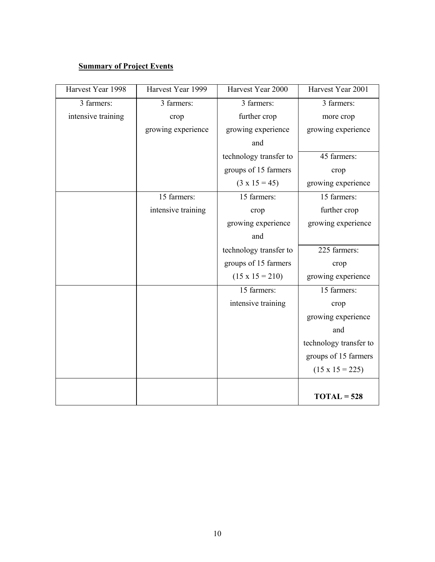### **Summary of Project Events**

| Harvest Year 1998  | Harvest Year 1999  | Harvest Year 2000      | Harvest Year 2001      |
|--------------------|--------------------|------------------------|------------------------|
| 3 farmers:         | 3 farmers:         | 3 farmers:             | 3 farmers:             |
| intensive training | crop               | further crop           | more crop              |
|                    | growing experience | growing experience     | growing experience     |
|                    |                    | and                    |                        |
|                    |                    | technology transfer to | 45 farmers:            |
|                    |                    | groups of 15 farmers   | crop                   |
|                    |                    | $(3 \times 15 = 45)$   | growing experience     |
|                    | 15 farmers:        | 15 farmers:            | 15 farmers:            |
|                    | intensive training | crop                   | further crop           |
|                    |                    | growing experience     | growing experience     |
|                    |                    | and                    |                        |
|                    |                    | technology transfer to | 225 farmers:           |
|                    |                    | groups of 15 farmers   | crop                   |
|                    |                    | $(15 \times 15 = 210)$ | growing experience     |
|                    |                    | 15 farmers:            | 15 farmers:            |
|                    |                    | intensive training     | crop                   |
|                    |                    |                        | growing experience     |
|                    |                    |                        | and                    |
|                    |                    |                        | technology transfer to |
|                    |                    |                        | groups of 15 farmers   |
|                    |                    |                        | $(15 \times 15 = 225)$ |
|                    |                    |                        |                        |
|                    |                    |                        | $TOTAL = 528$          |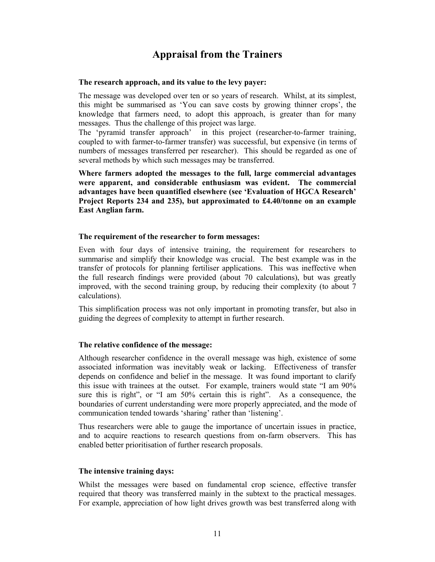## **Appraisal from the Trainers**

#### **The research approach, and its value to the levy payer:**

The message was developed over ten or so years of research. Whilst, at its simplest, this might be summarised as 'You can save costs by growing thinner crops', the knowledge that farmers need, to adopt this approach, is greater than for many messages. Thus the challenge of this project was large.

The 'pyramid transfer approach' in this project (researcher-to-farmer training, coupled to with farmer-to-farmer transfer) was successful, but expensive (in terms of numbers of messages transferred per researcher). This should be regarded as one of several methods by which such messages may be transferred.

**Where farmers adopted the messages to the full, large commercial advantages were apparent, and considerable enthusiasm was evident. The commercial advantages have been quantified elsewhere (see 'Evaluation of HGCA Research' Project Reports 234 and 235), but approximated to £4.40/tonne on an example East Anglian farm.** 

#### **The requirement of the researcher to form messages:**

Even with four days of intensive training, the requirement for researchers to summarise and simplify their knowledge was crucial. The best example was in the transfer of protocols for planning fertiliser applications. This was ineffective when the full research findings were provided (about 70 calculations), but was greatly improved, with the second training group, by reducing their complexity (to about 7 calculations).

This simplification process was not only important in promoting transfer, but also in guiding the degrees of complexity to attempt in further research.

#### **The relative confidence of the message:**

Although researcher confidence in the overall message was high, existence of some associated information was inevitably weak or lacking. Effectiveness of transfer depends on confidence and belief in the message. It was found important to clarify this issue with trainees at the outset. For example, trainers would state "I am 90% sure this is right", or "I am 50% certain this is right". As a consequence, the boundaries of current understanding were more properly appreciated, and the mode of communication tended towards 'sharing' rather than 'listening'.

Thus researchers were able to gauge the importance of uncertain issues in practice, and to acquire reactions to research questions from on-farm observers. This has enabled better prioritisation of further research proposals.

#### **The intensive training days:**

Whilst the messages were based on fundamental crop science, effective transfer required that theory was transferred mainly in the subtext to the practical messages. For example, appreciation of how light drives growth was best transferred along with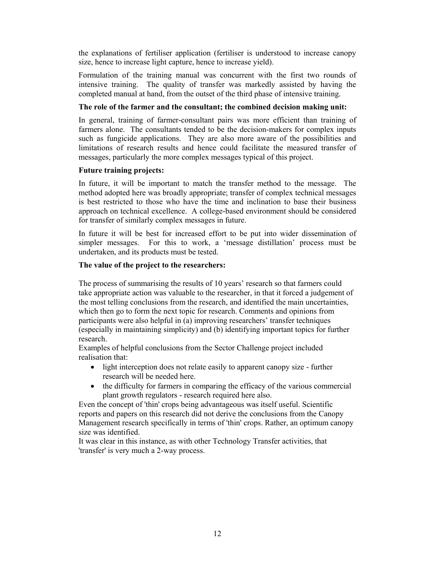the explanations of fertiliser application (fertiliser is understood to increase canopy size, hence to increase light capture, hence to increase yield).

Formulation of the training manual was concurrent with the first two rounds of intensive training. The quality of transfer was markedly assisted by having the completed manual at hand, from the outset of the third phase of intensive training.

#### **The role of the farmer and the consultant; the combined decision making unit:**

In general, training of farmer-consultant pairs was more efficient than training of farmers alone. The consultants tended to be the decision-makers for complex inputs such as fungicide applications. They are also more aware of the possibilities and limitations of research results and hence could facilitate the measured transfer of messages, particularly the more complex messages typical of this project.

#### **Future training projects:**

In future, it will be important to match the transfer method to the message. The method adopted here was broadly appropriate; transfer of complex technical messages is best restricted to those who have the time and inclination to base their business approach on technical excellence. A college-based environment should be considered for transfer of similarly complex messages in future.

In future it will be best for increased effort to be put into wider dissemination of simpler messages. For this to work, a 'message distillation' process must be undertaken, and its products must be tested.

#### **The value of the project to the researchers:**

The process of summarising the results of 10 years' research so that farmers could take appropriate action was valuable to the researcher, in that it forced a judgement of the most telling conclusions from the research, and identified the main uncertainties, which then go to form the next topic for research. Comments and opinions from participants were also helpful in (a) improving researchers' transfer techniques (especially in maintaining simplicity) and (b) identifying important topics for further research.

Examples of helpful conclusions from the Sector Challenge project included realisation that:

- light interception does not relate easily to apparent canopy size further research will be needed here.
- the difficulty for farmers in comparing the efficacy of the various commercial plant growth regulators - research required here also.

Even the concept of 'thin' crops being advantageous was itself useful. Scientific reports and papers on this research did not derive the conclusions from the Canopy Management research specifically in terms of 'thin' crops. Rather, an optimum canopy size was identified.

It was clear in this instance, as with other Technology Transfer activities, that 'transfer' is very much a 2-way process.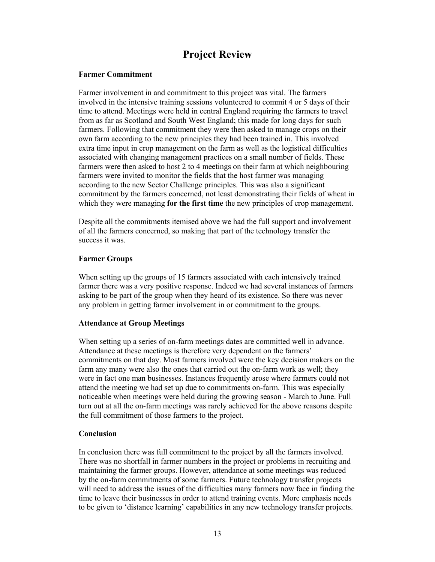## **Project Review**

#### **Farmer Commitment**

Farmer involvement in and commitment to this project was vital. The farmers involved in the intensive training sessions volunteered to commit 4 or 5 days of their time to attend. Meetings were held in central England requiring the farmers to travel from as far as Scotland and South West England; this made for long days for such farmers. Following that commitment they were then asked to manage crops on their own farm according to the new principles they had been trained in. This involved extra time input in crop management on the farm as well as the logistical difficulties associated with changing management practices on a small number of fields. These farmers were then asked to host 2 to 4 meetings on their farm at which neighbouring farmers were invited to monitor the fields that the host farmer was managing according to the new Sector Challenge principles. This was also a significant commitment by the farmers concerned, not least demonstrating their fields of wheat in which they were managing **for the first time** the new principles of crop management.

Despite all the commitments itemised above we had the full support and involvement of all the farmers concerned, so making that part of the technology transfer the success it was.

#### **Farmer Groups**

When setting up the groups of 15 farmers associated with each intensively trained farmer there was a very positive response. Indeed we had several instances of farmers asking to be part of the group when they heard of its existence. So there was never any problem in getting farmer involvement in or commitment to the groups.

#### **Attendance at Group Meetings**

When setting up a series of on-farm meetings dates are committed well in advance. Attendance at these meetings is therefore very dependent on the farmers' commitments on that day. Most farmers involved were the key decision makers on the farm any many were also the ones that carried out the on-farm work as well; they were in fact one man businesses. Instances frequently arose where farmers could not attend the meeting we had set up due to commitments on-farm. This was especially noticeable when meetings were held during the growing season - March to June. Full turn out at all the on-farm meetings was rarely achieved for the above reasons despite the full commitment of those farmers to the project.

#### **Conclusion**

In conclusion there was full commitment to the project by all the farmers involved. There was no shortfall in farmer numbers in the project or problems in recruiting and maintaining the farmer groups. However, attendance at some meetings was reduced by the on-farm commitments of some farmers. Future technology transfer projects will need to address the issues of the difficulties many farmers now face in finding the time to leave their businesses in order to attend training events. More emphasis needs to be given to 'distance learning' capabilities in any new technology transfer projects.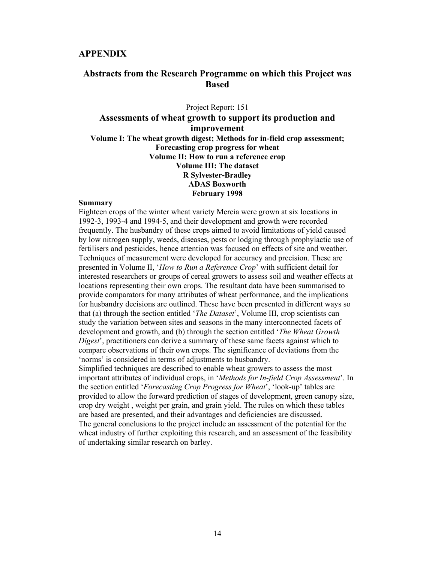#### **APPENDIX**

#### **Abstracts from the Research Programme on which this Project was Based**

Project Report: 151 **Assessments of wheat growth to support its production and improvement Volume I: The wheat growth digest; Methods for in-field crop assessment; Forecasting crop progress for wheat Volume II: How to run a reference crop Volume III: The dataset R Sylvester-Bradley ADAS Boxworth February 1998** 

#### **Summary**

Eighteen crops of the winter wheat variety Mercia were grown at six locations in 1992-3, 1993-4 and 1994-5, and their development and growth were recorded frequently. The husbandry of these crops aimed to avoid limitations of yield caused by low nitrogen supply, weeds, diseases, pests or lodging through prophylactic use of fertilisers and pesticides, hence attention was focused on effects of site and weather. Techniques of measurement were developed for accuracy and precision. These are presented in Volume II, '*How to Run a Reference Crop*' with sufficient detail for interested researchers or groups of cereal growers to assess soil and weather effects at locations representing their own crops. The resultant data have been summarised to provide comparators for many attributes of wheat performance, and the implications for husbandry decisions are outlined. These have been presented in different ways so that (a) through the section entitled '*The Dataset*', Volume III, crop scientists can study the variation between sites and seasons in the many interconnected facets of development and growth, and (b) through the section entitled '*The Wheat Growth Digest*', practitioners can derive a summary of these same facets against which to compare observations of their own crops. The significance of deviations from the 'norms' is considered in terms of adjustments to husbandry.

Simplified techniques are described to enable wheat growers to assess the most important attributes of individual crops, in '*Methods for In-field Crop Assessment*'. In the section entitled '*Forecasting Crop Progress for Wheat*', 'look-up' tables are provided to allow the forward prediction of stages of development, green canopy size, crop dry weight , weight per grain, and grain yield. The rules on which these tables are based are presented, and their advantages and deficiencies are discussed. The general conclusions to the project include an assessment of the potential for the wheat industry of further exploiting this research, and an assessment of the feasibility of undertaking similar research on barley.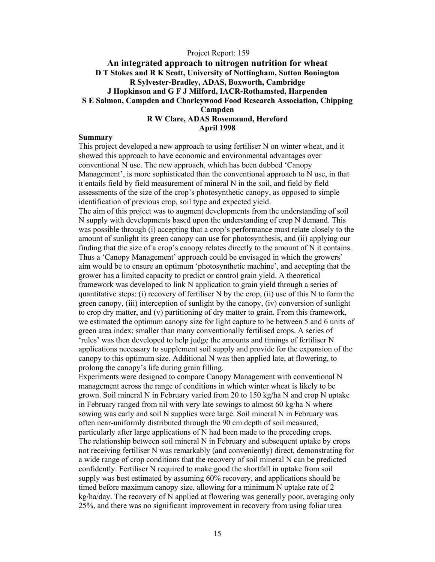#### Project Report: 159

#### **An integrated approach to nitrogen nutrition for wheat D T Stokes and R K Scott, University of Nottingham, Sutton Bonington R Sylvester-Bradley, ADAS, Boxworth, Cambridge J Hopkinson and G F J Milford, IACR-Rothamsted, Harpenden S E Salmon, Campden and Chorleywood Food Research Association, Chipping Campden R W Clare, ADAS Rosemaund, Hereford**

**April 1998** 

#### **Summary**

This project developed a new approach to using fertiliser N on winter wheat, and it showed this approach to have economic and environmental advantages over conventional N use. The new approach, which has been dubbed 'Canopy Management', is more sophisticated than the conventional approach to N use, in that it entails field by field measurement of mineral N in the soil, and field by field assessments of the size of the crop's photosynthetic canopy, as opposed to simple identification of previous crop, soil type and expected yield.

The aim of this project was to augment developments from the understanding of soil N supply with developments based upon the understanding of crop N demand. This was possible through (i) accepting that a crop's performance must relate closely to the amount of sunlight its green canopy can use for photosynthesis, and (ii) applying our finding that the size of a crop's canopy relates directly to the amount of N it contains. Thus a 'Canopy Management' approach could be envisaged in which the growers' aim would be to ensure an optimum 'photosynthetic machine', and accepting that the grower has a limited capacity to predict or control grain yield. A theoretical framework was developed to link N application to grain yield through a series of quantitative steps: (i) recovery of fertiliser N by the crop, (ii) use of this N to form the green canopy, (iii) interception of sunlight by the canopy, (iv) conversion of sunlight to crop dry matter, and (v) partitioning of dry matter to grain. From this framework, we estimated the optimum canopy size for light capture to be between 5 and 6 units of green area index; smaller than many conventionally fertilised crops. A series of 'rules' was then developed to help judge the amounts and timings of fertiliser N applications necessary to supplement soil supply and provide for the expansion of the canopy to this optimum size. Additional N was then applied late, at flowering, to prolong the canopy's life during grain filling.

Experiments were designed to compare Canopy Management with conventional N management across the range of conditions in which winter wheat is likely to be grown. Soil mineral N in February varied from 20 to 150 kg/ha N and crop N uptake in February ranged from nil with very late sowings to almost 60 kg/ha N where sowing was early and soil N supplies were large. Soil mineral N in February was often near-uniformly distributed through the 90 cm depth of soil measured, particularly after large applications of N had been made to the preceding crops. The relationship between soil mineral N in February and subsequent uptake by crops not receiving fertiliser N was remarkably (and conveniently) direct, demonstrating for a wide range of crop conditions that the recovery of soil mineral N can be predicted confidently. Fertiliser N required to make good the shortfall in uptake from soil supply was best estimated by assuming 60% recovery, and applications should be timed before maximum canopy size, allowing for a minimum N uptake rate of 2 kg/ha/day. The recovery of N applied at flowering was generally poor, averaging only 25%, and there was no significant improvement in recovery from using foliar urea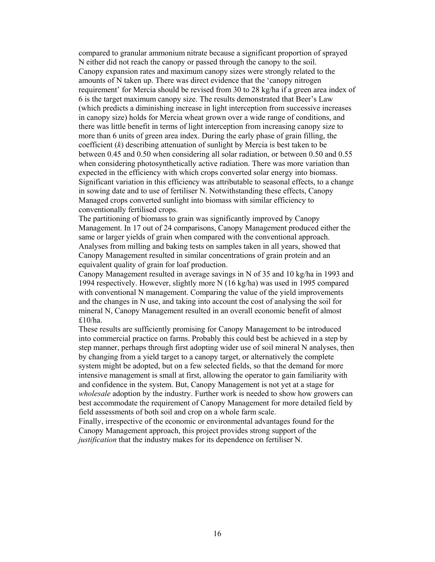compared to granular ammonium nitrate because a significant proportion of sprayed N either did not reach the canopy or passed through the canopy to the soil. Canopy expansion rates and maximum canopy sizes were strongly related to the amounts of N taken up. There was direct evidence that the 'canopy nitrogen requirement' for Mercia should be revised from 30 to 28 kg/ha if a green area index of 6 is the target maximum canopy size. The results demonstrated that Beer's Law (which predicts a diminishing increase in light interception from successive increases in canopy size) holds for Mercia wheat grown over a wide range of conditions, and there was little benefit in terms of light interception from increasing canopy size to more than 6 units of green area index. During the early phase of grain filling, the coefficient (*k*) describing attenuation of sunlight by Mercia is best taken to be between 0.45 and 0.50 when considering all solar radiation, or between 0.50 and 0.55 when considering photosynthetically active radiation. There was more variation than expected in the efficiency with which crops converted solar energy into biomass. Significant variation in this efficiency was attributable to seasonal effects, to a change in sowing date and to use of fertiliser N. Notwithstanding these effects, Canopy Managed crops converted sunlight into biomass with similar efficiency to conventionally fertilised crops.

The partitioning of biomass to grain was significantly improved by Canopy Management. In 17 out of 24 comparisons, Canopy Management produced either the same or larger yields of grain when compared with the conventional approach. Analyses from milling and baking tests on samples taken in all years, showed that Canopy Management resulted in similar concentrations of grain protein and an equivalent quality of grain for loaf production.

Canopy Management resulted in average savings in N of 35 and 10 kg/ha in 1993 and 1994 respectively. However, slightly more N (16 kg/ha) was used in 1995 compared with conventional N management. Comparing the value of the yield improvements and the changes in N use, and taking into account the cost of analysing the soil for mineral N, Canopy Management resulted in an overall economic benefit of almost £10/ha.

These results are sufficiently promising for Canopy Management to be introduced into commercial practice on farms. Probably this could best be achieved in a step by step manner, perhaps through first adopting wider use of soil mineral N analyses, then by changing from a yield target to a canopy target, or alternatively the complete system might be adopted, but on a few selected fields, so that the demand for more intensive management is small at first, allowing the operator to gain familiarity with and confidence in the system. But, Canopy Management is not yet at a stage for *wholesale* adoption by the industry. Further work is needed to show how growers can best accommodate the requirement of Canopy Management for more detailed field by field assessments of both soil and crop on a whole farm scale.

Finally, irrespective of the economic or environmental advantages found for the Canopy Management approach, this project provides strong support of the *justification* that the industry makes for its dependence on fertiliser N.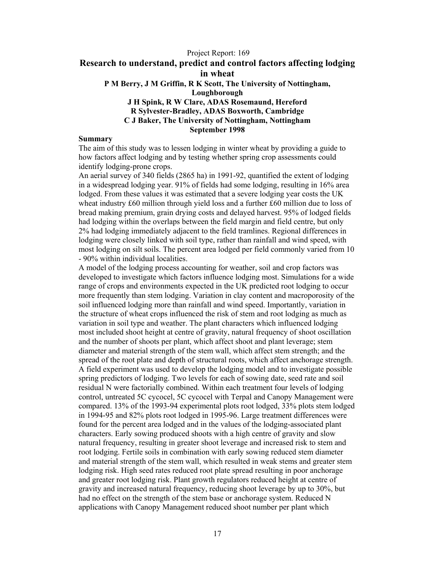#### Project Report: 169 **Research to understand, predict and control factors affecting lodging in wheat P M Berry, J M Griffin, R K Scott, The University of Nottingham, Loughborough J H Spink, R W Clare, ADAS Rosemaund, Hereford R Sylvester-Bradley, ADAS Boxworth, Cambridge C J Baker, The University of Nottingham, Nottingham September 1998**

#### **Summary**

The aim of this study was to lessen lodging in winter wheat by providing a guide to how factors affect lodging and by testing whether spring crop assessments could identify lodging-prone crops.

An aerial survey of 340 fields (2865 ha) in 1991-92, quantified the extent of lodging in a widespread lodging year. 91% of fields had some lodging, resulting in 16% area lodged. From these values it was estimated that a severe lodging year costs the UK wheat industry £60 million through yield loss and a further £60 million due to loss of bread making premium, grain drying costs and delayed harvest. 95% of lodged fields had lodging within the overlaps between the field margin and field centre, but only 2% had lodging immediately adjacent to the field tramlines. Regional differences in lodging were closely linked with soil type, rather than rainfall and wind speed, with most lodging on silt soils. The percent area lodged per field commonly varied from 10 - 90% within individual localities.

A model of the lodging process accounting for weather, soil and crop factors was developed to investigate which factors influence lodging most. Simulations for a wide range of crops and environments expected in the UK predicted root lodging to occur more frequently than stem lodging. Variation in clay content and macroporosity of the soil influenced lodging more than rainfall and wind speed. Importantly, variation in the structure of wheat crops influenced the risk of stem and root lodging as much as variation in soil type and weather. The plant characters which influenced lodging most included shoot height at centre of gravity, natural frequency of shoot oscillation and the number of shoots per plant, which affect shoot and plant leverage; stem diameter and material strength of the stem wall, which affect stem strength; and the spread of the root plate and depth of structural roots, which affect anchorage strength. A field experiment was used to develop the lodging model and to investigate possible spring predictors of lodging. Two levels for each of sowing date, seed rate and soil residual N were factorially combined. Within each treatment four levels of lodging control, untreated 5C cycocel, 5C cycocel with Terpal and Canopy Management were compared. 13% of the 1993-94 experimental plots root lodged, 33% plots stem lodged in 1994-95 and 82% plots root lodged in 1995-96. Large treatment differences were found for the percent area lodged and in the values of the lodging-associated plant characters. Early sowing produced shoots with a high centre of gravity and slow natural frequency, resulting in greater shoot leverage and increased risk to stem and root lodging. Fertile soils in combination with early sowing reduced stem diameter and material strength of the stem wall, which resulted in weak stems and greater stem lodging risk. High seed rates reduced root plate spread resulting in poor anchorage and greater root lodging risk. Plant growth regulators reduced height at centre of gravity and increased natural frequency, reducing shoot leverage by up to 30%, but had no effect on the strength of the stem base or anchorage system. Reduced N applications with Canopy Management reduced shoot number per plant which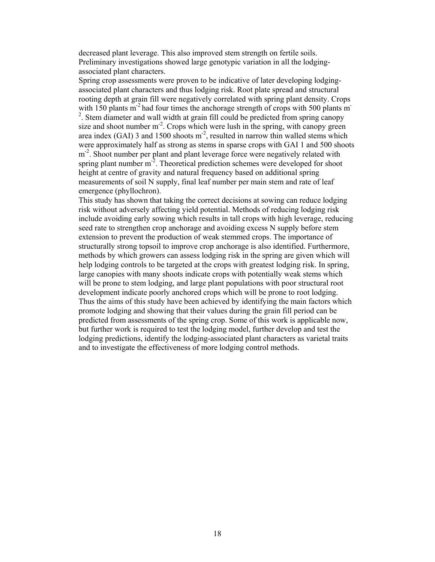decreased plant leverage. This also improved stem strength on fertile soils. Preliminary investigations showed large genotypic variation in all the lodgingassociated plant characters.

Spring crop assessments were proven to be indicative of later developing lodgingassociated plant characters and thus lodging risk. Root plate spread and structural rooting depth at grain fill were negatively correlated with spring plant density. Crops with 150 plants  $m<sup>2</sup>$  had four times the anchorage strength of crops with 500 plants m<sup>-</sup> <sup>2</sup>. Stem diameter and wall width at grain fill could be predicted from spring canopy size and shoot number  $m<sup>2</sup>$ . Crops which were lush in the spring, with canopy green area index (GAI) 3 and 1500 shoots  $m^2$ , resulted in narrow thin walled stems which were approximately half as strong as stems in sparse crops with GAI 1 and 500 shoots m<sup>-2</sup>. Shoot number per plant and plant leverage force were negatively related with spring plant number  $m<sup>2</sup>$ . Theoretical prediction schemes were developed for shoot height at centre of gravity and natural frequency based on additional spring measurements of soil N supply, final leaf number per main stem and rate of leaf emergence (phyllochron).

This study has shown that taking the correct decisions at sowing can reduce lodging risk without adversely affecting yield potential. Methods of reducing lodging risk include avoiding early sowing which results in tall crops with high leverage, reducing seed rate to strengthen crop anchorage and avoiding excess N supply before stem extension to prevent the production of weak stemmed crops. The importance of structurally strong topsoil to improve crop anchorage is also identified. Furthermore, methods by which growers can assess lodging risk in the spring are given which will help lodging controls to be targeted at the crops with greatest lodging risk. In spring, large canopies with many shoots indicate crops with potentially weak stems which will be prone to stem lodging, and large plant populations with poor structural root development indicate poorly anchored crops which will be prone to root lodging. Thus the aims of this study have been achieved by identifying the main factors which promote lodging and showing that their values during the grain fill period can be predicted from assessments of the spring crop. Some of this work is applicable now, but further work is required to test the lodging model, further develop and test the lodging predictions, identify the lodging-associated plant characters as varietal traits and to investigate the effectiveness of more lodging control methods.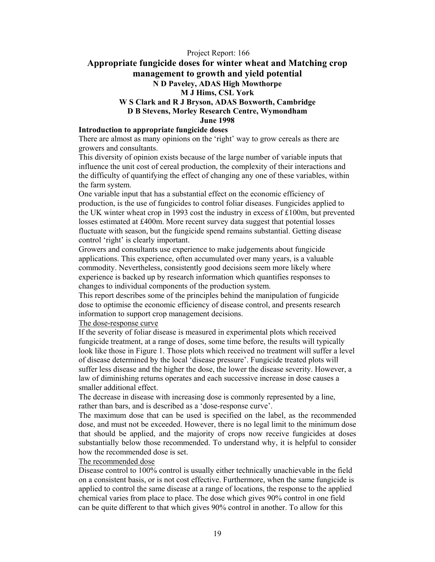#### Project Report: 166 **Appropriate fungicide doses for winter wheat and Matching crop management to growth and yield potential N D Paveley, ADAS High Mowthorpe M J Hims, CSL York W S Clark and R J Bryson, ADAS Boxworth, Cambridge D B Stevens, Morley Research Centre, Wymondham June 1998**

#### **Introduction to appropriate fungicide doses**

There are almost as many opinions on the 'right' way to grow cereals as there are growers and consultants.

This diversity of opinion exists because of the large number of variable inputs that influence the unit cost of cereal production, the complexity of their interactions and the difficulty of quantifying the effect of changing any one of these variables, within the farm system.

One variable input that has a substantial effect on the economic efficiency of production, is the use of fungicides to control foliar diseases. Fungicides applied to the UK winter wheat crop in 1993 cost the industry in excess of £100m, but prevented losses estimated at £400m. More recent survey data suggest that potential losses fluctuate with season, but the fungicide spend remains substantial. Getting disease control 'right' is clearly important.

Growers and consultants use experience to make judgements about fungicide applications. This experience, often accumulated over many years, is a valuable commodity. Nevertheless, consistently good decisions seem more likely where experience is backed up by research information which quantifies responses to changes to individual components of the production system.

This report describes some of the principles behind the manipulation of fungicide dose to optimise the economic efficiency of disease control, and presents research information to support crop management decisions.

#### The dose-response curve

If the severity of foliar disease is measured in experimental plots which received fungicide treatment, at a range of doses, some time before, the results will typically look like those in Figure 1. Those plots which received no treatment will suffer a level of disease determined by the local 'disease pressure'. Fungicide treated plots will suffer less disease and the higher the dose, the lower the disease severity. However, a law of diminishing returns operates and each successive increase in dose causes a smaller additional effect.

The decrease in disease with increasing dose is commonly represented by a line, rather than bars, and is described as a 'dose-response curve'.

The maximum dose that can be used is specified on the label, as the recommended dose, and must not be exceeded. However, there is no legal limit to the minimum dose that should be applied, and the majority of crops now receive fungicides at doses substantially below those recommended. To understand why, it is helpful to consider how the recommended dose is set.

#### The recommended dose

Disease control to 100% control is usually either technically unachievable in the field on a consistent basis, or is not cost effective. Furthermore, when the same fungicide is applied to control the same disease at a range of locations, the response to the applied chemical varies from place to place. The dose which gives 90% control in one field can be quite different to that which gives 90% control in another. To allow for this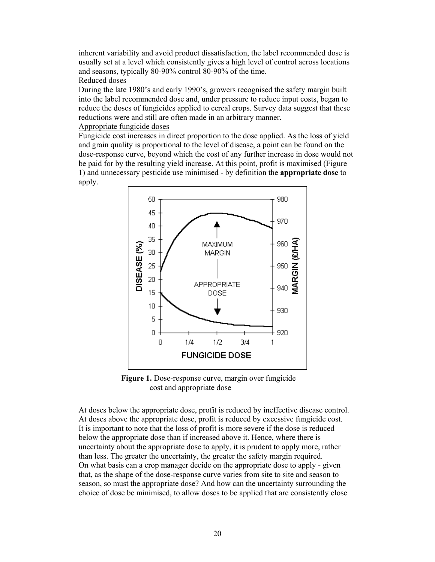inherent variability and avoid product dissatisfaction, the label recommended dose is usually set at a level which consistently gives a high level of control across locations and seasons, typically 80-90% control 80-90% of the time.

#### Reduced doses

During the late 1980's and early 1990's, growers recognised the safety margin built into the label recommended dose and, under pressure to reduce input costs, began to reduce the doses of fungicides applied to cereal crops. Survey data suggest that these reductions were and still are often made in an arbitrary manner.

#### Appropriate fungicide doses

Fungicide cost increases in direct proportion to the dose applied. As the loss of yield and grain quality is proportional to the level of disease, a point can be found on the dose-response curve, beyond which the cost of any further increase in dose would not be paid for by the resulting yield increase. At this point, profit is maximised (Figure 1) and unnecessary pesticide use minimised - by definition the **appropriate dose** to apply.



**Figure 1.** Dose-response curve, margin over fungicide cost and appropriate dose

At doses below the appropriate dose, profit is reduced by ineffective disease control. At doses above the appropriate dose, profit is reduced by excessive fungicide cost. It is important to note that the loss of profit is more severe if the dose is reduced below the appropriate dose than if increased above it. Hence, where there is uncertainty about the appropriate dose to apply, it is prudent to apply more, rather than less. The greater the uncertainty, the greater the safety margin required. On what basis can a crop manager decide on the appropriate dose to apply - given that, as the shape of the dose-response curve varies from site to site and season to season, so must the appropriate dose? And how can the uncertainty surrounding the choice of dose be minimised, to allow doses to be applied that are consistently close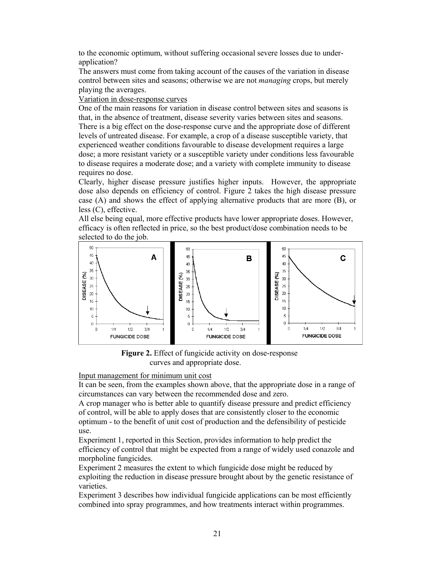to the economic optimum, without suffering occasional severe losses due to underapplication?

The answers must come from taking account of the causes of the variation in disease control between sites and seasons; otherwise we are not *managing* crops, but merely playing the averages.

Variation in dose-response curves

One of the main reasons for variation in disease control between sites and seasons is that, in the absence of treatment, disease severity varies between sites and seasons. There is a big effect on the dose-response curve and the appropriate dose of different levels of untreated disease. For example, a crop of a disease susceptible variety, that experienced weather conditions favourable to disease development requires a large dose; a more resistant variety or a susceptible variety under conditions less favourable to disease requires a moderate dose; and a variety with complete immunity to disease requires no dose.

Clearly, higher disease pressure justifies higher inputs. However, the appropriate dose also depends on efficiency of control. Figure 2 takes the high disease pressure case (A) and shows the effect of applying alternative products that are more (B), or less (C), effective.

All else being equal, more effective products have lower appropriate doses. However, efficacy is often reflected in price, so the best product/dose combination needs to be selected to do the job.



**Figure 2.** Effect of fungicide activity on dose-response curves and appropriate dose.

Input management for minimum unit cost

It can be seen, from the examples shown above, that the appropriate dose in a range of circumstances can vary between the recommended dose and zero.

A crop manager who is better able to quantify disease pressure and predict efficiency of control, will be able to apply doses that are consistently closer to the economic optimum - to the benefit of unit cost of production and the defensibility of pesticide use.

Experiment 1, reported in this Section, provides information to help predict the efficiency of control that might be expected from a range of widely used conazole and morpholine fungicides.

Experiment 2 measures the extent to which fungicide dose might be reduced by exploiting the reduction in disease pressure brought about by the genetic resistance of varieties.

Experiment 3 describes how individual fungicide applications can be most efficiently combined into spray programmes, and how treatments interact within programmes.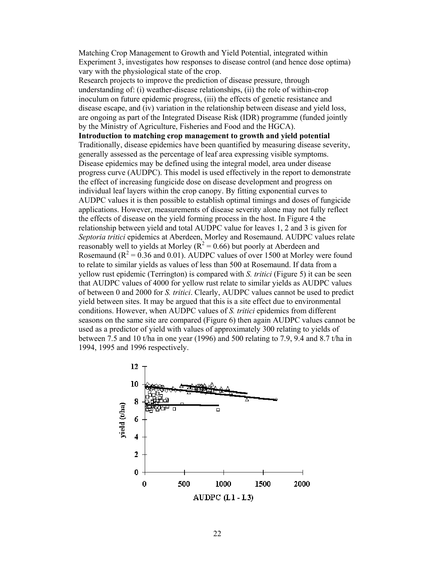Matching Crop Management to Growth and Yield Potential, integrated within Experiment 3, investigates how responses to disease control (and hence dose optima) vary with the physiological state of the crop.

Research projects to improve the prediction of disease pressure, through understanding of: (i) weather-disease relationships, (ii) the role of within-crop inoculum on future epidemic progress, (iii) the effects of genetic resistance and disease escape, and (iv) variation in the relationship between disease and yield loss, are ongoing as part of the Integrated Disease Risk (IDR) programme (funded jointly by the Ministry of Agriculture, Fisheries and Food and the HGCA). **Introduction to matching crop management to growth and yield potential**  Traditionally, disease epidemics have been quantified by measuring disease severity, generally assessed as the percentage of leaf area expressing visible symptoms. Disease epidemics may be defined using the integral model, area under disease progress curve (AUDPC). This model is used effectively in the report to demonstrate the effect of increasing fungicide dose on disease development and progress on individual leaf layers within the crop canopy. By fitting exponential curves to AUDPC values it is then possible to establish optimal timings and doses of fungicide applications. However, measurements of disease severity alone may not fully reflect the effects of disease on the yield forming process in the host. In Figure 4 the relationship between yield and total AUDPC value for leaves 1, 2 and 3 is given for *Septoria tritici* epidemics at Aberdeen, Morley and Rosemaund. AUDPC values relate reasonably well to yields at Morley ( $R^2 = 0.66$ ) but poorly at Aberdeen and Rosemaund ( $R^2 = 0.36$  and 0.01). AUDPC values of over 1500 at Morley were found to relate to similar yields as values of less than 500 at Rosemaund. If data from a yellow rust epidemic (Terrington) is compared with *S. tritici* (Figure 5) it can be seen that AUDPC values of 4000 for yellow rust relate to similar yields as AUDPC values of between 0 and 2000 for *S. tritici*. Clearly, AUDPC values cannot be used to predict yield between sites. It may be argued that this is a site effect due to environmental conditions. However, when AUDPC values of *S. tritici* epidemics from different seasons on the same site are compared (Figure 6) then again AUDPC values cannot be used as a predictor of yield with values of approximately 300 relating to yields of between 7.5 and 10 t/ha in one year (1996) and 500 relating to 7.9, 9.4 and 8.7 t/ha in 1994, 1995 and 1996 respectively.

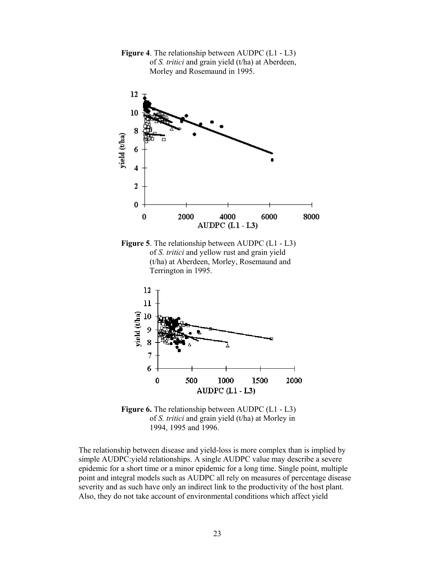

**Figure 4**. The relationship between AUDPC (L1 - L3) of *S. tritici* and grain yield (t/ha) at Aberdeen, Morley and Rosemaund in 1995.

**Figure 5**. The relationship between AUDPC (L1 - L3) of *S. tritici* and yellow rust and grain yield (t/ha) at Aberdeen, Morley, Rosemaund and Terrington in 1995.



**Figure 6.** The relationship between AUDPC (L1 - L3) of *S. tritici* and grain yield (t/ha) at Morley in 1994, 1995 and 1996.

The relationship between disease and yield-loss is more complex than is implied by simple AUDPC:yield relationships. A single AUDPC value may describe a severe epidemic for a short time or a minor epidemic for a long time. Single point, multiple point and integral models such as AUDPC all rely on measures of percentage disease severity and as such have only an indirect link to the productivity of the host plant. Also, they do not take account of environmental conditions which affect yield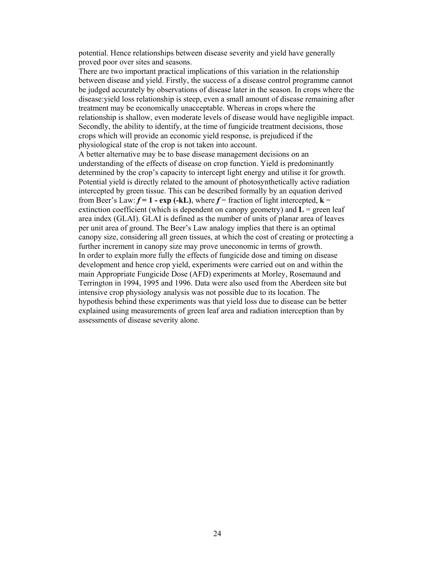potential. Hence relationships between disease severity and yield have generally proved poor over sites and seasons.

There are two important practical implications of this variation in the relationship between disease and yield. Firstly, the success of a disease control programme cannot be judged accurately by observations of disease later in the season. In crops where the disease:yield loss relationship is steep, even a small amount of disease remaining after treatment may be economically unacceptable. Whereas in crops where the relationship is shallow, even moderate levels of disease would have negligible impact. Secondly, the ability to identify, at the time of fungicide treatment decisions, those crops which will provide an economic yield response, is prejudiced if the physiological state of the crop is not taken into account.

A better alternative may be to base disease management decisions on an understanding of the effects of disease on crop function. Yield is predominantly determined by the crop's capacity to intercept light energy and utilise it for growth. Potential yield is directly related to the amount of photosynthetically active radiation intercepted by green tissue. This can be described formally by an equation derived from Beer's Law:  $f = 1 - \exp(-kL)$ , where  $f =$  fraction of light intercepted,  $k =$ extinction coefficient (which is dependent on canopy geometry) and  $L =$  green leaf area index (GLAI). GLAI is defined as the number of units of planar area of leaves per unit area of ground. The Beer's Law analogy implies that there is an optimal canopy size, considering all green tissues, at which the cost of creating or protecting a further increment in canopy size may prove uneconomic in terms of growth. In order to explain more fully the effects of fungicide dose and timing on disease development and hence crop yield, experiments were carried out on and within the main Appropriate Fungicide Dose (AFD) experiments at Morley, Rosemaund and Terrington in 1994, 1995 and 1996. Data were also used from the Aberdeen site but intensive crop physiology analysis was not possible due to its location. The hypothesis behind these experiments was that yield loss due to disease can be better explained using measurements of green leaf area and radiation interception than by assessments of disease severity alone.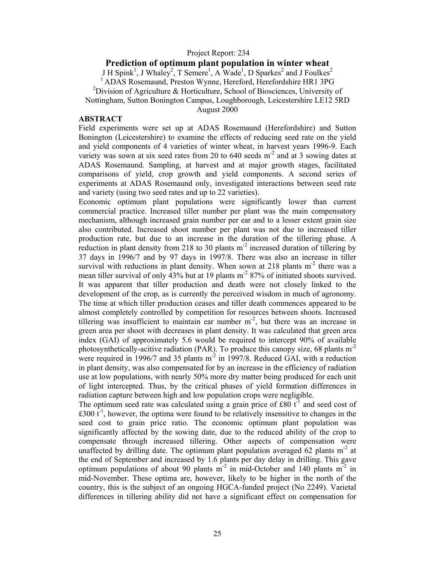#### Project Report: 234

#### **Prediction of optimum plant population in winter wheat**

J H Spink<sup>1</sup>, J Whaley<sup>2</sup>, T Semere<sup>1</sup>, A Wade<sup>1</sup>, D Sparkes<sup>2</sup> and J Foulkes<sup>2</sup>

1 ADAS Rosemaund, Preston Wynne, Hereford, Herefordshire HR1 3PG

<sup>2</sup>Division of Agriculture & Horticulture, School of Biosciences, University of

Nottingham, Sutton Bonington Campus, Loughborough, Leicestershire LE12 5RD

August 2000

#### **ABSTRACT**

Field experiments were set up at ADAS Rosemaund (Herefordshire) and Sutton Bonington (Leicestershire) to examine the effects of reducing seed rate on the yield and yield components of 4 varieties of winter wheat, in harvest years 1996-9. Each variety was sown at six seed rates from 20 to 640 seeds  $m<sup>2</sup>$  and at 3 sowing dates at ADAS Rosemaund. Sampling, at harvest and at major growth stages, facilitated comparisons of yield, crop growth and yield components. A second series of experiments at ADAS Rosemaund only, investigated interactions between seed rate and variety (using two seed rates and up to 22 varieties).

Economic optimum plant populations were significantly lower than current commercial practice. Increased tiller number per plant was the main compensatory mechanism, although increased grain number per ear and to a lesser extent grain size also contributed. Increased shoot number per plant was not due to increased tiller production rate, but due to an increase in the duration of the tillering phase. A reduction in plant density from 218 to 30 plants  $m<sup>2</sup>$  increased duration of tillering by 37 days in 1996/7 and by 97 days in 1997/8. There was also an increase in tiller survival with reductions in plant density. When sown at 218 plants  $m<sup>2</sup>$  there was a mean tiller survival of only  $43\%$  but at 19 plants m<sup>-2</sup> 87% of initiated shoots survived. It was apparent that tiller production and death were not closely linked to the development of the crop, as is currently the perceived wisdom in much of agronomy. The time at which tiller production ceases and tiller death commences appeared to be almost completely controlled by competition for resources between shoots. Increased tillering was insufficient to maintain ear number  $m<sup>2</sup>$ , but there was an increase in green area per shoot with decreases in plant density. It was calculated that green area index (GAI) of approximately 5.6 would be required to intercept 90% of available photosynthetically-acitive radiation (PAR). To produce this canopy size, 68 plants  $m<sup>2</sup>$ were required in 1996/7 and 35 plants  $m<sup>2</sup>$  in 1997/8. Reduced GAI, with a reduction in plant density, was also compensated for by an increase in the efficiency of radiation use at low populations, with nearly 50% more dry matter being produced for each unit of light intercepted. Thus, by the critical phases of yield formation differences in radiation capture between high and low population crops were negligible.

The optimum seed rate was calculated using a grain price of  $\text{\pounds}80\;\text{t}^{-1}$  and seed cost of  $\text{\pounds}300\ \text{t}^{-1}$ , however, the optima were found to be relatively insensitive to changes in the seed cost to grain price ratio. The economic optimum plant population was significantly affected by the sowing date, due to the reduced ability of the crop to compensate through increased tillering. Other aspects of compensation were unaffected by drilling date. The optimum plant population averaged 62 plants  $m<sup>2</sup>$  at the end of September and increased by 1.6 plants per day delay in drilling. This gave optimum populations of about 90 plants  $m<sup>2</sup>$  in mid-October and 140 plants  $m<sup>2</sup>$  in mid-November. These optima are, however, likely to be higher in the north of the country, this is the subject of an ongoing HGCA-funded project (No 2249). Varietal differences in tillering ability did not have a significant effect on compensation for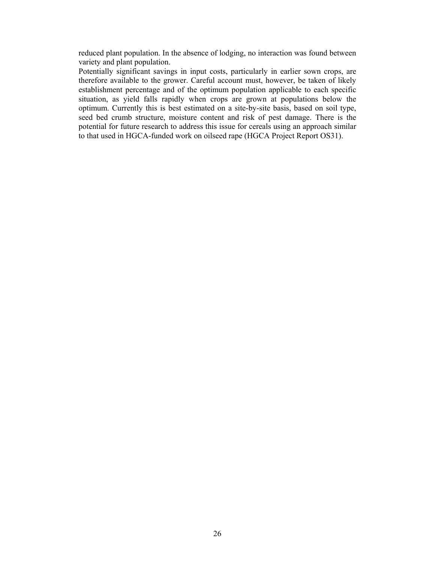reduced plant population. In the absence of lodging, no interaction was found between variety and plant population.

Potentially significant savings in input costs, particularly in earlier sown crops, are therefore available to the grower. Careful account must, however, be taken of likely establishment percentage and of the optimum population applicable to each specific situation, as yield falls rapidly when crops are grown at populations below the optimum. Currently this is best estimated on a site-by-site basis, based on soil type, seed bed crumb structure, moisture content and risk of pest damage. There is the potential for future research to address this issue for cereals using an approach similar to that used in HGCA-funded work on oilseed rape (HGCA Project Report OS31).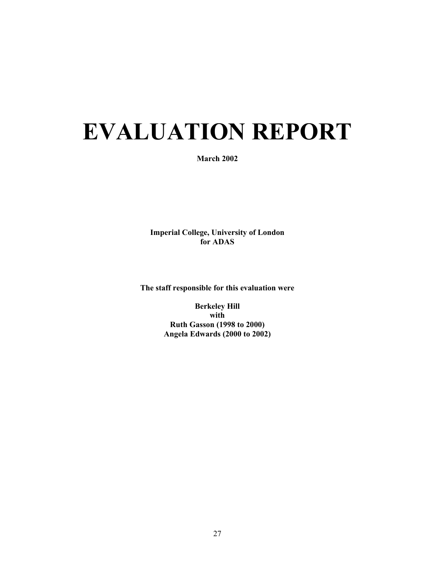# **EVALUATION REPORT**

#### **March 2002**

**Imperial College, University of London for ADAS** 

**The staff responsible for this evaluation were** 

**Berkeley Hill with Ruth Gasson (1998 to 2000) Angela Edwards (2000 to 2002)**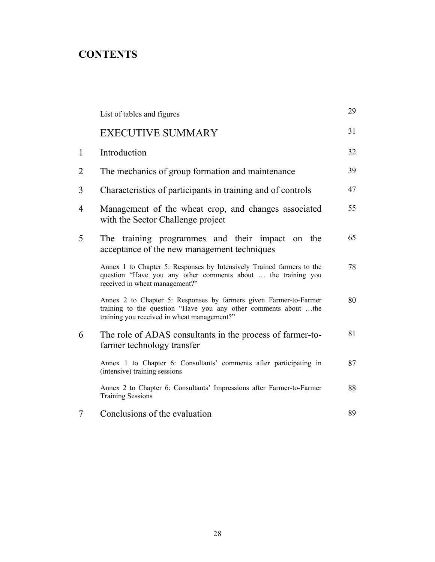# **CONTENTS**

|              | List of tables and figures                                                                                                                                                          | 29 |
|--------------|-------------------------------------------------------------------------------------------------------------------------------------------------------------------------------------|----|
|              | <b>EXECUTIVE SUMMARY</b>                                                                                                                                                            | 31 |
| $\mathbf{1}$ | Introduction                                                                                                                                                                        | 32 |
| 2            | The mechanics of group formation and maintenance                                                                                                                                    | 39 |
| 3            | Characteristics of participants in training and of controls                                                                                                                         | 47 |
| 4            | Management of the wheat crop, and changes associated<br>with the Sector Challenge project                                                                                           | 55 |
| 5            | The training programmes and their impact on the<br>acceptance of the new management techniques                                                                                      | 65 |
|              | Annex 1 to Chapter 5: Responses by Intensively Trained farmers to the<br>question "Have you any other comments about  the training you<br>received in wheat management?"            | 78 |
|              | Annex 2 to Chapter 5: Responses by farmers given Farmer-to-Farmer<br>training to the question "Have you any other comments about the<br>training you received in wheat management?" | 80 |
| 6            | The role of ADAS consultants in the process of farmer-to-<br>farmer technology transfer                                                                                             | 81 |
|              | Annex 1 to Chapter 6: Consultants' comments after participating in<br>(intensive) training sessions                                                                                 | 87 |
|              | Annex 2 to Chapter 6: Consultants' Impressions after Farmer-to-Farmer<br><b>Training Sessions</b>                                                                                   | 88 |
| 7            | Conclusions of the evaluation                                                                                                                                                       | 89 |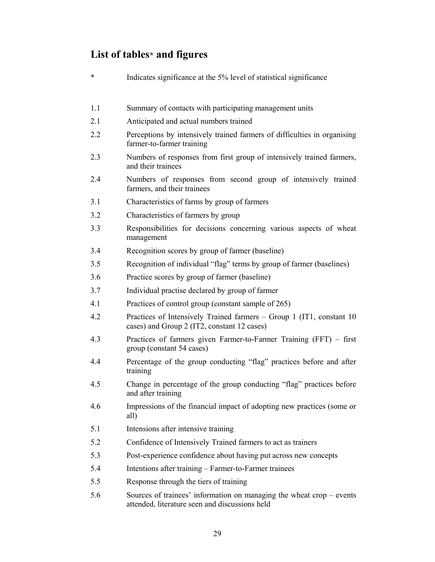# **List of tables\* and figures**

| $\ast$ | Indicates significance at the 5% level of statistical significance                                                                     |
|--------|----------------------------------------------------------------------------------------------------------------------------------------|
| 1.1    | Summary of contacts with participating management units                                                                                |
| 2.1    | Anticipated and actual numbers trained                                                                                                 |
| 2.2    | Perceptions by intensively trained farmers of difficulties in organising<br>farmer-to-farmer training                                  |
| 2.3    | Numbers of responses from first group of intensively trained farmers,<br>and their trainees                                            |
| 2.4    | Numbers of responses from second group of intensively trained<br>farmers, and their trainees                                           |
| 3.1    | Characteristics of farms by group of farmers                                                                                           |
| 3.2    | Characteristics of farmers by group                                                                                                    |
| 3.3    | Responsibilities for decisions concerning various aspects of wheat<br>management                                                       |
| 3.4    | Recognition scores by group of farmer (baseline)                                                                                       |
| 3.5    | Recognition of individual "flag" terms by group of farmer (baselines)                                                                  |
| 3.6    | Practice scores by group of farmer (baseline)                                                                                          |
| 3.7    | Individual practise declared by group of farmer                                                                                        |
| 4.1    | Practices of control group (constant sample of 265)                                                                                    |
| 4.2    | Practices of Intensively Trained farmers – Group 1 (IT1, constant 10)<br>cases) and Group 2 (IT2, constant 12 cases)                   |
| 4.3    | Practices of farmers given Farmer-to-Farmer Training (FFT) – first<br>group (constant 54 cases)                                        |
| 4.4    | Percentage of the group conducting "flag" practices before and after<br>training                                                       |
| 4.5    | Change in percentage of the group conducting "flag" practices before<br>and after training                                             |
| 4.6    | Impressions of the financial impact of adopting new practices (some or<br>all)                                                         |
| 5.1    | Intensions after intensive training                                                                                                    |
| 5.2    | Confidence of Intensively Trained farmers to act as trainers                                                                           |
| 5.3    | Post-experience confidence about having put across new concepts                                                                        |
| 5.4    | Intentions after training – Farmer-to-Farmer trainees                                                                                  |
| 5.5    | Response through the tiers of training                                                                                                 |
| 5.6    | Sources of trainees' information on managing the wheat $\text{crop} - \text{events}$<br>attended, literature seen and discussions held |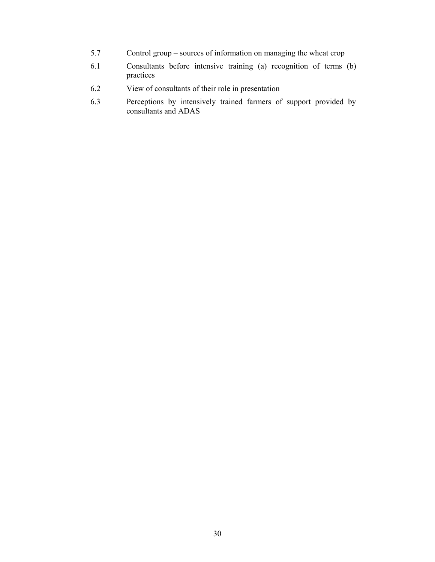- 5.7 Control group sources of information on managing the wheat crop
- 6.1 Consultants before intensive training (a) recognition of terms (b) practices
- 6.2 View of consultants of their role in presentation
- 6.3 Perceptions by intensively trained farmers of support provided by consultants and ADAS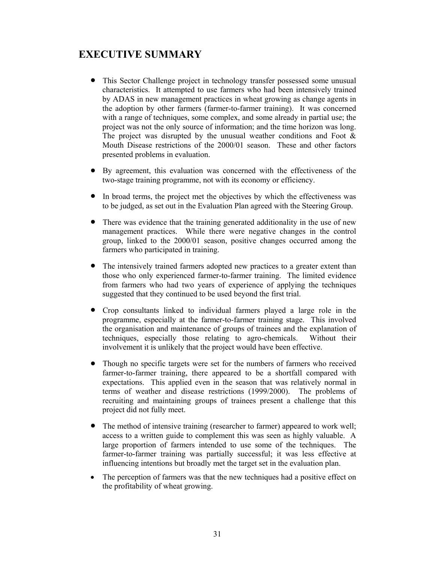## **EXECUTIVE SUMMARY**

- This Sector Challenge project in technology transfer possessed some unusual characteristics. It attempted to use farmers who had been intensively trained by ADAS in new management practices in wheat growing as change agents in the adoption by other farmers (farmer-to-farmer training). It was concerned with a range of techniques, some complex, and some already in partial use; the project was not the only source of information; and the time horizon was long. The project was disrupted by the unusual weather conditions and Foot  $\&$ Mouth Disease restrictions of the 2000/01 season. These and other factors presented problems in evaluation.
- By agreement, this evaluation was concerned with the effectiveness of the two-stage training programme, not with its economy or efficiency.
- In broad terms, the project met the objectives by which the effectiveness was to be judged, as set out in the Evaluation Plan agreed with the Steering Group.
- There was evidence that the training generated additionality in the use of new management practices. While there were negative changes in the control group, linked to the 2000/01 season, positive changes occurred among the farmers who participated in training.
- The intensively trained farmers adopted new practices to a greater extent than those who only experienced farmer-to-farmer training. The limited evidence from farmers who had two years of experience of applying the techniques suggested that they continued to be used beyond the first trial.
- Crop consultants linked to individual farmers played a large role in the programme, especially at the farmer-to-farmer training stage. This involved the organisation and maintenance of groups of trainees and the explanation of techniques, especially those relating to agro-chemicals. Without their involvement it is unlikely that the project would have been effective.
- Though no specific targets were set for the numbers of farmers who received farmer-to-farmer training, there appeared to be a shortfall compared with expectations. This applied even in the season that was relatively normal in terms of weather and disease restrictions (1999/2000). The problems of recruiting and maintaining groups of trainees present a challenge that this project did not fully meet.
- The method of intensive training (researcher to farmer) appeared to work well; access to a written guide to complement this was seen as highly valuable. A large proportion of farmers intended to use some of the techniques. The farmer-to-farmer training was partially successful; it was less effective at influencing intentions but broadly met the target set in the evaluation plan.
- The perception of farmers was that the new techniques had a positive effect on the profitability of wheat growing.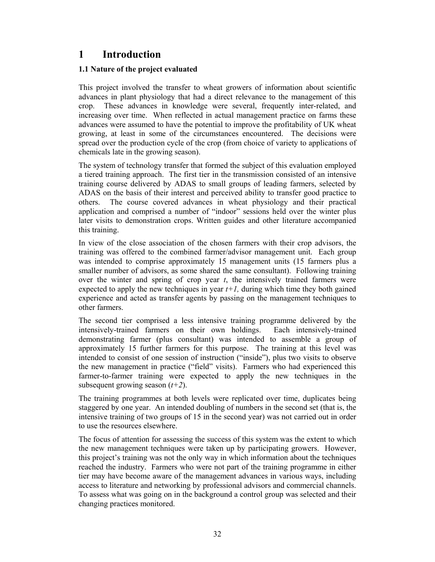## **1 Introduction**

#### **1.1 Nature of the project evaluated**

This project involved the transfer to wheat growers of information about scientific advances in plant physiology that had a direct relevance to the management of this crop. These advances in knowledge were several, frequently inter-related, and increasing over time. When reflected in actual management practice on farms these advances were assumed to have the potential to improve the profitability of UK wheat growing, at least in some of the circumstances encountered. The decisions were spread over the production cycle of the crop (from choice of variety to applications of chemicals late in the growing season).

The system of technology transfer that formed the subject of this evaluation employed a tiered training approach. The first tier in the transmission consisted of an intensive training course delivered by ADAS to small groups of leading farmers, selected by ADAS on the basis of their interest and perceived ability to transfer good practice to others. The course covered advances in wheat physiology and their practical application and comprised a number of "indoor" sessions held over the winter plus later visits to demonstration crops. Written guides and other literature accompanied this training.

In view of the close association of the chosen farmers with their crop advisors, the training was offered to the combined farmer/advisor management unit. Each group was intended to comprise approximately 15 management units (15 farmers plus a smaller number of advisors, as some shared the same consultant). Following training over the winter and spring of crop year *t*, the intensively trained farmers were expected to apply the new techniques in year  $t+1$ , during which time they both gained experience and acted as transfer agents by passing on the management techniques to other farmers.

The second tier comprised a less intensive training programme delivered by the intensively-trained farmers on their own holdings. Each intensively-trained demonstrating farmer (plus consultant) was intended to assemble a group of approximately 15 further farmers for this purpose. The training at this level was intended to consist of one session of instruction ("inside"), plus two visits to observe the new management in practice ("field" visits). Farmers who had experienced this farmer-to-farmer training were expected to apply the new techniques in the subsequent growing season (*t+2*).

The training programmes at both levels were replicated over time, duplicates being staggered by one year. An intended doubling of numbers in the second set (that is, the intensive training of two groups of 15 in the second year) was not carried out in order to use the resources elsewhere.

The focus of attention for assessing the success of this system was the extent to which the new management techniques were taken up by participating growers. However, this project's training was not the only way in which information about the techniques reached the industry. Farmers who were not part of the training programme in either tier may have become aware of the management advances in various ways, including access to literature and networking by professional advisors and commercial channels. To assess what was going on in the background a control group was selected and their changing practices monitored.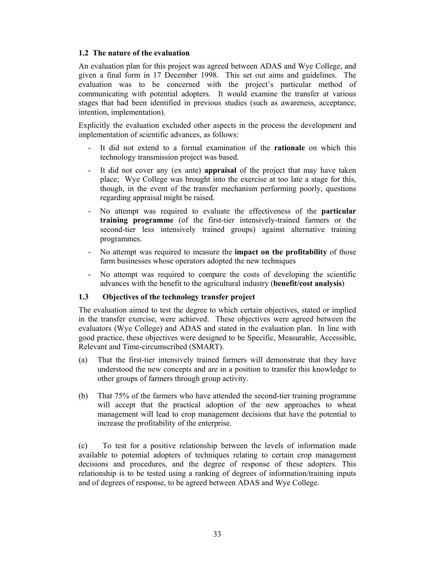#### **1.2 The nature of the evaluation**

An evaluation plan for this project was agreed between ADAS and Wye College, and given a final form in 17 December 1998. This set out aims and guidelines. The evaluation was to be concerned with the project's particular method of communicating with potential adopters. It would examine the transfer at various stages that had been identified in previous studies (such as awareness, acceptance, intention, implementation).

Explicitly the evaluation excluded other aspects in the process the development and implementation of scientific advances, as follows:

- It did not extend to a formal examination of the **rationale** on which this technology transmission project was based.
- It did not cover any (ex ante) **appraisal** of the project that may have taken place; Wye College was brought into the exercise at too late a stage for this, though, in the event of the transfer mechanism performing poorly, questions regarding appraisal might be raised.
- No attempt was required to evaluate the effectiveness of the **particular training programme** (of the first-tier intensively-trained farmers or the second-tier less intensively trained groups) against alternative training programmes.
- No attempt was required to measure the **impact on the profitability** of those farm businesses whose operators adopted the new techniques
- No attempt was required to compare the costs of developing the scientific advances with the benefit to the agricultural industry (**benefit/cost analysis**)

#### **1.3 Objectives of the technology transfer project**

The evaluation aimed to test the degree to which certain objectives, stated or implied in the transfer exercise, were achieved. These objectives were agreed between the evaluators (Wye College) and ADAS and stated in the evaluation plan. In line with good practice, these objectives were designed to be Specific, Measurable, Accessible, Relevant and Time-circumscribed (SMART).

- (a) That the first-tier intensively trained farmers will demonstrate that they have understood the new concepts and are in a position to transfer this knowledge to other groups of farmers through group activity.
- (b) That 75% of the farmers who have attended the second-tier training programme will accept that the practical adoption of the new approaches to wheat management will lead to crop management decisions that have the potential to increase the profitability of the enterprise.

(c) To test for a positive relationship between the levels of information made available to potential adopters of techniques relating to certain crop management decisions and procedures, and the degree of response of these adopters. This relationship is to be tested using a ranking of degrees of information/training inputs and of degrees of response, to be agreed between ADAS and Wye College.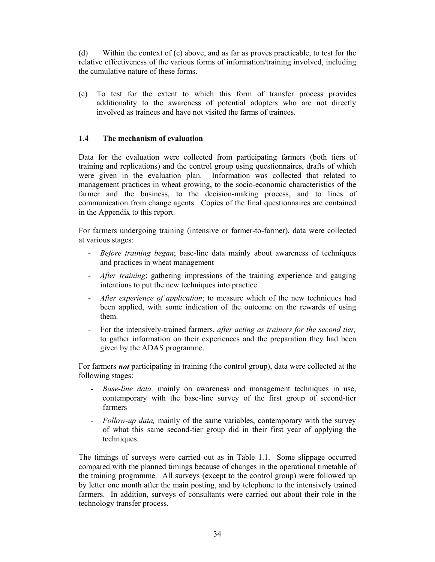(d) Within the context of (c) above, and as far as proves practicable, to test for the relative effectiveness of the various forms of information/training involved, including the cumulative nature of these forms.

(e) To test for the extent to which this form of transfer process provides additionality to the awareness of potential adopters who are not directly involved as trainees and have not visited the farms of trainees.

#### **1.4 The mechanism of evaluation**

Data for the evaluation were collected from participating farmers (both tiers of training and replications) and the control group using questionnaires, drafts of which were given in the evaluation plan. Information was collected that related to management practices in wheat growing, to the socio-economic characteristics of the farmer and the business, to the decision-making process, and to lines of communication from change agents. Copies of the final questionnaires are contained in the Appendix to this report.

For farmers undergoing training (intensive or farmer-to-farmer), data were collected at various stages:

- *Before training began*; base-line data mainly about awareness of techniques and practices in wheat management
- *After training*; gathering impressions of the training experience and gauging intentions to put the new techniques into practice
- *After experience of application*; to measure which of the new techniques had been applied, with some indication of the outcome on the rewards of using them.
- For the intensively-trained farmers, *after acting as trainers for the second tier,*  to gather information on their experiences and the preparation they had been given by the ADAS programme.

For farmers *not* participating in training (the control group), data were collected at the following stages:

- *Base-line data,* mainly on awareness and management techniques in use, contemporary with the base-line survey of the first group of second-tier farmers
- *Follow-up data,* mainly of the same variables, contemporary with the survey of what this same second-tier group did in their first year of applying the techniques.

The timings of surveys were carried out as in Table 1.1. Some slippage occurred compared with the planned timings because of changes in the operational timetable of the training programme. All surveys (except to the control group) were followed up by letter one month after the main posting, and by telephone to the intensively trained farmers. In addition, surveys of consultants were carried out about their role in the technology transfer process.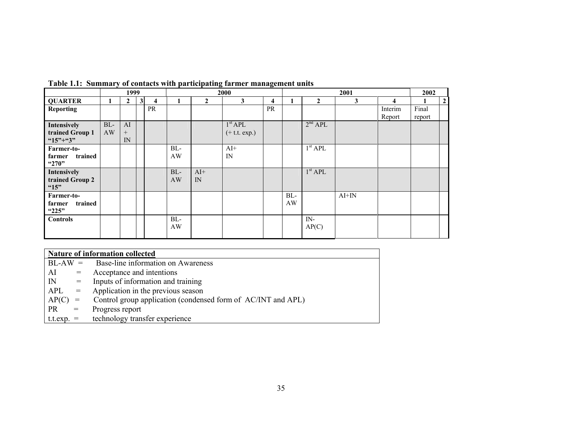|                    |       | 1999         |   |                     | 2000<br>2001 |              |                     |                         |     |                     |         |         |        |                |
|--------------------|-------|--------------|---|---------------------|--------------|--------------|---------------------|-------------------------|-----|---------------------|---------|---------|--------|----------------|
| <b>QUARTER</b>     |       | $\mathbf{2}$ | 3 | $\overline{\bf{4}}$ |              | $\mathbf{2}$ | 3                   | $\overline{\mathbf{4}}$ | - 1 | $\mathbf{2}$        | 3       | 4       |        | $\overline{2}$ |
| <b>Reporting</b>   |       |              |   | PR                  |              |              |                     | PR                      |     |                     |         | Interim | Final  |                |
|                    |       |              |   |                     |              |              |                     |                         |     |                     |         | Report  | report |                |
| <b>Intensively</b> | $BL-$ | AI           |   |                     |              |              | 1 <sup>st</sup> APL |                         |     | 2 <sup>nd</sup> APL |         |         |        |                |
| trained Group 1    | AW    | $^{+}$       |   |                     |              |              | $(+ t.t. exp.)$     |                         |     |                     |         |         |        |                |
| $45" + 3"$         |       | IN           |   |                     |              |              |                     |                         |     |                     |         |         |        |                |
| Farmer-to-         |       |              |   |                     | $BL-$        |              | $AI+$               |                         |     | 1 <sup>st</sup> APL |         |         |        |                |
| trained<br>farmer  |       |              |   |                     | AW           |              | IN                  |                         |     |                     |         |         |        |                |
| "270"              |       |              |   |                     |              |              |                     |                         |     |                     |         |         |        |                |
| Intensively        |       |              |   |                     | $BL-$        | $AI+$        |                     |                         |     | 1 <sup>st</sup> APL |         |         |        |                |
| trained Group 2    |       |              |   |                     | AW           | IN           |                     |                         |     |                     |         |         |        |                |
| "15"               |       |              |   |                     |              |              |                     |                         |     |                     |         |         |        |                |
| Farmer-to-         |       |              |   |                     |              |              |                     |                         | BL- |                     | $AI+IN$ |         |        |                |
| trained<br>farmer  |       |              |   |                     |              |              |                     |                         | AW  |                     |         |         |        |                |
| "225"              |       |              |   |                     |              |              |                     |                         |     |                     |         |         |        |                |
| <b>Controls</b>    |       |              |   |                     | $BL-$        |              |                     |                         |     | $IN-$               |         |         |        |                |
|                    |       |              |   |                     | AW           |              |                     |                         |     | AP(C)               |         |         |        |                |
|                    |       |              |   |                     |              |              |                     |                         |     |                     |         |         |        |                |

**Table 1.1: Summary of contacts with participating farmer management units** 

| Nature of information collected |                                                              |  |  |  |
|---------------------------------|--------------------------------------------------------------|--|--|--|
|                                 | $BL-AW =$ Base-line information on Awareness                 |  |  |  |
| AI<br>$=$                       | Acceptance and intentions                                    |  |  |  |
| IN<br>$=$                       | Inputs of information and training                           |  |  |  |
| APL<br>$=$                      | Application in the previous season                           |  |  |  |
| AP(C)<br>$=$                    | Control group application (condensed form of AC/INT and APL) |  |  |  |
| <b>PR</b><br>$=$                | Progress report                                              |  |  |  |
|                                 | $t.t. exp. = \ttechnology transfer experience$               |  |  |  |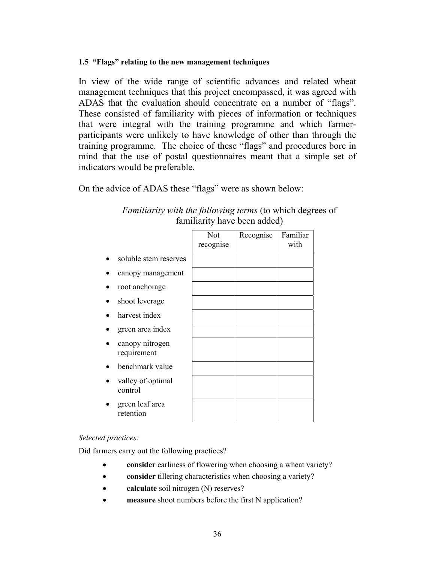#### **1.5 "Flags" relating to the new management techniques**

In view of the wide range of scientific advances and related wheat management techniques that this project encompassed, it was agreed with ADAS that the evaluation should concentrate on a number of "flags". These consisted of familiarity with pieces of information or techniques that were integral with the training programme and which farmerparticipants were unlikely to have knowledge of other than through the training programme. The choice of these "flags" and procedures bore in mind that the use of postal questionnaires meant that a simple set of indicators would be preferable.

On the advice of ADAS these "flags" were as shown below:

|                                | Not<br>recognise | Recognise | Familiar<br>with |
|--------------------------------|------------------|-----------|------------------|
| soluble stem reserves          |                  |           |                  |
| canopy management              |                  |           |                  |
| root anchorage                 |                  |           |                  |
| shoot leverage                 |                  |           |                  |
| harvest index                  |                  |           |                  |
| green area index               |                  |           |                  |
| canopy nitrogen<br>requirement |                  |           |                  |
| benchmark value                |                  |           |                  |
| valley of optimal<br>control   |                  |           |                  |
| green leaf area<br>retention   |                  |           |                  |

*Familiarity with the following terms* (to which degrees of familiarity have been added)

#### *Selected practices:*

Did farmers carry out the following practices?

- **consider** earliness of flowering when choosing a wheat variety?
- **consider** tillering characteristics when choosing a variety?
- **calculate** soil nitrogen (N) reserves?
- **measure** shoot numbers before the first N application?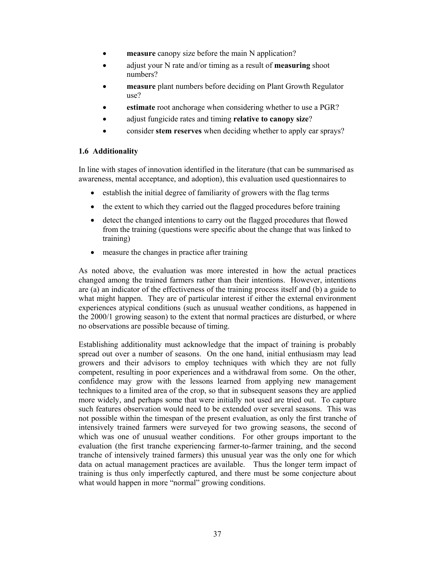- **measure** canopy size before the main N application?
- adjust your N rate and/or timing as a result of **measuring** shoot numbers?
- **measure** plant numbers before deciding on Plant Growth Regulator use?
- **estimate** root anchorage when considering whether to use a PGR?
- adjust fungicide rates and timing **relative to canopy size**?
- consider **stem reserves** when deciding whether to apply ear sprays?

#### **1.6 Additionality**

In line with stages of innovation identified in the literature (that can be summarised as awareness, mental acceptance, and adoption), this evaluation used questionnaires to

- establish the initial degree of familiarity of growers with the flag terms
- the extent to which they carried out the flagged procedures before training
- detect the changed intentions to carry out the flagged procedures that flowed from the training (questions were specific about the change that was linked to training)
- measure the changes in practice after training

As noted above, the evaluation was more interested in how the actual practices changed among the trained farmers rather than their intentions. However, intentions are (a) an indicator of the effectiveness of the training process itself and (b) a guide to what might happen. They are of particular interest if either the external environment experiences atypical conditions (such as unusual weather conditions, as happened in the 2000/1 growing season) to the extent that normal practices are disturbed, or where no observations are possible because of timing.

Establishing additionality must acknowledge that the impact of training is probably spread out over a number of seasons. On the one hand, initial enthusiasm may lead growers and their advisors to employ techniques with which they are not fully competent, resulting in poor experiences and a withdrawal from some. On the other, confidence may grow with the lessons learned from applying new management techniques to a limited area of the crop, so that in subsequent seasons they are applied more widely, and perhaps some that were initially not used are tried out. To capture such features observation would need to be extended over several seasons. This was not possible within the timespan of the present evaluation, as only the first tranche of intensively trained farmers were surveyed for two growing seasons, the second of which was one of unusual weather conditions. For other groups important to the evaluation (the first tranche experiencing farmer-to-farmer training, and the second tranche of intensively trained farmers) this unusual year was the only one for which data on actual management practices are available. Thus the longer term impact of training is thus only imperfectly captured, and there must be some conjecture about what would happen in more "normal" growing conditions.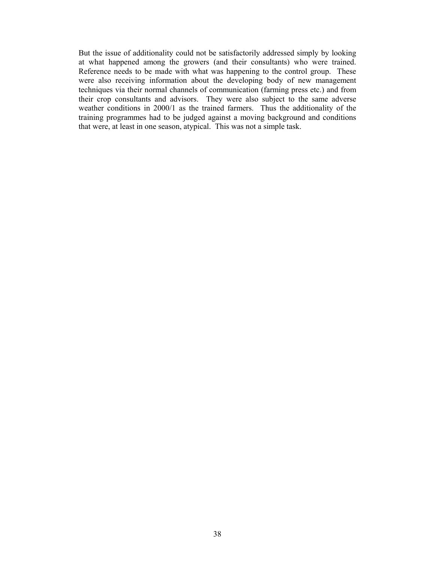But the issue of additionality could not be satisfactorily addressed simply by looking at what happened among the growers (and their consultants) who were trained. Reference needs to be made with what was happening to the control group. These were also receiving information about the developing body of new management techniques via their normal channels of communication (farming press etc.) and from their crop consultants and advisors. They were also subject to the same adverse weather conditions in 2000/1 as the trained farmers. Thus the additionality of the training programmes had to be judged against a moving background and conditions that were, at least in one season, atypical. This was not a simple task.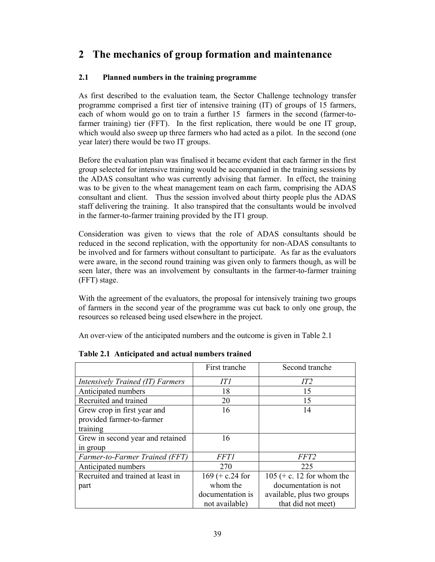# **2 The mechanics of group formation and maintenance**

# **2.1 Planned numbers in the training programme**

As first described to the evaluation team, the Sector Challenge technology transfer programme comprised a first tier of intensive training (IT) of groups of 15 farmers, each of whom would go on to train a further 15 farmers in the second (farmer-tofarmer training) tier (FFT). In the first replication, there would be one IT group, which would also sweep up three farmers who had acted as a pilot. In the second (one year later) there would be two IT groups.

Before the evaluation plan was finalised it became evident that each farmer in the first group selected for intensive training would be accompanied in the training sessions by the ADAS consultant who was currently advising that farmer. In effect, the training was to be given to the wheat management team on each farm, comprising the ADAS consultant and client. Thus the session involved about thirty people plus the ADAS staff delivering the training. It also transpired that the consultants would be involved in the farmer-to-farmer training provided by the IT1 group.

Consideration was given to views that the role of ADAS consultants should be reduced in the second replication, with the opportunity for non-ADAS consultants to be involved and for farmers without consultant to participate. As far as the evaluators were aware, in the second round training was given only to farmers though, as will be seen later, there was an involvement by consultants in the farmer-to-farmer training (FFT) stage.

With the agreement of the evaluators, the proposal for intensively training two groups of farmers in the second year of the programme was cut back to only one group, the resources so released being used elsewhere in the project.

An over-view of the anticipated numbers and the outcome is given in Table 2.1

|                                         | First tranche      | Second tranche              |
|-----------------------------------------|--------------------|-----------------------------|
| <i>Intensively Trained (IT) Farmers</i> | IT 1               | IT2                         |
| Anticipated numbers                     | 18                 | 15                          |
| Recruited and trained                   | 20                 | 15                          |
| Grew crop in first year and             | 16                 | 14                          |
| provided farmer-to-farmer               |                    |                             |
| training                                |                    |                             |
| Grew in second year and retained        | 16                 |                             |
| in group                                |                    |                             |
| Farmer-to-Farmer Trained (FFT)          | <i>FFT1</i>        | FFT <sub>2</sub>            |
| Anticipated numbers                     | 270                | 225                         |
| Recruited and trained at least in       | $169 (+ c.24)$ for | $105$ (+ c. 12 for whom the |
| part                                    | whom the           | documentation is not        |
|                                         | documentation is   | available, plus two groups  |
|                                         | not available)     | that did not meet)          |

**Table 2.1 Anticipated and actual numbers trained**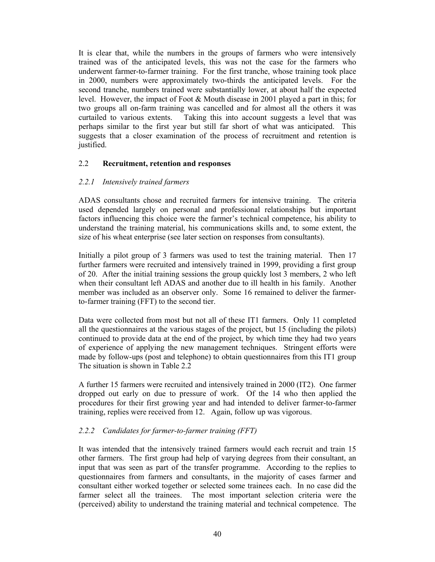It is clear that, while the numbers in the groups of farmers who were intensively trained was of the anticipated levels, this was not the case for the farmers who underwent farmer-to-farmer training. For the first tranche, whose training took place in 2000, numbers were approximately two-thirds the anticipated levels. For the second tranche, numbers trained were substantially lower, at about half the expected level. However, the impact of Foot & Mouth disease in 2001 played a part in this; for two groups all on-farm training was cancelled and for almost all the others it was curtailed to various extents. Taking this into account suggests a level that was perhaps similar to the first year but still far short of what was anticipated. This suggests that a closer examination of the process of recruitment and retention is justified.

#### 2.2 **Recruitment, retention and responses**

#### *2.2.1 Intensively trained farmers*

ADAS consultants chose and recruited farmers for intensive training. The criteria used depended largely on personal and professional relationships but important factors influencing this choice were the farmer's technical competence, his ability to understand the training material, his communications skills and, to some extent, the size of his wheat enterprise (see later section on responses from consultants).

Initially a pilot group of 3 farmers was used to test the training material. Then 17 further farmers were recruited and intensively trained in 1999, providing a first group of 20. After the initial training sessions the group quickly lost 3 members, 2 who left when their consultant left ADAS and another due to ill health in his family. Another member was included as an observer only. Some 16 remained to deliver the farmerto-farmer training (FFT) to the second tier.

Data were collected from most but not all of these IT1 farmers. Only 11 completed all the questionnaires at the various stages of the project, but 15 (including the pilots) continued to provide data at the end of the project, by which time they had two years of experience of applying the new management techniques. Stringent efforts were made by follow-ups (post and telephone) to obtain questionnaires from this IT1 group The situation is shown in Table 2.2

A further 15 farmers were recruited and intensively trained in 2000 (IT2). One farmer dropped out early on due to pressure of work. Of the 14 who then applied the procedures for their first growing year and had intended to deliver farmer-to-farmer training, replies were received from 12. Again, follow up was vigorous.

## *2.2.2 Candidates for farmer-to-farmer training (FFT)*

It was intended that the intensively trained farmers would each recruit and train 15 other farmers. The first group had help of varying degrees from their consultant, an input that was seen as part of the transfer programme. According to the replies to questionnaires from farmers and consultants, in the majority of cases farmer and consultant either worked together or selected some trainees each. In no case did the farmer select all the trainees. The most important selection criteria were the (perceived) ability to understand the training material and technical competence. The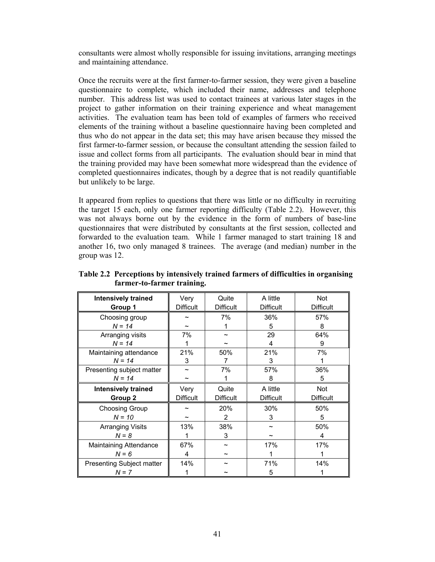consultants were almost wholly responsible for issuing invitations, arranging meetings and maintaining attendance.

Once the recruits were at the first farmer-to-farmer session, they were given a baseline questionnaire to complete, which included their name, addresses and telephone number. This address list was used to contact trainees at various later stages in the project to gather information on their training experience and wheat management activities. The evaluation team has been told of examples of farmers who received elements of the training without a baseline questionnaire having been completed and thus who do not appear in the data set; this may have arisen because they missed the first farmer-to-farmer session, or because the consultant attending the session failed to issue and collect forms from all participants. The evaluation should bear in mind that the training provided may have been somewhat more widespread than the evidence of completed questionnaires indicates, though by a degree that is not readily quantifiable but unlikely to be large.

It appeared from replies to questions that there was little or no difficulty in recruiting the target 15 each, only one farmer reporting difficulty (Table 2.2). However, this was not always borne out by the evidence in the form of numbers of base-line questionnaires that were distributed by consultants at the first session, collected and forwarded to the evaluation team. While 1 farmer managed to start training 18 and another 16, two only managed 8 trainees. The average (and median) number in the group was 12.

| Intensively trained              | Very             | Quite            | A little         | Not              |
|----------------------------------|------------------|------------------|------------------|------------------|
| Group 1                          | <b>Difficult</b> | <b>Difficult</b> | <b>Difficult</b> | <b>Difficult</b> |
| Choosing group                   |                  | 7%               | 36%              | 57%              |
| $N = 14$                         |                  |                  | 5                | 8                |
| Arranging visits                 | 7%               | ~                | 29               | 64%              |
| $N = 14$                         |                  |                  | 4                | 9                |
| Maintaining attendance           | 21%              | 50%              | 21%              | 7%               |
| $N = 14$                         | 3                | 7                | 3                |                  |
| Presenting subject matter        |                  | 7%               | 57%              | 36%              |
| $N = 14$                         |                  |                  | 8                | 5                |
| Intensively trained              | Very             | Quite            | A little         | Not              |
| Group 2                          | <b>Difficult</b> | <b>Difficult</b> | <b>Difficult</b> | <b>Difficult</b> |
| Choosing Group                   |                  | 20%              | 30%              | 50%              |
| $N = 10$                         |                  | $\overline{2}$   | 3                | 5                |
| <b>Arranging Visits</b>          | 13%              | 38%              |                  | 50%              |
| $N = 8$                          |                  | 3                |                  | 4                |
| Maintaining Attendance           | 67%              |                  | 17%              | 17%              |
| $N = 6$                          | 4                | ~                |                  |                  |
| <b>Presenting Subject matter</b> | 14%              |                  | 71%              | 14%              |
| $N = 7$                          |                  |                  | 5                |                  |

**Table 2.2 Perceptions by intensively trained farmers of difficulties in organising farmer-to-farmer training.**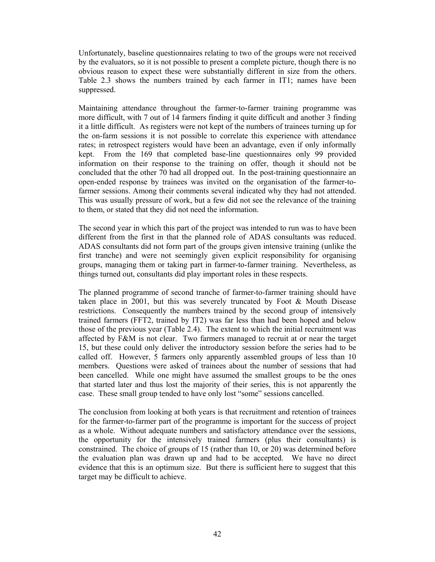Unfortunately, baseline questionnaires relating to two of the groups were not received by the evaluators, so it is not possible to present a complete picture, though there is no obvious reason to expect these were substantially different in size from the others. Table 2.3 shows the numbers trained by each farmer in IT1; names have been suppressed.

Maintaining attendance throughout the farmer-to-farmer training programme was more difficult, with 7 out of 14 farmers finding it quite difficult and another 3 finding it a little difficult. As registers were not kept of the numbers of trainees turning up for the on-farm sessions it is not possible to correlate this experience with attendance rates; in retrospect registers would have been an advantage, even if only informally kept. From the 169 that completed base-line questionnaires only 99 provided information on their response to the training on offer, though it should not be concluded that the other 70 had all dropped out. In the post-training questionnaire an open-ended response by trainees was invited on the organisation of the farmer-tofarmer sessions. Among their comments several indicated why they had not attended. This was usually pressure of work, but a few did not see the relevance of the training to them, or stated that they did not need the information.

The second year in which this part of the project was intended to run was to have been different from the first in that the planned role of ADAS consultants was reduced. ADAS consultants did not form part of the groups given intensive training (unlike the first tranche) and were not seemingly given explicit responsibility for organising groups, managing them or taking part in farmer-to-farmer training. Nevertheless, as things turned out, consultants did play important roles in these respects.

The planned programme of second tranche of farmer-to-farmer training should have taken place in 2001, but this was severely truncated by Foot & Mouth Disease restrictions. Consequently the numbers trained by the second group of intensively trained farmers (FFT2, trained by IT2) was far less than had been hoped and below those of the previous year (Table 2.4). The extent to which the initial recruitment was affected by F&M is not clear. Two farmers managed to recruit at or near the target 15, but these could only deliver the introductory session before the series had to be called off. However, 5 farmers only apparently assembled groups of less than 10 members. Questions were asked of trainees about the number of sessions that had been cancelled. While one might have assumed the smallest groups to be the ones that started later and thus lost the majority of their series, this is not apparently the case. These small group tended to have only lost "some" sessions cancelled.

The conclusion from looking at both years is that recruitment and retention of trainees for the farmer-to-farmer part of the programme is important for the success of project as a whole. Without adequate numbers and satisfactory attendance over the sessions, the opportunity for the intensively trained farmers (plus their consultants) is constrained. The choice of groups of 15 (rather than 10, or 20) was determined before the evaluation plan was drawn up and had to be accepted. We have no direct evidence that this is an optimum size. But there is sufficient here to suggest that this target may be difficult to achieve.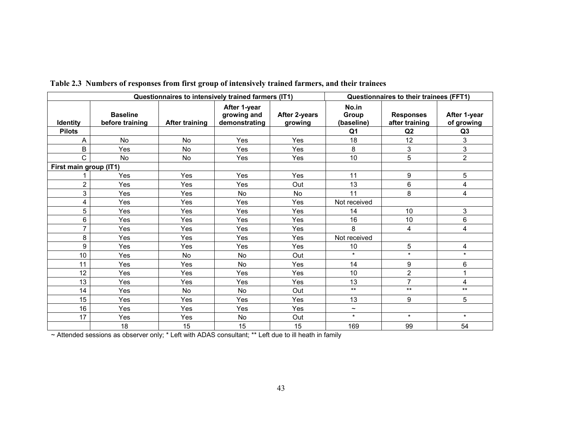| Questionnaires to intensively trained farmers (IT1) |                                    |                       |                                              | Questionnaires to their trainees (FFT1) |                                                |                                          |                                              |
|-----------------------------------------------------|------------------------------------|-----------------------|----------------------------------------------|-----------------------------------------|------------------------------------------------|------------------------------------------|----------------------------------------------|
| <b>Identity</b><br><b>Pilots</b>                    | <b>Baseline</b><br>before training | <b>After training</b> | After 1-year<br>growing and<br>demonstrating | After 2-years<br>growing                | No.in<br>Group<br>(baseline)<br>Q <sub>1</sub> | <b>Responses</b><br>after training<br>Q2 | After 1-year<br>of growing<br>Q <sub>3</sub> |
| A                                                   | <b>No</b>                          | <b>No</b>             | Yes                                          | Yes                                     | 18                                             | 12                                       | 3                                            |
| B                                                   | Yes                                | <b>No</b>             | Yes                                          | Yes                                     | 8                                              | 3                                        | 3                                            |
| Ć                                                   | No                                 | <b>No</b>             | Yes                                          | Yes                                     | 10                                             | 5                                        | $\overline{2}$                               |
| First main group (IT1)                              |                                    |                       |                                              |                                         |                                                |                                          |                                              |
|                                                     | Yes                                | Yes                   | Yes                                          | Yes                                     | 11                                             | 9                                        | 5                                            |
| $\overline{2}$                                      | Yes                                | Yes                   | Yes                                          | Out                                     | 13                                             | 6                                        | 4                                            |
| 3                                                   | Yes                                | Yes                   | <b>No</b>                                    | <b>No</b>                               | 11                                             | 8                                        | 4                                            |
| 4                                                   | Yes                                | Yes                   | Yes                                          | Yes                                     | Not received                                   |                                          |                                              |
| 5                                                   | Yes                                | Yes                   | Yes                                          | Yes                                     | 14                                             | 10                                       | 3                                            |
| 6                                                   | Yes                                | Yes                   | <b>Yes</b>                                   | Yes                                     | 16                                             | 10                                       | 6                                            |
| $\overline{7}$                                      | Yes                                | Yes                   | Yes                                          | Yes                                     | 8                                              | 4                                        | 4                                            |
| 8                                                   | Yes                                | Yes                   | Yes                                          | Yes                                     | Not received                                   |                                          |                                              |
| 9                                                   | Yes                                | Yes                   | Yes                                          | Yes                                     | 10                                             | 5                                        | 4                                            |
| 10                                                  | Yes                                | No                    | No                                           | Out                                     | $\star$                                        | $\star$                                  | $\star$                                      |
| 11                                                  | Yes                                | Yes                   | <b>No</b>                                    | Yes                                     | 14                                             | $\boldsymbol{9}$                         | 6                                            |
| 12                                                  | Yes                                | Yes                   | Yes                                          | Yes                                     | 10                                             | $\overline{2}$                           | 1                                            |
| 13                                                  | Yes                                | Yes                   | Yes                                          | Yes                                     | 13                                             | $\overline{7}$                           | 4                                            |
| 14                                                  | Yes                                | No                    | <b>No</b>                                    | Out                                     | $***$                                          | $***$                                    | $***$                                        |
| 15                                                  | Yes                                | Yes                   | Yes                                          | Yes                                     | 13                                             | 9                                        | 5                                            |
| 16                                                  | Yes                                | Yes                   | Yes                                          | Yes                                     | $\widetilde{\phantom{m}}$                      |                                          |                                              |
| 17                                                  | Yes                                | Yes                   | No                                           | Out                                     | $\star$                                        | $\star$                                  | $\star$                                      |
|                                                     | 18                                 | 15                    | 15                                           | 15                                      | 169                                            | 99                                       | 54                                           |

**Table 2.3 Numbers of responses from first group of intensively trained farmers, and their trainees** 

~ Attended sessions as observer only; \* Left with ADAS consultant; \*\* Left due to ill heath in family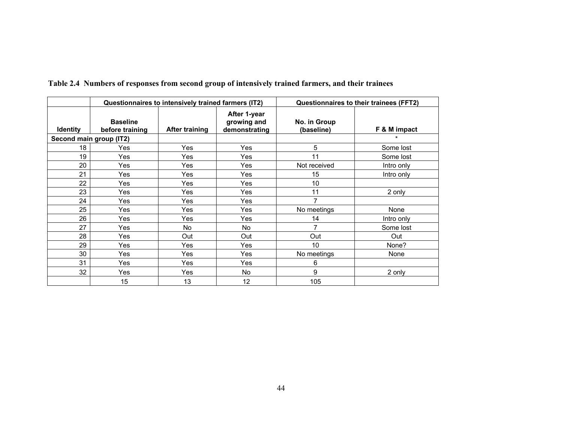|                 | Questionnaires to intensively trained farmers (IT2) |                       |                                              | Questionnaires to their trainees (FFT2) |              |  |
|-----------------|-----------------------------------------------------|-----------------------|----------------------------------------------|-----------------------------------------|--------------|--|
| <b>Identity</b> | <b>Baseline</b><br>before training                  | <b>After training</b> | After 1-year<br>growing and<br>demonstrating | No. in Group<br>(baseline)              | F & M impact |  |
|                 | Second main group (IT2)                             |                       |                                              |                                         | $\star$      |  |
| 18              | Yes                                                 | Yes                   | Yes                                          | 5                                       | Some lost    |  |
| 19              | Yes                                                 | Yes                   | Yes                                          | 11                                      | Some lost    |  |
| 20              | Yes                                                 | Yes                   | Yes                                          | Not received                            | Intro only   |  |
| 21              | Yes                                                 | Yes                   | Yes                                          | 15                                      | Intro only   |  |
| 22              | Yes                                                 | <b>Yes</b>            | Yes                                          | 10                                      |              |  |
| 23              | Yes                                                 | Yes                   | Yes                                          | 11                                      | 2 only       |  |
| 24              | Yes                                                 | Yes                   | Yes                                          | 7                                       |              |  |
| 25              | Yes                                                 | Yes                   | Yes                                          | No meetings                             | None         |  |
| 26              | Yes                                                 | Yes                   | Yes                                          | 14                                      | Intro only   |  |
| 27              | Yes                                                 | No.                   | No.                                          |                                         | Some lost    |  |
| 28              | Yes                                                 | Out                   | Out                                          | Out                                     | Out          |  |
| 29              | Yes                                                 | Yes                   | Yes                                          | 10                                      | None?        |  |
| 30              | Yes                                                 | <b>Yes</b>            | Yes                                          | No meetings                             | None         |  |
| 31              | Yes                                                 | Yes                   | Yes                                          | 6                                       |              |  |
| 32              | Yes                                                 | Yes                   | No                                           | 9                                       | 2 only       |  |
|                 | 15                                                  | 13                    | 12                                           | 105                                     |              |  |

**Table 2.4 Numbers of responses from second group of intensively trained farmers, and their trainees**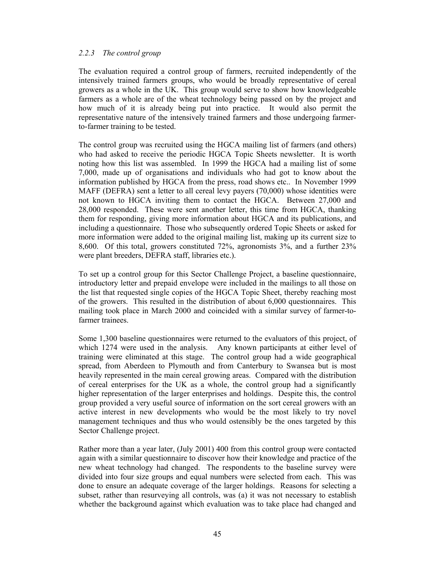#### *2.2.3 The control group*

The evaluation required a control group of farmers, recruited independently of the intensively trained farmers groups, who would be broadly representative of cereal growers as a whole in the UK. This group would serve to show how knowledgeable farmers as a whole are of the wheat technology being passed on by the project and how much of it is already being put into practice. It would also permit the representative nature of the intensively trained farmers and those undergoing farmerto-farmer training to be tested.

The control group was recruited using the HGCA mailing list of farmers (and others) who had asked to receive the periodic HGCA Topic Sheets newsletter. It is worth noting how this list was assembled. In 1999 the HGCA had a mailing list of some 7,000, made up of organisations and individuals who had got to know about the information published by HGCA from the press, road shows etc.. In November 1999 MAFF (DEFRA) sent a letter to all cereal levy payers (70,000) whose identities were not known to HGCA inviting them to contact the HGCA. Between 27,000 and 28,000 responded. These were sent another letter, this time from HGCA, thanking them for responding, giving more information about HGCA and its publications, and including a questionnaire. Those who subsequently ordered Topic Sheets or asked for more information were added to the original mailing list, making up its current size to 8,600. Of this total, growers constituted 72%, agronomists 3%, and a further 23% were plant breeders, DEFRA staff, libraries etc.).

To set up a control group for this Sector Challenge Project, a baseline questionnaire, introductory letter and prepaid envelope were included in the mailings to all those on the list that requested single copies of the HGCA Topic Sheet, thereby reaching most of the growers. This resulted in the distribution of about 6,000 questionnaires. This mailing took place in March 2000 and coincided with a similar survey of farmer-tofarmer trainees.

Some 1,300 baseline questionnaires were returned to the evaluators of this project, of which 1274 were used in the analysis. Any known participants at either level of training were eliminated at this stage. The control group had a wide geographical spread, from Aberdeen to Plymouth and from Canterbury to Swansea but is most heavily represented in the main cereal growing areas. Compared with the distribution of cereal enterprises for the UK as a whole, the control group had a significantly higher representation of the larger enterprises and holdings. Despite this, the control group provided a very useful source of information on the sort cereal growers with an active interest in new developments who would be the most likely to try novel management techniques and thus who would ostensibly be the ones targeted by this Sector Challenge project.

Rather more than a year later, (July 2001) 400 from this control group were contacted again with a similar questionnaire to discover how their knowledge and practice of the new wheat technology had changed. The respondents to the baseline survey were divided into four size groups and equal numbers were selected from each. This was done to ensure an adequate coverage of the larger holdings. Reasons for selecting a subset, rather than resurveying all controls, was (a) it was not necessary to establish whether the background against which evaluation was to take place had changed and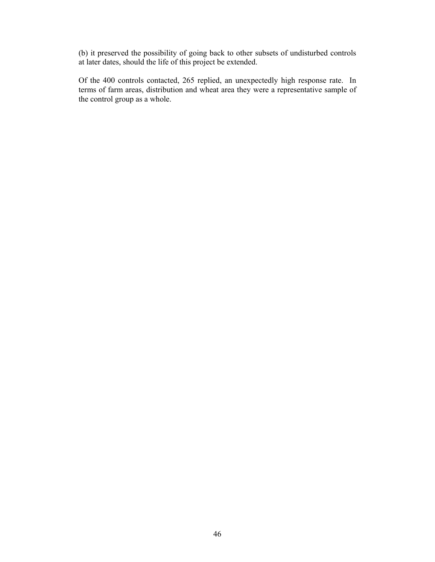(b) it preserved the possibility of going back to other subsets of undisturbed controls at later dates, should the life of this project be extended.

Of the 400 controls contacted, 265 replied, an unexpectedly high response rate. In terms of farm areas, distribution and wheat area they were a representative sample of the control group as a whole.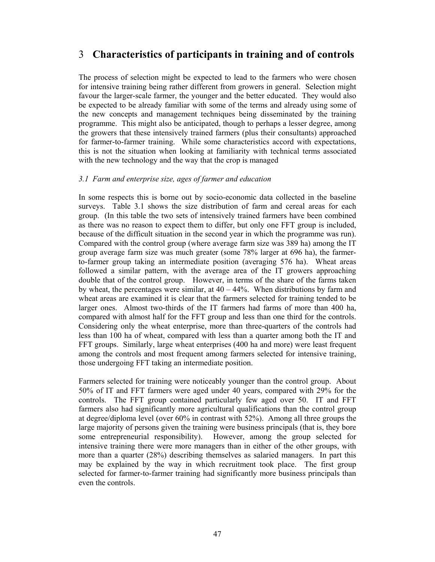# 3 **Characteristics of participants in training and of controls**

The process of selection might be expected to lead to the farmers who were chosen for intensive training being rather different from growers in general. Selection might favour the larger-scale farmer, the younger and the better educated. They would also be expected to be already familiar with some of the terms and already using some of the new concepts and management techniques being disseminated by the training programme. This might also be anticipated, though to perhaps a lesser degree, among the growers that these intensively trained farmers (plus their consultants) approached for farmer-to-farmer training. While some characteristics accord with expectations, this is not the situation when looking at familiarity with technical terms associated with the new technology and the way that the crop is managed

#### *3.1 Farm and enterprise size, ages of farmer and education*

In some respects this is borne out by socio-economic data collected in the baseline surveys. Table 3.1 shows the size distribution of farm and cereal areas for each group. (In this table the two sets of intensively trained farmers have been combined as there was no reason to expect them to differ, but only one FFT group is included, because of the difficult situation in the second year in which the programme was run). Compared with the control group (where average farm size was 389 ha) among the IT group average farm size was much greater (some 78% larger at 696 ha), the farmerto-farmer group taking an intermediate position (averaging 576 ha). Wheat areas followed a similar pattern, with the average area of the IT growers approaching double that of the control group. However, in terms of the share of the farms taken by wheat, the percentages were similar, at  $40 - 44\%$ . When distributions by farm and wheat areas are examined it is clear that the farmers selected for training tended to be larger ones. Almost two-thirds of the IT farmers had farms of more than 400 ha, compared with almost half for the FFT group and less than one third for the controls. Considering only the wheat enterprise, more than three-quarters of the controls had less than 100 ha of wheat, compared with less than a quarter among both the IT and FFT groups. Similarly, large wheat enterprises (400 ha and more) were least frequent among the controls and most frequent among farmers selected for intensive training, those undergoing FFT taking an intermediate position.

Farmers selected for training were noticeably younger than the control group. About 50% of IT and FFT farmers were aged under 40 years, compared with 29% for the controls. The FFT group contained particularly few aged over 50. IT and FFT farmers also had significantly more agricultural qualifications than the control group at degree/diploma level (over 60% in contrast with 52%). Among all three groups the large majority of persons given the training were business principals (that is, they bore some entrepreneurial responsibility). However, among the group selected for intensive training there were more managers than in either of the other groups, with more than a quarter (28%) describing themselves as salaried managers. In part this may be explained by the way in which recruitment took place. The first group selected for farmer-to-farmer training had significantly more business principals than even the controls.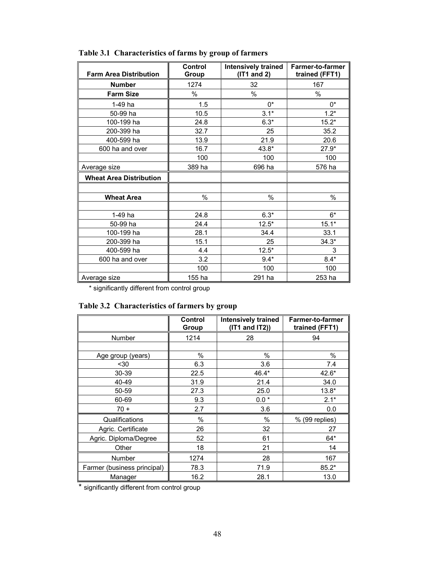| <b>Farm Area Distribution</b>  | Control<br>Group | Intensively trained<br>(IT1 and 2) | <b>Farmer-to-farmer</b><br>trained (FFT1) |
|--------------------------------|------------------|------------------------------------|-------------------------------------------|
| <b>Number</b>                  | 1274             | 32                                 | 167                                       |
| <b>Farm Size</b>               | $\%$             | $\%$                               | $\%$                                      |
| 1-49 ha                        | 1.5              | $0^*$                              | $0^*$                                     |
| 50-99 ha                       | 10.5             | $3.1*$                             | $1.2*$                                    |
| 100-199 ha                     | 24.8             | $6.3*$                             | $15.2*$                                   |
| 200-399 ha                     | 32.7             | 25                                 | 35.2                                      |
| 400-599 ha                     | 13.9             | 21.9                               | 20.6                                      |
| 600 ha and over                | 16.7             | 43.8*                              | $27.9*$                                   |
|                                | 100              | 100                                | 100                                       |
| Average size                   | 389 ha           | 696 ha                             | 576 ha                                    |
| <b>Wheat Area Distribution</b> |                  |                                    |                                           |
| <b>Wheat Area</b>              | $\%$             | %                                  | %                                         |
| 1-49 ha                        | 24.8             | $6.3*$                             | $6*$                                      |
| 50-99 ha                       | 24.4             | $12.5*$                            | $15.1*$                                   |
| 100-199 ha                     | 28.1             | 34.4                               | 33.1                                      |
| 200-399 ha                     | 15.1             | 25                                 | $34.3*$                                   |
| 400-599 ha                     | 4.4              | $12.5*$                            | 3                                         |
| 600 ha and over                | 3.2              | $9.4*$                             | $8.4*$                                    |
|                                | 100              | 100                                | 100                                       |
| Average size                   | 155 ha           | 291 ha                             | 253 ha                                    |

**Table 3.1 Characteristics of farms by group of farmers** 

\* significantly different from control group

|  | Table 3.2 Characteristics of farmers by group |  |  |
|--|-----------------------------------------------|--|--|
|--|-----------------------------------------------|--|--|

|                             | Control<br>Group | <b>Intensively trained</b><br>$(IT1$ and $IT2)$ ) | <b>Farmer-to-farmer</b><br>trained (FFT1) |
|-----------------------------|------------------|---------------------------------------------------|-------------------------------------------|
| Number                      | 1214             | 28                                                | 94                                        |
|                             |                  |                                                   |                                           |
| Age group (years)           | %                | %                                                 | %                                         |
| $30$                        | 6.3              | 3.6                                               | 7.4                                       |
| 30-39                       | 22.5             | 46.4*                                             | 42.6*                                     |
| 40-49                       | 31.9             | 21.4                                              | 34.0                                      |
| 50-59                       | 27.3             | 25.0                                              | $13.8*$                                   |
| 60-69                       | 9.3              | $0.0*$                                            | $2.1*$                                    |
| $70 +$                      | 2.7              | 3.6                                               | 0.0                                       |
| Qualifications              | %                | $\%$                                              | % (99 replies)                            |
| Agric. Certificate          | 26               | 32                                                | 27                                        |
| Agric. Diploma/Degree       | 52               | 61                                                | 64*                                       |
| Other                       | 18               | 21                                                | 14                                        |
| <b>Number</b>               | 1274             | 28                                                | 167                                       |
| Farmer (business principal) | 78.3             | 71.9                                              | 85.2*                                     |
| Manager                     | 16.2             | 28.1                                              | 13.0                                      |

\* significantly different from control group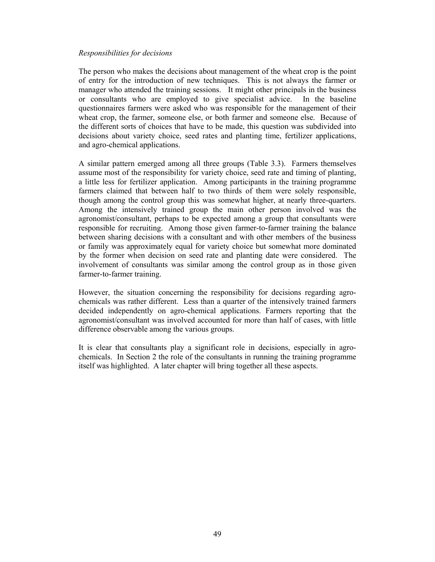#### *Responsibilities for decisions*

The person who makes the decisions about management of the wheat crop is the point of entry for the introduction of new techniques. This is not always the farmer or manager who attended the training sessions. It might other principals in the business or consultants who are employed to give specialist advice. In the baseline questionnaires farmers were asked who was responsible for the management of their wheat crop, the farmer, someone else, or both farmer and someone else. Because of the different sorts of choices that have to be made, this question was subdivided into decisions about variety choice, seed rates and planting time, fertilizer applications, and agro-chemical applications.

A similar pattern emerged among all three groups (Table 3.3). Farmers themselves assume most of the responsibility for variety choice, seed rate and timing of planting, a little less for fertilizer application. Among participants in the training programme farmers claimed that between half to two thirds of them were solely responsible, though among the control group this was somewhat higher, at nearly three-quarters. Among the intensively trained group the main other person involved was the agronomist/consultant, perhaps to be expected among a group that consultants were responsible for recruiting. Among those given farmer-to-farmer training the balance between sharing decisions with a consultant and with other members of the business or family was approximately equal for variety choice but somewhat more dominated by the former when decision on seed rate and planting date were considered. The involvement of consultants was similar among the control group as in those given farmer-to-farmer training.

However, the situation concerning the responsibility for decisions regarding agrochemicals was rather different. Less than a quarter of the intensively trained farmers decided independently on agro-chemical applications. Farmers reporting that the agronomist/consultant was involved accounted for more than half of cases, with little difference observable among the various groups.

It is clear that consultants play a significant role in decisions, especially in agrochemicals. In Section 2 the role of the consultants in running the training programme itself was highlighted. A later chapter will bring together all these aspects.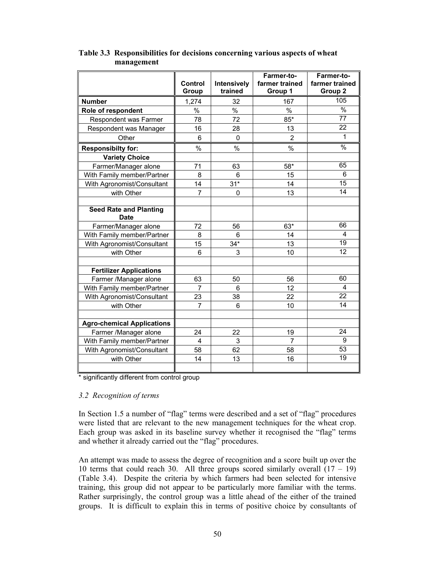|                                              |                |             | Farmer-to-     | Farmer-to-      |
|----------------------------------------------|----------------|-------------|----------------|-----------------|
|                                              | <b>Control</b> | Intensively | farmer trained | farmer trained  |
|                                              | Group          | trained     | Group 1        | Group 2<br>105  |
| <b>Number</b>                                | 1,274          | 32          | 167            |                 |
| Role of respondent                           | $\%$           | $\%$        | $\frac{0}{0}$  | $\frac{1}{2}$   |
| Respondent was Farmer                        | 78             | 72          | $85*$          | $\overline{77}$ |
| Respondent was Manager                       | 16             | 28          | 13             | 22              |
| Other                                        | 6              | 0           | $\overline{2}$ | 1               |
| <b>Responsibilty for:</b>                    | %              | $\%$        | $\%$           | $\frac{1}{2}$   |
| <b>Variety Choice</b>                        |                |             |                |                 |
| Farmer/Manager alone                         | 71             | 63          | 58*            | 65              |
| With Family member/Partner                   | 8              | 6           | 15             | 6               |
| With Agronomist/Consultant                   | 14             | $31*$       | 14             | 15              |
| with Other                                   | $\overline{7}$ | 0           | 13             | 14              |
|                                              |                |             |                |                 |
| <b>Seed Rate and Planting</b><br><b>Date</b> |                |             |                |                 |
| Farmer/Manager alone                         | 72             | 56          | 63*            | 66              |
| With Family member/Partner                   | 8              | 6           | 14             | 4               |
| With Agronomist/Consultant                   | 15             | $34*$       | 13             | 19              |
| with Other                                   | 6              | 3           | 10             | 12              |
|                                              |                |             |                |                 |
| <b>Fertilizer Applications</b>               |                |             |                |                 |
| Farmer /Manager alone                        | 63             | 50          | 56             | 60              |
| With Family member/Partner                   | $\overline{7}$ | 6           | 12             | $\overline{4}$  |
| With Agronomist/Consultant                   | 23             | 38          | 22             | 22              |
| with Other                                   | $\overline{7}$ | 6           | 10             | 14              |
|                                              |                |             |                |                 |
| <b>Agro-chemical Applications</b>            |                |             |                |                 |
| Farmer /Manager alone                        | 24             | 22          | 19             | 24              |
| With Family member/Partner                   | 4              | 3           | $\overline{7}$ | 9               |
| With Agronomist/Consultant                   | 58             | 62          | 58             | 53              |
| with Other                                   | 14             | 13          | 16             | $\overline{19}$ |
|                                              |                |             |                |                 |

## **Table 3.3 Responsibilities for decisions concerning various aspects of wheat management**

\* significantly different from control group

#### *3.2 Recognition of terms*

In Section 1.5 a number of "flag" terms were described and a set of "flag" procedures were listed that are relevant to the new management techniques for the wheat crop. Each group was asked in its baseline survey whether it recognised the "flag" terms and whether it already carried out the "flag" procedures.

An attempt was made to assess the degree of recognition and a score built up over the 10 terms that could reach 30. All three groups scored similarly overall  $(17 - 19)$ (Table 3.4). Despite the criteria by which farmers had been selected for intensive training, this group did not appear to be particularly more familiar with the terms. Rather surprisingly, the control group was a little ahead of the either of the trained groups. It is difficult to explain this in terms of positive choice by consultants of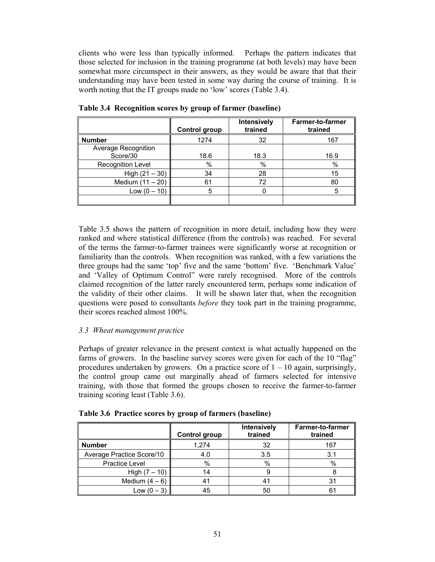clients who were less than typically informed. Perhaps the pattern indicates that those selected for inclusion in the training programme (at both levels) may have been somewhat more circumspect in their answers, as they would be aware that that their understanding may have been tested in some way during the course of training. It is worth noting that the IT groups made no 'low' scores (Table 3.4).

|                                 | Control group | Intensively<br>trained | Farmer-to-farmer<br>trained |
|---------------------------------|---------------|------------------------|-----------------------------|
| <b>Number</b>                   | 1274          | 32                     | 167                         |
| Average Recognition<br>Score/30 | 18.6          | 18.3                   | 16.9                        |
| <b>Recognition Level</b>        | $\%$          | $\%$                   | $\%$                        |
| High $(21 - 30)$                | 34            | 28                     | 15                          |
| Medium $(11 – 20)$              | 61            | 72                     | 80                          |
| Low (0 – 10)                    | 5             |                        | 5                           |
|                                 |               |                        |                             |

**Table 3.4 Recognition scores by group of farmer (baseline)** 

Table 3.5 shows the pattern of recognition in more detail, including how they were ranked and where statistical difference (from the controls) was reached. For several of the terms the farmer-to-farmer trainees were significantly worse at recognition or familiarity than the controls. When recognition was ranked, with a few variations the three groups had the same 'top' five and the same 'bottom' five. 'Benchmark Value' and 'Valley of Optimum Control" were rarely recognised. More of the controls claimed recognition of the latter rarely encountered term, perhaps some indication of the validity of their other claims. It will be shown later that, when the recognition questions were posed to consultants *before* they took part in the training programme, their scores reached almost 100%.

## *3.3 Wheat management practice*

Perhaps of greater relevance in the present context is what actually happened on the farms of growers. In the baseline survey scores were given for each of the 10 "flag" procedures undertaken by growers. On a practice score of  $1 - 10$  again, surprisingly, the control group came out marginally ahead of farmers selected for intensive training, with those that formed the groups chosen to receive the farmer-to-farmer training scoring least (Table 3.6).

|                           | <b>Control group</b> | Intensively<br>trained | Farmer-to-farmer<br>trained |
|---------------------------|----------------------|------------------------|-----------------------------|
| <b>Number</b>             | 1.274                | 32                     | 167                         |
| Average Practice Score/10 | 4.0                  | 3.5                    | 3.1                         |
| <b>Practice Level</b>     | %                    | %                      | %                           |
| High $(7 - 10)$           | 14                   |                        |                             |
| Medium $(4-6)$            | $4^{\circ}$          | 4                      | 31                          |
| Low $(0 - 3)$             | 45                   | 50                     | 61                          |

**Table 3.6 Practice scores by group of farmers (baseline)**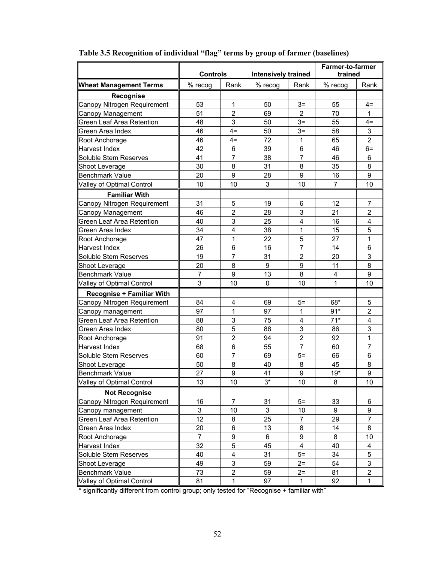|                                  | <b>Controls</b> |                | <b>Intensively trained</b> |                         | <b>Farmer-to-farmer</b><br>trained |                |
|----------------------------------|-----------------|----------------|----------------------------|-------------------------|------------------------------------|----------------|
| <b>Wheat Management Terms</b>    | % recog         | Rank           | % recog                    | Rank                    | $%$ recog                          | Rank           |
| Recognise                        |                 |                |                            |                         |                                    |                |
| Canopy Nitrogen Requirement      | 53              | 1              | 50                         | $3=$                    | 55                                 | $4=$           |
| Canopy Management                | 51              | $\overline{2}$ | 69                         | $\overline{2}$          | 70                                 | 1              |
| Green Leaf Area Retention        | 48              | 3              | 50                         | $3=$                    | 55                                 | $4=$           |
| Green Area Index                 | 46              | $4=$           | 50                         | $3=$                    | 58                                 | 3              |
| Root Anchorage                   | 46              | $4=$           | 72                         | $\mathbf 1$             | 65                                 | $\overline{2}$ |
| Harvest Index                    | 42              | 6              | 39                         | 6                       | 46                                 | $6=$           |
| Soluble Stem Reserves            | 41              | $\overline{7}$ | 38                         | $\overline{7}$          | 46                                 | 6              |
| Shoot Leverage                   | 30              | 8              | 31                         | 8                       | 35                                 | 8              |
| <b>Benchmark Value</b>           | 20              | 9              | 28                         | 9                       | 16                                 | 9              |
| Valley of Optimal Control        | 10              | 10             | 3                          | 10                      | $\overline{7}$                     | 10             |
| <b>Familiar With</b>             |                 |                |                            |                         |                                    |                |
| Canopy Nitrogen Requirement      | 31              | 5              | 19                         | 6                       | 12                                 | 7              |
| Canopy Management                | 46              | $\overline{2}$ | 28                         | 3                       | 21                                 | $\overline{2}$ |
| Green Leaf Area Retention        | 40              | 3              | 25                         | $\overline{\mathbf{4}}$ | 16                                 | 4              |
| Green Area Index                 | 34              | 4              | 38                         | 1                       | 15                                 | 5              |
| Root Anchorage                   | 47              | 1              | 22                         | 5                       | 27                                 | 1              |
| Harvest Index                    | 26              | 6              | 16                         | 7                       | 14                                 | 6              |
| Soluble Stem Reserves            | 19              | 7              | 31                         | 2                       | 20                                 | 3              |
| Shoot Leverage                   | 20              | 8              | 9                          | 9                       | 11                                 | 8              |
| <b>Benchmark Value</b>           | $\overline{7}$  | 9              | 13                         | 8                       | $\overline{\mathbf{4}}$            | 9              |
| Valley of Optimal Control        | 3               | 10             | 0                          | 10                      | 1                                  | 10             |
| <b>Recognise + Familiar With</b> |                 |                |                            |                         |                                    |                |
| Canopy Nitrogen Requirement      | 84              | 4              | 69                         | $5=$                    | 68*                                | 5              |
| Canopy management                | 97              | 1              | 97                         | 1                       | $91*$                              | $\overline{2}$ |
| <b>Green Leaf Area Retention</b> | 88              | 3              | 75                         | $\overline{\mathbf{4}}$ | $71*$                              | 4              |
| Green Area Index                 | 80              | 5              | 88                         | 3                       | 86                                 | 3              |
| Root Anchorage                   | 91              | $\overline{2}$ | 94                         | $\overline{2}$          | 92                                 | 1              |
| Harvest Index                    | 68              | 6              | 55                         | $\overline{7}$          | 60                                 | $\overline{7}$ |
| Soluble Stem Reserves            | 60              | $\overline{7}$ | 69                         | $5=$                    | 66                                 | 6              |
| Shoot Leverage                   | 50              | 8              | 40                         | 8                       | 45                                 | 8              |
| <b>Benchmark Value</b>           | 27              | 9              | 41                         | 9                       | $19*$                              | 9              |
| Valley of Optimal Control        | 13              | 10             | 3*                         | 10                      | 8                                  | 10             |
| <b>Not Recognise</b>             |                 |                |                            |                         |                                    |                |
| Canopy Nitrogen Requirement      | 16              | 7              | 31                         | $5=$                    | 33                                 | 6              |
| Canopy management                | 3               | 10             | 3                          | 10                      | 9                                  | 9              |
| <b>Green Leaf Area Retention</b> | 12              | 8              | 25                         | $\overline{7}$          | 29                                 | $\overline{7}$ |
| Green Area Index                 | 20              | 6              | 13                         | 8                       | 14                                 | 8              |
| Root Anchorage                   | $\overline{7}$  | 9              | 6                          | 9                       | 8                                  | 10             |
| Harvest Index                    | 32              | 5              | 45                         | 4                       | 40                                 | 4              |
| Soluble Stem Reserves            | 40              | 4              | 31                         | $5=$                    | 34                                 | 5              |
| Shoot Leverage                   | 49              | 3              | 59                         | $2=$                    | 54                                 | 3              |
| <b>Benchmark Value</b>           | 73              | 2              | 59                         | $2 =$                   | 81                                 | $\overline{2}$ |
| Valley of Optimal Control        | 81              | 1              | 97                         | 1                       | 92                                 | 1              |

# **Table 3.5 Recognition of individual "flag" terms by group of farmer (baselines)**

\* significantly different from control group; only tested for "Recognise + familiar with"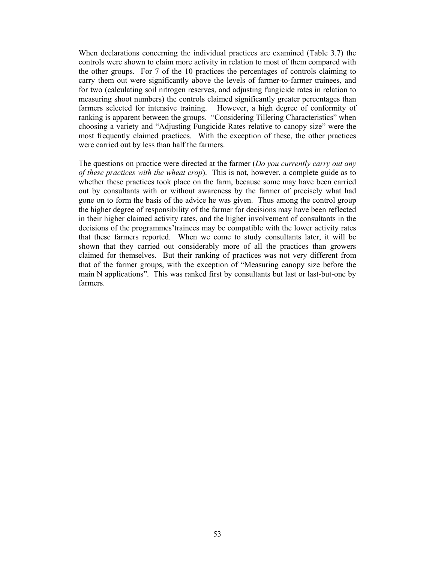When declarations concerning the individual practices are examined (Table 3.7) the controls were shown to claim more activity in relation to most of them compared with the other groups. For 7 of the 10 practices the percentages of controls claiming to carry them out were significantly above the levels of farmer-to-farmer trainees, and for two (calculating soil nitrogen reserves, and adjusting fungicide rates in relation to measuring shoot numbers) the controls claimed significantly greater percentages than farmers selected for intensive training. However, a high degree of conformity of ranking is apparent between the groups. "Considering Tillering Characteristics" when choosing a variety and "Adjusting Fungicide Rates relative to canopy size" were the most frequently claimed practices. With the exception of these, the other practices were carried out by less than half the farmers.

The questions on practice were directed at the farmer (*Do you currently carry out any of these practices with the wheat crop*). This is not, however, a complete guide as to whether these practices took place on the farm, because some may have been carried out by consultants with or without awareness by the farmer of precisely what had gone on to form the basis of the advice he was given. Thus among the control group the higher degree of responsibility of the farmer for decisions may have been reflected in their higher claimed activity rates, and the higher involvement of consultants in the decisions of the programmes'trainees may be compatible with the lower activity rates that these farmers reported. When we come to study consultants later, it will be shown that they carried out considerably more of all the practices than growers claimed for themselves. But their ranking of practices was not very different from that of the farmer groups, with the exception of "Measuring canopy size before the main N applications". This was ranked first by consultants but last or last-but-one by farmers.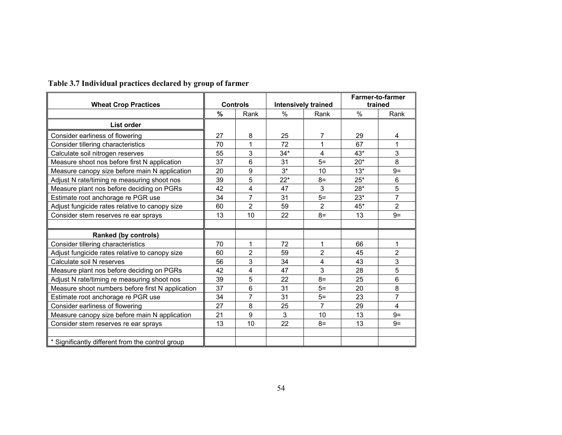| <b>Wheat Crop Practices</b>                      | <b>Controls</b> |                  | <b>Intensively trained</b> |                | Farmer-to-farmer<br>trained |                |
|--------------------------------------------------|-----------------|------------------|----------------------------|----------------|-----------------------------|----------------|
|                                                  | %               | Rank             | $\%$                       | Rank           | $\%$                        | Rank           |
| List order                                       |                 |                  |                            |                |                             |                |
| Consider earliness of flowering                  | 27              | 8                | 25                         | 7              | 29                          | 4              |
| Consider tillering characteristics               | 70              | 1                | 72                         | 1              | 67                          | 1              |
| Calculate soil nitrogen reserves                 | 55              | 3                | $34*$                      | 4              | 43*                         | 3              |
| Measure shoot nos before first N application     | 37              | 6                | 31                         | $5=$           | $20*$                       | 8              |
| Measure canopy size before main N application    | 20              | $\boldsymbol{9}$ | $3^*$                      | 10             | $13*$                       | $9=$           |
| Adjust N rate/timing re measuring shoot nos      | 39              | 5                | $22*$                      | $8=$           | $25*$                       | 6              |
| Measure plant nos before deciding on PGRs        | 42              | 4                | 47                         | 3              | $28*$                       | 5              |
| Estimate root anchorage re PGR use               | 34              | $\overline{7}$   | 31                         | $5=$           | $23*$                       | $\overline{7}$ |
| Adjust fungicide rates relative to canopy size   | 60              | $\overline{2}$   | 59                         | $\overline{2}$ | $45*$                       | $\overline{2}$ |
| Consider stem reserves re ear sprays             | 13              | 10               | 22                         | $8=$           | 13                          | $9=$           |
|                                                  |                 |                  |                            |                |                             |                |
| Ranked (by controls)                             |                 |                  |                            |                |                             |                |
| Consider tillering characteristics               | 70              | 1                | 72                         | 1              | 66                          | 1              |
| Adjust fungicide rates relative to canopy size   | 60              | $\overline{2}$   | 59                         | $\overline{2}$ | 45                          | $\overline{2}$ |
| Calculate soil N reserves                        | 56              | 3                | 34                         | 4              | 43                          | 3              |
| Measure plant nos before deciding on PGRs        | 42              | 4                | 47                         | 3              | 28                          | 5              |
| Adjust N rate/timing re measuring shoot nos      | 39              | 5                | 22                         | $8=$           | 25                          | 6              |
| Measure shoot numbers before first N application | 37              | $6\phantom{1}$   | 31                         | $5=$           | 20                          | 8              |
| Estimate root anchorage re PGR use               | 34              | 7                | 31                         | $5=$           | 23                          | $\overline{7}$ |
| Consider earliness of flowering                  | 27              | 8                | 25                         | $\overline{7}$ | 29                          | 4              |
| Measure canopy size before main N application    | 21              | 9                | 3                          | 10             | 13                          | $9=$           |
| Consider stem reserves re ear sprays             | 13              | 10               | 22                         | $8=$           | 13                          | $9=$           |
|                                                  |                 |                  |                            |                |                             |                |
| * Significantly different from the control group |                 |                  |                            |                |                             |                |

#### **Table 3.7 Individual practices declared by group of farmer**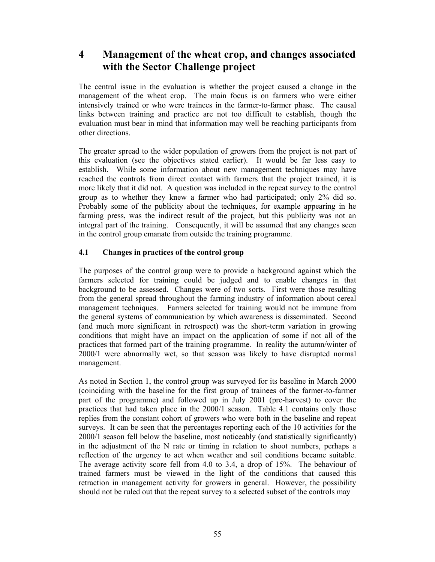# **4 Management of the wheat crop, and changes associated with the Sector Challenge project**

The central issue in the evaluation is whether the project caused a change in the management of the wheat crop. The main focus is on farmers who were either intensively trained or who were trainees in the farmer-to-farmer phase. The causal links between training and practice are not too difficult to establish, though the evaluation must bear in mind that information may well be reaching participants from other directions.

The greater spread to the wider population of growers from the project is not part of this evaluation (see the objectives stated earlier). It would be far less easy to establish. While some information about new management techniques may have reached the controls from direct contact with farmers that the project trained, it is more likely that it did not. A question was included in the repeat survey to the control group as to whether they knew a farmer who had participated; only 2% did so. Probably some of the publicity about the techniques, for example appearing in he farming press, was the indirect result of the project, but this publicity was not an integral part of the training. Consequently, it will be assumed that any changes seen in the control group emanate from outside the training programme.

## **4.1 Changes in practices of the control group**

The purposes of the control group were to provide a background against which the farmers selected for training could be judged and to enable changes in that background to be assessed. Changes were of two sorts. First were those resulting from the general spread throughout the farming industry of information about cereal management techniques. Farmers selected for training would not be immune from the general systems of communication by which awareness is disseminated. Second (and much more significant in retrospect) was the short-term variation in growing conditions that might have an impact on the application of some if not all of the practices that formed part of the training programme. In reality the autumn/winter of 2000/1 were abnormally wet, so that season was likely to have disrupted normal management.

As noted in Section 1, the control group was surveyed for its baseline in March 2000 (coinciding with the baseline for the first group of trainees of the farmer-to-farmer part of the programme) and followed up in July 2001 (pre-harvest) to cover the practices that had taken place in the 2000/1 season. Table 4.1 contains only those replies from the constant cohort of growers who were both in the baseline and repeat surveys. It can be seen that the percentages reporting each of the 10 activities for the 2000/1 season fell below the baseline, most noticeably (and statistically significantly) in the adjustment of the N rate or timing in relation to shoot numbers, perhaps a reflection of the urgency to act when weather and soil conditions became suitable. The average activity score fell from 4.0 to 3.4, a drop of 15%. The behaviour of trained farmers must be viewed in the light of the conditions that caused this retraction in management activity for growers in general. However, the possibility should not be ruled out that the repeat survey to a selected subset of the controls may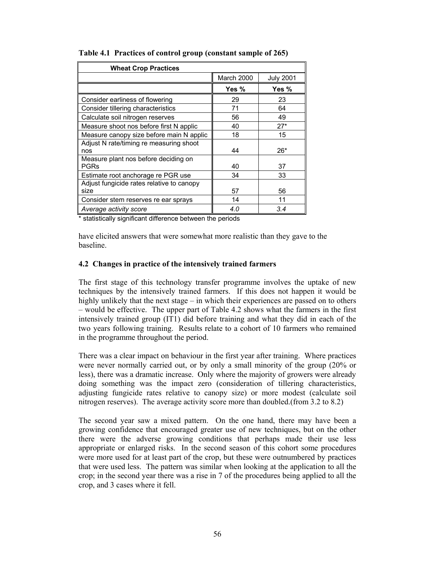| <b>Wheat Crop Practices</b>                         |            |                  |
|-----------------------------------------------------|------------|------------------|
|                                                     | March 2000 | <b>July 2001</b> |
|                                                     | Yes %      | Yes %            |
| Consider earliness of flowering                     | 29         | 23               |
| Consider tillering characteristics                  | 71         | 64               |
| Calculate soil nitrogen reserves                    | 56         | 49               |
| Measure shoot nos before first N applic             | 40         | $27*$            |
| Measure canopy size before main N applic            | 18         | 15               |
| Adjust N rate/timing re measuring shoot<br>nos      | 44         | 26*              |
| Measure plant nos before deciding on<br><b>PGRs</b> | 40         | 37               |
| Estimate root anchorage re PGR use                  | 34         | 33               |
| Adjust fungicide rates relative to canopy<br>size   | 57         | 56               |
| Consider stem reserves re ear sprays                | 14         | 11               |
| Average activity score                              | 4.0        | 3.4              |

**Table 4.1 Practices of control group (constant sample of 265)** 

\* statistically significant difference between the periods

have elicited answers that were somewhat more realistic than they gave to the baseline.

#### **4.2 Changes in practice of the intensively trained farmers**

The first stage of this technology transfer programme involves the uptake of new techniques by the intensively trained farmers. If this does not happen it would be highly unlikely that the next stage – in which their experiences are passed on to others – would be effective. The upper part of Table 4.2 shows what the farmers in the first intensively trained group (IT1) did before training and what they did in each of the two years following training. Results relate to a cohort of 10 farmers who remained in the programme throughout the period.

There was a clear impact on behaviour in the first year after training. Where practices were never normally carried out, or by only a small minority of the group (20% or less), there was a dramatic increase. Only where the majority of growers were already doing something was the impact zero (consideration of tillering characteristics, adjusting fungicide rates relative to canopy size) or more modest (calculate soil nitrogen reserves). The average activity score more than doubled.(from 3.2 to 8.2)

The second year saw a mixed pattern. On the one hand, there may have been a growing confidence that encouraged greater use of new techniques, but on the other there were the adverse growing conditions that perhaps made their use less appropriate or enlarged risks. In the second season of this cohort some procedures were more used for at least part of the crop, but these were outnumbered by practices that were used less. The pattern was similar when looking at the application to all the crop; in the second year there was a rise in 7 of the procedures being applied to all the crop, and 3 cases where it fell.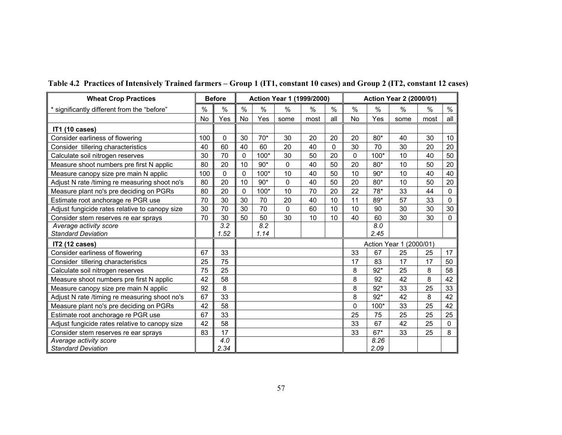| <b>Wheat Crop Practices</b>                    |     | <b>Before</b>    |    |                  | Action Year 1 (1999/2000) |      |             |           |               | <b>Action Year 2 (2000/01)</b> |      |              |
|------------------------------------------------|-----|------------------|----|------------------|---------------------------|------|-------------|-----------|---------------|--------------------------------|------|--------------|
| * significantly different from the "before"    | %   | $\%$             | %  | $\%$             | $\%$                      | $\%$ | $\%$        | $\%$      | $\frac{0}{0}$ | $\frac{0}{0}$                  | %    | $\%$         |
|                                                | No  | Yes              | No | Yes              | some                      | most | all         | <b>No</b> | Yes           | some                           | most | all          |
| <b>IT1 (10 cases)</b>                          |     |                  |    |                  |                           |      |             |           |               |                                |      |              |
| Consider earliness of flowering                | 100 | $\mathbf 0$      | 30 | $70*$            | 30                        | 20   | 20          | 20        | 80*           | 40                             | 30   | 10           |
| Consider tillering characteristics             | 40  | 60               | 40 | 60               | 20                        | 40   | $\mathbf 0$ | 30        | 70            | 30                             | 20   | 20           |
| Calculate soil nitrogen reserves               | 30  | 70               | 0  | 100*             | 30                        | 50   | 20          | 0         | 100*          | 10                             | 40   | 50           |
| Measure shoot numbers pre first N applic       | 80  | 20               | 10 | $90*$            | 0                         | 40   | 50          | 20        | $80*$         | 10                             | 50   | 20           |
| Measure canopy size pre main N applic          | 100 | $\mathbf{0}$     | 0  | 100*             | 10                        | 40   | 50          | 10        | $90*$         | 10                             | 40   | 40           |
| Adjust N rate /timing re measuring shoot no's  | 80  | 20               | 10 | $90*$            | 0                         | 40   | 50          | 20        | $80*$         | 10                             | 50   | 20           |
| Measure plant no's pre deciding on PGRs        | 80  | 20               | 0  | 100*             | 10                        | 70   | 20          | 22        | 78*           | 33                             | 44   | $\mathbf{0}$ |
| Estimate root anchorage re PGR use             | 70  | 30               | 30 | 70               | 20                        | 40   | 10          | 11        | 89*           | 57                             | 33   | $\mathbf 0$  |
| Adjust fungicide rates relative to canopy size | 30  | 70               | 30 | 70               | 0                         | 60   | 10          | 10        | 90            | 30                             | 30   | 30           |
| Consider stem reserves re ear sprays           | 70  | 30               | 50 | 50               | 30                        | 10   | 10          | 40        | 60            | 30                             | 30   | $\mathbf{0}$ |
| Average activity score                         |     | $\overline{3.2}$ |    | $\overline{8.2}$ |                           |      |             |           | 8.0           |                                |      |              |
| <b>Standard Deviation</b>                      |     | 1.52             |    | 1.14             |                           |      |             |           | 2.45          |                                |      |              |
| IT2 (12 cases)                                 |     |                  |    |                  |                           |      |             |           |               | Action Year 1 (2000/01)        |      |              |
| Consider earliness of flowering                | 67  | 33               |    |                  |                           |      |             | 33        | 67            | 25                             | 25   | 17           |
| Consider tillering characteristics             | 25  | 75               |    |                  |                           |      |             | 17        | 83            | 17                             | 17   | 50           |
| Calculate soil nitrogen reserves               | 75  | 25               |    |                  |                           |      |             | 8         | $92*$         | 25                             | 8    | 58           |
| Measure shoot numbers pre first N applic       | 42  | 58               |    |                  |                           |      |             | 8         | 92            | 42                             | 8    | 42           |
| Measure canopy size pre main N applic          | 92  | 8                |    |                  |                           |      |             | 8         | $92*$         | 33                             | 25   | 33           |
| Adjust N rate /timing re measuring shoot no's  | 67  | 33               |    |                  |                           |      |             | 8         | $92*$         | 42                             | 8    | 42           |
| Measure plant no's pre deciding on PGRs        | 42  | 58               |    |                  |                           |      |             | 0         | 100*          | 33                             | 25   | 42           |
| Estimate root anchorage re PGR use             | 67  | 33               |    |                  |                           |      |             | 25        | 75            | 25                             | 25   | 25           |
| Adjust fungicide rates relative to canopy size | 42  | 58               |    |                  |                           |      |             | 33        | 67            | 42                             | 25   | 0            |
| Consider stem reserves re ear sprays           | 83  | 17               |    |                  |                           |      |             | 33        | $67*$         | 33                             | 25   | 8            |
| Average activity score                         |     | 4.0              |    |                  |                           |      |             |           | 8.26          |                                |      |              |
| <b>Standard Deviation</b>                      |     | 2.34             |    |                  |                           |      |             |           | 2.09          |                                |      |              |

# **Table 4.2 Practices of Intensively Trained farmers – Group 1 (IT1, constant 10 cases) and Group 2 (IT2, constant 12 cases)**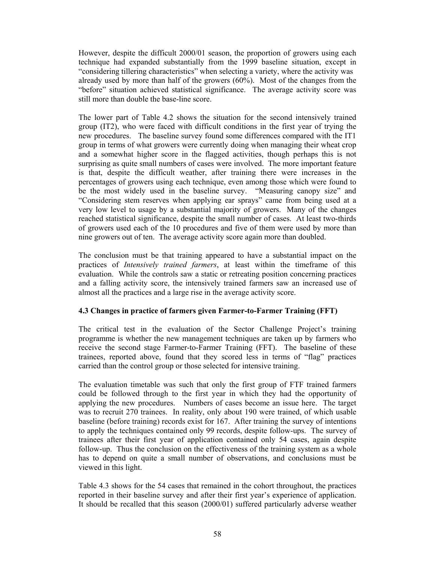However, despite the difficult 2000/01 season, the proportion of growers using each technique had expanded substantially from the 1999 baseline situation, except in "considering tillering characteristics" when selecting a variety, where the activity was already used by more than half of the growers (60%). Most of the changes from the "before" situation achieved statistical significance. The average activity score was still more than double the base-line score.

The lower part of Table 4.2 shows the situation for the second intensively trained group (IT2), who were faced with difficult conditions in the first year of trying the new procedures. The baseline survey found some differences compared with the IT1 group in terms of what growers were currently doing when managing their wheat crop and a somewhat higher score in the flagged activities, though perhaps this is not surprising as quite small numbers of cases were involved. The more important feature is that, despite the difficult weather, after training there were increases in the percentages of growers using each technique, even among those which were found to be the most widely used in the baseline survey. "Measuring canopy size" and "Considering stem reserves when applying ear sprays" came from being used at a very low level to usage by a substantial majority of growers. Many of the changes reached statistical significance, despite the small number of cases. At least two-thirds of growers used each of the 10 procedures and five of them were used by more than nine growers out of ten. The average activity score again more than doubled.

The conclusion must be that training appeared to have a substantial impact on the practices of *Intensively trained farmers*, at least within the timeframe of this evaluation. While the controls saw a static or retreating position concerning practices and a falling activity score, the intensively trained farmers saw an increased use of almost all the practices and a large rise in the average activity score.

## **4.3 Changes in practice of farmers given Farmer-to-Farmer Training (FFT)**

The critical test in the evaluation of the Sector Challenge Project's training programme is whether the new management techniques are taken up by farmers who receive the second stage Farmer-to-Farmer Training (FFT). The baseline of these trainees, reported above, found that they scored less in terms of "flag" practices carried than the control group or those selected for intensive training.

The evaluation timetable was such that only the first group of FTF trained farmers could be followed through to the first year in which they had the opportunity of applying the new procedures. Numbers of cases become an issue here. The target was to recruit 270 trainees. In reality, only about 190 were trained, of which usable baseline (before training) records exist for 167. After training the survey of intentions to apply the techniques contained only 99 records, despite follow-ups. The survey of trainees after their first year of application contained only 54 cases, again despite follow-up. Thus the conclusion on the effectiveness of the training system as a whole has to depend on quite a small number of observations, and conclusions must be viewed in this light.

Table 4.3 shows for the 54 cases that remained in the cohort throughout, the practices reported in their baseline survey and after their first year's experience of application. It should be recalled that this season (2000/01) suffered particularly adverse weather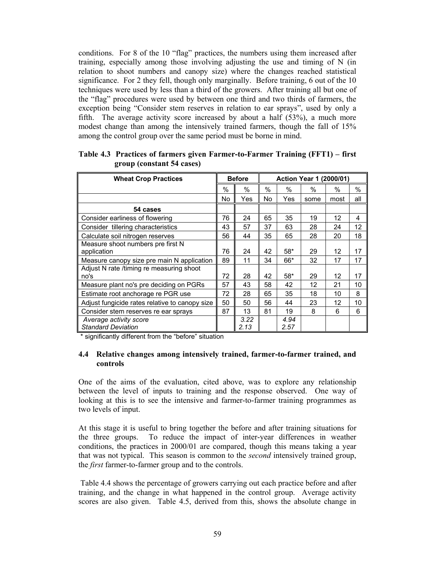conditions. For 8 of the 10 "flag" practices, the numbers using them increased after training, especially among those involving adjusting the use and timing of N (in relation to shoot numbers and canopy size) where the changes reached statistical significance. For 2 they fell, though only marginally. Before training, 6 out of the 10 techniques were used by less than a third of the growers. After training all but one of the "flag" procedures were used by between one third and two thirds of farmers, the exception being "Consider stem reserves in relation to ear sprays", used by only a fifth. The average activity score increased by about a half (53%), a much more modest change than among the intensively trained farmers, though the fall of 15% among the control group over the same period must be borne in mind.

| <b>Wheat Crop Practices</b>                      |      | <b>Before</b> |      | <b>Action Year 1 (2000/01)</b> |      |      |      |  |  |
|--------------------------------------------------|------|---------------|------|--------------------------------|------|------|------|--|--|
|                                                  | $\%$ | $\%$          | $\%$ | $\%$                           | $\%$ | $\%$ | $\%$ |  |  |
|                                                  | No   | Yes           | No.  | Yes                            | some | most | all  |  |  |
| 54 cases                                         |      |               |      |                                |      |      |      |  |  |
| Consider earliness of flowering                  | 76   | 24            | 65   | 35                             | 19   | 12   | 4    |  |  |
| Consider tillering characteristics               | 43   | 57            | 37   | 63                             | 28   | 24   | 12   |  |  |
| Calculate soil nitrogen reserves                 | 56   | 44            | 35   | 65                             | 28   | 20   | 18   |  |  |
| Measure shoot numbers pre first N<br>application | 76   | 24            | 42   | $58*$                          | 29   | 12   | 17   |  |  |
| Measure canopy size pre main N application       | 89   | 11            | 34   | 66*                            | 32   | 17   | 17   |  |  |
| Adjust N rate /timing re measuring shoot<br>no's | 72   | 28            | 42   | $58*$                          | 29   | 12   | 17   |  |  |
| Measure plant no's pre deciding on PGRs          | 57   | 43            | 58   | 42                             | 12   | 21   | 10   |  |  |
| Estimate root anchorage re PGR use               | 72   | 28            | 65   | 35                             | 18   | 10   | 8    |  |  |
| Adjust fungicide rates relative to canopy size   | 50   | 50            | 56   | 44                             | 23   | 12   | 10   |  |  |
| Consider stem reserves re ear sprays             | 87   | 13            | 81   | 19                             | 8    | 6    | 6    |  |  |
| Average activity score                           |      | 3.22          |      | 4.94                           |      |      |      |  |  |
| <b>Standard Deviation</b>                        |      | 2.13          |      | 2.57                           |      |      |      |  |  |

**Table 4.3 Practices of farmers given Farmer-to-Farmer Training (FFT1) – first group (constant 54 cases)** 

\* significantly different from the "before" situation

#### **4.4 Relative changes among intensively trained, farmer-to-farmer trained, and controls**

One of the aims of the evaluation, cited above, was to explore any relationship between the level of inputs to training and the response observed. One way of looking at this is to see the intensive and farmer-to-farmer training programmes as two levels of input.

At this stage it is useful to bring together the before and after training situations for the three groups. To reduce the impact of inter-year differences in weather conditions, the practices in 2000/01 are compared, though this means taking a year that was not typical. This season is common to the *second* intensively trained group, the *first* farmer-to-farmer group and to the controls.

 Table 4.4 shows the percentage of growers carrying out each practice before and after training, and the change in what happened in the control group. Average activity scores are also given. Table 4.5, derived from this, shows the absolute change in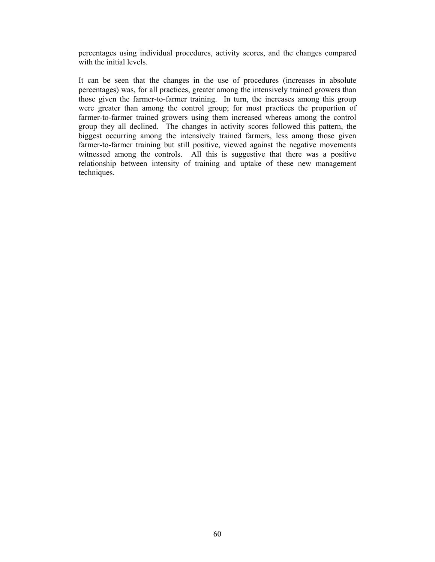percentages using individual procedures, activity scores, and the changes compared with the initial levels.

It can be seen that the changes in the use of procedures (increases in absolute percentages) was, for all practices, greater among the intensively trained growers than those given the farmer-to-farmer training. In turn, the increases among this group were greater than among the control group; for most practices the proportion of farmer-to-farmer trained growers using them increased whereas among the control group they all declined. The changes in activity scores followed this pattern, the biggest occurring among the intensively trained farmers, less among those given farmer-to-farmer training but still positive, viewed against the negative movements witnessed among the controls. All this is suggestive that there was a positive relationship between intensity of training and uptake of these new management techniques.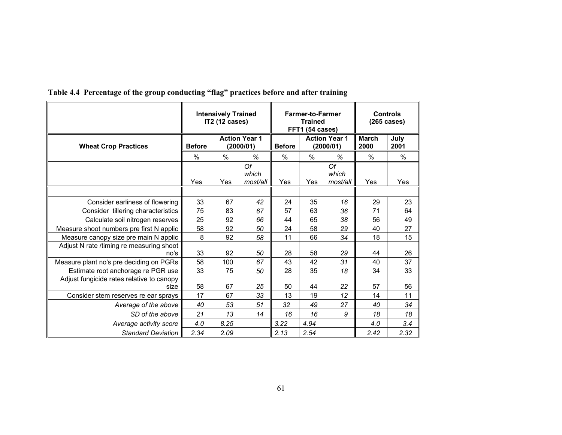|                                                   |               | <b>Intensively Trained</b><br><b>IT2 (12 cases)</b> |                         | <b>Farmer-to-Farmer</b><br><b>Trained</b><br>FFT1 (54 cases) | <b>Controls</b><br>(265 cases)    |                         |                      |              |
|---------------------------------------------------|---------------|-----------------------------------------------------|-------------------------|--------------------------------------------------------------|-----------------------------------|-------------------------|----------------------|--------------|
| <b>Wheat Crop Practices</b>                       | <b>Before</b> | <b>Action Year 1</b><br>(2000/01)                   |                         | <b>Before</b>                                                | <b>Action Year 1</b><br>(2000/01) |                         | <b>March</b><br>2000 | July<br>2001 |
|                                                   | %             | $\%$<br>%                                           |                         | $\%$                                                         | $\%$                              | %                       | $\%$                 | $\%$         |
|                                                   | Yes           | Yes                                                 | Of<br>which<br>most/all | Yes                                                          | Yes                               | Of<br>which<br>most/all | Yes                  | Yes          |
|                                                   |               |                                                     |                         |                                                              |                                   |                         |                      |              |
| Consider earliness of flowering                   | 33            | 67                                                  | 42                      | 24                                                           | 35                                | 16                      | 29                   | 23           |
| Consider tillering characteristics                | 75            | 83                                                  | 67                      | 57                                                           | 63                                | 36                      | 71                   | 64           |
| Calculate soil nitrogen reserves                  | 25            | 92                                                  | 66                      | 44                                                           | 65                                | 38                      | 56                   | 49           |
| Measure shoot numbers pre first N applic          | 58            | 92                                                  | 50                      | 24                                                           | 58                                | 29                      | 40                   | 27           |
| Measure canopy size pre main N applic             | 8             | 92                                                  | 58                      | 11                                                           | 66                                | 34                      | 18                   | 15           |
| Adjust N rate /timing re measuring shoot<br>no's  | 33            | 92                                                  | 50                      | 28                                                           | 58                                | 29                      | 44                   | 26           |
| Measure plant no's pre deciding on PGRs           | 58            | 100                                                 | 67                      | 43                                                           | 42                                | 31                      | 40                   | 37           |
| Estimate root anchorage re PGR use                | 33            | 75                                                  | 50                      | 28                                                           | 35                                | 18                      | 34                   | 33           |
| Adjust fungicide rates relative to canopy<br>size | 58            | 67                                                  | 25                      | 50                                                           | 44                                | 22                      | 57                   | 56           |
| Consider stem reserves re ear sprays              | 17            | 67                                                  | 33                      | 13                                                           | 19                                | 12                      | 14                   | 11           |
| Average of the above                              | 40            | 53                                                  | 51                      | 32                                                           | 49                                | 27                      | 40                   | 34           |
| SD of the above                                   | 21            | 13                                                  | 14                      | 16                                                           | 16                                | 9                       | 18                   | 18           |
| Average activity score                            | 4.0           | 8.25                                                |                         | 3.22                                                         | 4.94                              |                         | 4.0                  | 3.4          |
| <b>Standard Deviation</b>                         | 2.34          | 2.09                                                |                         | 2.13                                                         | 2.54                              |                         | 2.42                 | 2.32         |

# **Table 4.4 Percentage of the group conducting "flag" practices before and after training**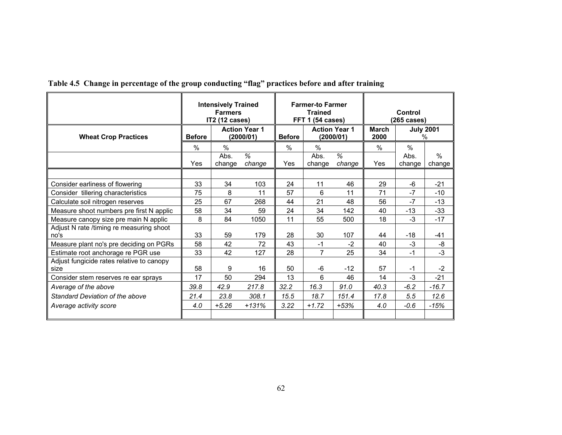|                                                   | <b>Intensively Trained</b><br><b>Farmers</b><br><b>IT2 (12 cases)</b> |                                   |                           |               | <b>Farmer-to Farmer</b><br><b>Trained</b><br>FFT 1 (54 cases) |                           | Control<br>(265 cases) |                          |                |  |
|---------------------------------------------------|-----------------------------------------------------------------------|-----------------------------------|---------------------------|---------------|---------------------------------------------------------------|---------------------------|------------------------|--------------------------|----------------|--|
| <b>Wheat Crop Practices</b>                       | <b>Before</b>                                                         | <b>Action Year 1</b><br>(2000/01) |                           | <b>Before</b> | <b>Action Year 1</b><br>(2000/01)                             |                           | <b>March</b><br>2000   | <b>July 2001</b><br>$\%$ |                |  |
|                                                   | %                                                                     | $\%$                              |                           | $\%$          | %                                                             |                           | $\%$                   | $\%$                     |                |  |
|                                                   | Yes                                                                   | Abs.<br>change                    | $\overline{\%}$<br>change | Yes           | Abs.<br>change                                                | $\overline{\%}$<br>change | Yes                    | Abs.<br>change           | $\%$<br>change |  |
|                                                   |                                                                       |                                   |                           |               |                                                               |                           |                        |                          |                |  |
| Consider earliness of flowering                   | 33                                                                    | 34                                | 103                       | 24            | 11                                                            | 46                        | 29                     | $-6$                     | $-21$          |  |
| Consider tillering characteristics                | 75                                                                    | 8                                 | 11                        | 57            | 6                                                             | 11                        | 71                     | $-7$                     | $-10$          |  |
| Calculate soil nitrogen reserves                  | 25                                                                    | 67                                | 268                       | 44            | 21                                                            | 48                        | 56                     | $-7$                     | $-13$          |  |
| Measure shoot numbers pre first N applic          | 58                                                                    | 34                                | 59                        | 24            | 34                                                            | 142                       | 40                     | $-13$                    | -33            |  |
| Measure canopy size pre main N applic             | 8                                                                     | 84                                | 1050                      | 11            | 55                                                            | 500                       | 18                     | $-3$                     | $-17$          |  |
| Adjust N rate /timing re measuring shoot<br>no's  | 33                                                                    | 59                                | 179                       | 28            | 30                                                            | 107                       | 44                     | $-18$                    | $-41$          |  |
| Measure plant no's pre deciding on PGRs           | 58                                                                    | 42                                | 72                        | 43            | $-1$                                                          | $-2$                      | 40                     | $-3$                     | -8             |  |
| Estimate root anchorage re PGR use                | 33                                                                    | 42                                | 127                       | 28            | $\overline{7}$                                                | 25                        | 34                     | $-1$                     | $-3$           |  |
| Adjust fungicide rates relative to canopy<br>size | 58                                                                    | 9                                 | 16                        | 50            | -6                                                            | $-12$                     | 57                     | $-1$                     | -2             |  |
| Consider stem reserves re ear sprays              | 17                                                                    | 50                                | 294                       | 13            | 6                                                             | 46                        | 14                     | $-3$                     | $-21$          |  |
| Average of the above                              | 39.8                                                                  | 42.9                              | 217.8                     | 32.2          | 16.3                                                          | 91.0                      | 40.3                   | $-6.2$                   | $-16.7$        |  |
| Standard Deviation of the above                   | 21.4                                                                  | 23.8                              | 308.1                     | 15.5          | 18.7                                                          | 151.4                     | 17.8                   | 5.5                      | 12.6           |  |
| Average activity score                            | 4.0                                                                   | $+5.26$                           | $+131%$                   | 3.22          | $+1.72$                                                       | $+53%$                    | 4.0                    | $-0.6$                   | $-15%$         |  |
|                                                   |                                                                       |                                   |                           |               |                                                               |                           |                        |                          |                |  |

**Table 4.5 Change in percentage of the group conducting "flag" practices before and after training**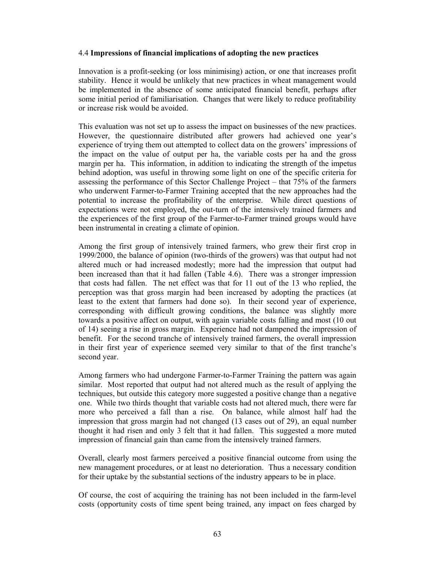#### 4.4 **Impressions of financial implications of adopting the new practices**

Innovation is a profit-seeking (or loss minimising) action, or one that increases profit stability. Hence it would be unlikely that new practices in wheat management would be implemented in the absence of some anticipated financial benefit, perhaps after some initial period of familiarisation. Changes that were likely to reduce profitability or increase risk would be avoided.

This evaluation was not set up to assess the impact on businesses of the new practices. However, the questionnaire distributed after growers had achieved one year's experience of trying them out attempted to collect data on the growers' impressions of the impact on the value of output per ha, the variable costs per ha and the gross margin per ha. This information, in addition to indicating the strength of the impetus behind adoption, was useful in throwing some light on one of the specific criteria for assessing the performance of this Sector Challenge Project – that 75% of the farmers who underwent Farmer-to-Farmer Training accepted that the new approaches had the potential to increase the profitability of the enterprise. While direct questions of expectations were not employed, the out-turn of the intensively trained farmers and the experiences of the first group of the Farmer-to-Farmer trained groups would have been instrumental in creating a climate of opinion.

Among the first group of intensively trained farmers, who grew their first crop in 1999/2000, the balance of opinion (two-thirds of the growers) was that output had not altered much or had increased modestly; more had the impression that output had been increased than that it had fallen (Table 4.6). There was a stronger impression that costs had fallen. The net effect was that for 11 out of the 13 who replied, the perception was that gross margin had been increased by adopting the practices (at least to the extent that farmers had done so). In their second year of experience, corresponding with difficult growing conditions, the balance was slightly more towards a positive affect on output, with again variable costs falling and most (10 out of 14) seeing a rise in gross margin. Experience had not dampened the impression of benefit. For the second tranche of intensively trained farmers, the overall impression in their first year of experience seemed very similar to that of the first tranche's second year.

Among farmers who had undergone Farmer-to-Farmer Training the pattern was again similar. Most reported that output had not altered much as the result of applying the techniques, but outside this category more suggested a positive change than a negative one. While two thirds thought that variable costs had not altered much, there were far more who perceived a fall than a rise. On balance, while almost half had the impression that gross margin had not changed (13 cases out of 29), an equal number thought it had risen and only 3 felt that it had fallen. This suggested a more muted impression of financial gain than came from the intensively trained farmers.

Overall, clearly most farmers perceived a positive financial outcome from using the new management procedures, or at least no deterioration. Thus a necessary condition for their uptake by the substantial sections of the industry appears to be in place.

Of course, the cost of acquiring the training has not been included in the farm-level costs (opportunity costs of time spent being trained, any impact on fees charged by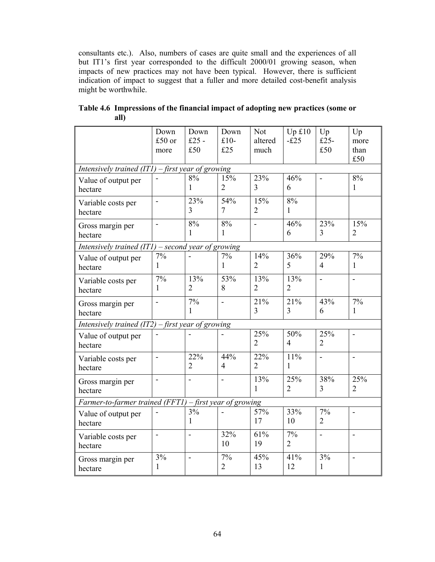consultants etc.). Also, numbers of cases are quite small and the experiences of all but IT1's first year corresponded to the difficult 2000/01 growing season, when impacts of new practices may not have been typical. However, there is sufficient indication of impact to suggest that a fuller and more detailed cost-benefit analysis might be worthwhile.

|                                                           | Down<br>£50 or<br>more   | Down<br>£25 $-$<br>£50 | Down<br>$£10-$<br>£25 | <b>Not</b><br>altered<br>much | Upf10<br>$-£25$       | Up<br>$£25-$<br>£50   | Up<br>more<br>than<br>£50 |
|-----------------------------------------------------------|--------------------------|------------------------|-----------------------|-------------------------------|-----------------------|-----------------------|---------------------------|
| Intensively trained $(ITI)$ – first year of growing       |                          |                        |                       |                               |                       |                       |                           |
| Value of output per<br>hectare                            |                          | 8%<br>1                | 15%<br>$\overline{2}$ | 23%<br>3                      | 46%<br>6              |                       | 8%<br>1                   |
| Variable costs per<br>hectare                             | $\blacksquare$           | 23%<br>3               | 54%<br>$\overline{7}$ | 15%<br>$\overline{2}$         | 8%<br>$\mathbf{1}$    |                       |                           |
| Gross margin per<br>hectare                               | $\overline{\phantom{a}}$ | 8%<br>1                | 8%<br>1               | $\overline{a}$                | 46%<br>6              | 23%<br>$\overline{3}$ | 15%<br>$\overline{2}$     |
| Intensively trained $(TI)$ – second year of growing       |                          |                        |                       |                               |                       |                       |                           |
| Value of output per<br>hectare                            | 7%<br>1                  |                        | 7%<br>1               | 14%<br>$\overline{2}$         | 36%<br>5              | 29%<br>$\overline{4}$ | 7%<br>$\mathbf{1}$        |
| Variable costs per<br>hectare                             | 7%<br>1                  | 13%<br>$\overline{2}$  | 53%<br>8              | 13%<br>$\overline{2}$         | 13%<br>$\overline{2}$ | ä,                    | $\overline{\phantom{0}}$  |
| Gross margin per<br>hectare                               |                          | 7%<br>$\mathbf{1}$     |                       | 21%<br>3                      | 21%<br>3              | 43%<br>6              | 7%<br>$\mathbf{1}$        |
| Intensively trained $(IT2)$ - first year of growing       |                          |                        |                       |                               |                       |                       |                           |
| Value of output per<br>hectare                            |                          |                        |                       | 25%<br>$\overline{2}$         | 50%<br>$\overline{4}$ | 25%<br>$\overline{2}$ | ä,                        |
| Variable costs per<br>hectare                             | $\blacksquare$           | 22%<br>$\overline{2}$  | 44%<br>$\overline{4}$ | 22%<br>$\overline{2}$         | 11%<br>1              | ä,                    | $\blacksquare$            |
| Gross margin per<br>hectare                               | $\blacksquare$           | $\blacksquare$         | $\blacksquare$        | 13%<br>$\mathbf{1}$           | 25%<br>$\overline{2}$ | 38%<br>3              | 25%<br>$\overline{2}$     |
| Farmer-to-farmer trained (FFT1) $-$ first year of growing |                          |                        |                       |                               |                       |                       |                           |
| Value of output per<br>hectare                            |                          | 3%<br>1                |                       | 57%<br>17                     | 33%<br>10             | 7%<br>$\overline{2}$  | $\overline{a}$            |
| Variable costs per<br>hectare                             | $\blacksquare$           |                        | 32%<br>10             | 61%<br>19                     | 7%<br>$\overline{2}$  | $\overline{a}$        | $\blacksquare$            |
| Gross margin per<br>hectare                               | 3%<br>1                  | $\overline{a}$         | 7%<br>$\overline{2}$  | 45%<br>13                     | 41%<br>12             | 3%<br>$\mathbf{1}$    | $\overline{\phantom{a}}$  |

**Table 4.6 Impressions of the financial impact of adopting new practices (some or all)**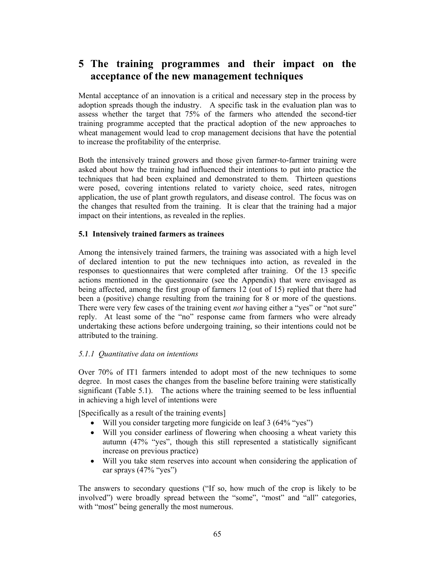# **5 The training programmes and their impact on the acceptance of the new management techniques**

Mental acceptance of an innovation is a critical and necessary step in the process by adoption spreads though the industry. A specific task in the evaluation plan was to assess whether the target that 75% of the farmers who attended the second-tier training programme accepted that the practical adoption of the new approaches to wheat management would lead to crop management decisions that have the potential to increase the profitability of the enterprise.

Both the intensively trained growers and those given farmer-to-farmer training were asked about how the training had influenced their intentions to put into practice the techniques that had been explained and demonstrated to them. Thirteen questions were posed, covering intentions related to variety choice, seed rates, nitrogen application, the use of plant growth regulators, and disease control. The focus was on the changes that resulted from the training. It is clear that the training had a major impact on their intentions, as revealed in the replies.

#### **5.1 Intensively trained farmers as trainees**

Among the intensively trained farmers, the training was associated with a high level of declared intention to put the new techniques into action, as revealed in the responses to questionnaires that were completed after training. Of the 13 specific actions mentioned in the questionnaire (see the Appendix) that were envisaged as being affected, among the first group of farmers 12 (out of 15) replied that there had been a (positive) change resulting from the training for 8 or more of the questions. There were very few cases of the training event *not* having either a "yes" or "not sure" reply. At least some of the "no" response came from farmers who were already undertaking these actions before undergoing training, so their intentions could not be attributed to the training.

## *5.1.1 Quantitative data on intentions*

Over 70% of IT1 farmers intended to adopt most of the new techniques to some degree. In most cases the changes from the baseline before training were statistically significant (Table 5.1). The actions where the training seemed to be less influential in achieving a high level of intentions were

[Specifically as a result of the training events]

- Will you consider targeting more fungicide on leaf 3 (64% "yes")
- Will you consider earliness of flowering when choosing a wheat variety this autumn (47% "yes", though this still represented a statistically significant increase on previous practice)
- Will you take stem reserves into account when considering the application of ear sprays (47% "yes")

The answers to secondary questions ("If so, how much of the crop is likely to be involved") were broadly spread between the "some", "most" and "all" categories, with "most" being generally the most numerous.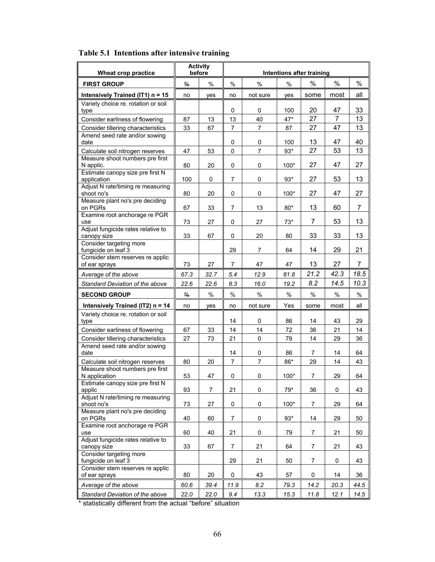| Wheat crop practice                               |               | <b>Activity</b><br>before | Intentions after training |                |        |      |      |      |
|---------------------------------------------------|---------------|---------------------------|---------------------------|----------------|--------|------|------|------|
| <b>FIRST GROUP</b>                                | $\frac{9}{6}$ | $\frac{0}{0}$             | $\frac{0}{0}$             | $\%$           | %      | %    | %    | %    |
| Intensively Trained (IT1) n = 15                  | no            | yes                       | no                        | not sure       | yes    | some | most | all  |
| Variety choice re. rotation or soil               |               |                           | 0                         | 0              | 100    | 20   | 47   | 33   |
| type                                              |               | 13                        | 13                        | 40             | 47*    | 27   | 7    | 13   |
| Consider earliness of flowering                   | 87            |                           |                           |                |        |      |      |      |
| Consider tillering characteristics                | 33            | 67                        | 7                         | 7              | 87     | 27   | 47   | 13   |
| Amend seed rate and/or sowing<br>date             |               |                           | 0                         | 0              | 100    | 13   | 47   | 40   |
| Calculate soil nitrogen reserves                  | 47            | 53                        | 0                         | 7              | $93*$  | 27   | 53   | 13   |
| Measure shoot numbers pre first<br>N applic.      | 80            | 20                        | 0                         | 0              | 100*   | 27   | 47   | 27   |
| Estimate canopy size pre first N<br>application   | 100           | 0                         | 7                         | 0              | $93*$  | 27   | 53   | 13   |
| Adjust N rate/timing re measuring                 |               |                           |                           |                |        |      |      |      |
| shoot no's                                        | 80            | 20                        | 0                         | 0              | $100*$ | 27   | 47   | 27   |
| Measure plant no's pre deciding<br>on PGRs        | 67            | 33                        | 7                         | 13             | $80*$  | 13   | 60   | 7    |
| Examine root anchorage re PGR<br>use              | 73            | 27                        | 0                         | 27             | $73*$  | 7    | 53   | 13   |
| Adjust fungicide rates relative to                |               |                           |                           |                |        |      |      |      |
| canopy size<br>Consider targeting more            | 33            | 67                        | 0                         | 20             | 80     | 33   | 33   | 13   |
| fungicide on leaf 3                               |               |                           | 29                        | 7              | 64     | 14   | 29   | 21   |
| Consider stem reserves re applic<br>of ear sprays | 73            | 27                        | 7                         | 47             | 47     | 13   | 27   | 7    |
| Average of the above                              | 67.3          | 32.7                      | 5.4                       | 12.9           | 81.8   | 21.2 | 42.3 | 18.5 |
| Standard Deviation of the above                   | 22.6          | 22.6                      | 8.3                       | 16.0           | 19.2   | 8.2  | 14.5 | 10.3 |
| <b>SECOND GROUP</b>                               | $\frac{0}{0}$ | $\%$                      | $\frac{0}{0}$             | $\%$           | $\%$   | $\%$ | $\%$ | $\%$ |
| Intensively Trained (IT2) n = 14                  | no            | yes                       | no                        | not sure       | Yes    | some | most | all  |
| Variety choice re. rotation or soil<br>type       |               |                           | 14                        | 0              | 86     | 14   | 43   | 29   |
| Consider earliness of flowering                   | 67            | 33                        | 14                        | 14             | 72     | 36   | 21   | 14   |
| Consider tillering characteristics                | 27            | 73                        | 21                        | 0              | 79     | 14   | 29   | 36   |
| Amend seed rate and/or sowing                     |               |                           |                           |                |        |      |      |      |
| date                                              |               |                           | 14                        | 0              | 86     | 7    | 14   | 64   |
| Calculate soil nitrogen reserves                  | 80            | 20                        | 7                         | $\overline{7}$ | 86*    | 29   | 14   | 43   |
| Measure shoot numbers pre first                   |               |                           |                           |                |        |      |      |      |
| N application                                     | 53            | 47                        | 0                         | 0              | $100*$ | 7    | 29   | 64   |
| Estimate canopy size pre first N<br>applic        | 93            | 7                         | 21                        | 0              | 79*    | 36   | 0    | 43   |
| Adjust N rate/timing re measuring<br>shoot no's   | 73            | 27                        | 0                         | 0              | $100*$ | 7    | 29   | 64   |
| Measure plant no's pre deciding<br>on PGRs        | 40            | 60                        | 7                         | 0              | $93*$  | 14   | 29   | 50   |
| Examine root anchorage re PGR                     |               |                           |                           |                |        |      |      |      |
| use                                               | 60            | 40                        | 21                        | 0              | 79     | 7    | 21   | 50   |
| Adjust fungicide rates relative to<br>canopy size | 33            | 67                        | 7                         | 21             | 64     | 7    | 21   | 43   |
| Consider targeting more<br>fungicide on leaf 3    |               |                           | 29                        | 21             | 50     | 7    | 0    | 43   |
| Consider stem reserves re applic<br>of ear sprays | 80            | 20                        | 0                         | 43             | 57     | 0    | 14   | 36   |
|                                                   |               |                           |                           | 8.2            |        |      |      |      |
| Average of the above                              | 60.6          | 39.4                      | 11.9                      |                | 79.3   | 14.2 | 20.3 | 44.5 |
| Standard Deviation of the above                   | 22.0          | 22.0                      | 9.4                       | 13.3           | 15.3   | 11.8 | 12.1 | 14.5 |

# **Table 5.1 Intentions after intensive training**

\* statistically different from the actual "before" situation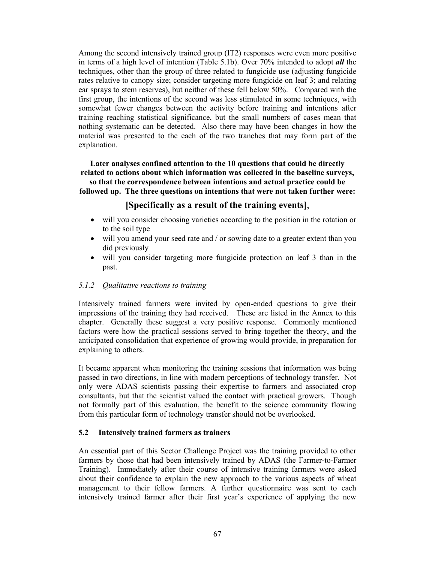Among the second intensively trained group (IT2) responses were even more positive in terms of a high level of intention (Table 5.1b). Over 70% intended to adopt *all* the techniques, other than the group of three related to fungicide use (adjusting fungicide rates relative to canopy size; consider targeting more fungicide on leaf 3; and relating ear sprays to stem reserves), but neither of these fell below 50%. Compared with the first group, the intentions of the second was less stimulated in some techniques, with somewhat fewer changes between the activity before training and intentions after training reaching statistical significance, but the small numbers of cases mean that nothing systematic can be detected. Also there may have been changes in how the material was presented to the each of the two tranches that may form part of the explanation.

**Later analyses confined attention to the 10 questions that could be directly related to actions about which information was collected in the baseline surveys, so that the correspondence between intentions and actual practice could be followed up. The three questions on intentions that were not taken further were:** 

# **[Specifically as a result of the training events]**,

- will you consider choosing varieties according to the position in the rotation or to the soil type
- will you amend your seed rate and / or sowing date to a greater extent than you did previously
- will you consider targeting more fungicide protection on leaf 3 than in the past.

### *5.1.2 Qualitative reactions to training*

Intensively trained farmers were invited by open-ended questions to give their impressions of the training they had received. These are listed in the Annex to this chapter. Generally these suggest a very positive response. Commonly mentioned factors were how the practical sessions served to bring together the theory, and the anticipated consolidation that experience of growing would provide, in preparation for explaining to others.

It became apparent when monitoring the training sessions that information was being passed in two directions, in line with modern perceptions of technology transfer. Not only were ADAS scientists passing their expertise to farmers and associated crop consultants, but that the scientist valued the contact with practical growers. Though not formally part of this evaluation, the benefit to the science community flowing from this particular form of technology transfer should not be overlooked.

#### **5.2 Intensively trained farmers as trainers**

An essential part of this Sector Challenge Project was the training provided to other farmers by those that had been intensively trained by ADAS (the Farmer-to-Farmer Training). Immediately after their course of intensive training farmers were asked about their confidence to explain the new approach to the various aspects of wheat management to their fellow farmers. A further questionnaire was sent to each intensively trained farmer after their first year's experience of applying the new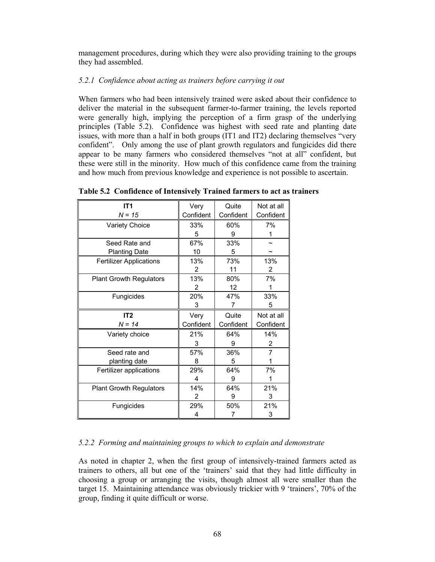management procedures, during which they were also providing training to the groups they had assembled.

## *5.2.1 Confidence about acting as trainers before carrying it out*

When farmers who had been intensively trained were asked about their confidence to deliver the material in the subsequent farmer-to-farmer training, the levels reported were generally high, implying the perception of a firm grasp of the underlying principles (Table 5.2). Confidence was highest with seed rate and planting date issues, with more than a half in both groups (IT1 and IT2) declaring themselves "very confident". Only among the use of plant growth regulators and fungicides did there appear to be many farmers who considered themselves "not at all" confident, but these were still in the minority. How much of this confidence came from the training and how much from previous knowledge and experience is not possible to ascertain.

| IT <sub>1</sub>                | Very       | Quite     | Not at all |
|--------------------------------|------------|-----------|------------|
| $N = 15$                       | Confident  | Confident | Confident  |
| <b>Variety Choice</b>          | 33%        | 60%       | 7%         |
|                                | 5          | 9         | 1          |
| Seed Rate and                  | 67%        | 33%       |            |
| <b>Planting Date</b>           | 10         | 5         |            |
| <b>Fertilizer Applications</b> | 13%        | 73%       | 13%        |
|                                | 2          | 11        | 2          |
| <b>Plant Growth Regulators</b> | 13%        | 80%       | 7%         |
|                                | 2          | 12        |            |
| Fungicides                     | <b>20%</b> | 47%       | 33%        |
|                                | 3          | 7         | 5          |
|                                |            |           |            |
| IT <sub>2</sub>                | Very       | Quite     | Not at all |
| $N = 14$                       | Confident  | Confident | Confident  |
| Variety choice                 | 21%        | 64%       | 14%        |
|                                | 3          | 9         | 2          |
| Seed rate and                  | 57%        | 36%       | 7          |
| planting date                  | 8          | 5         |            |
| Fertilizer applications        | 29%        | 64%       | 7%         |
|                                | 4          | 9         |            |
| <b>Plant Growth Regulators</b> | 14%        | 64%       | 21%        |
|                                | 2          | 9         | 3          |
| Fungicides                     | 29%        | 50%       | 21%        |

**Table 5.2 Confidence of Intensively Trained farmers to act as trainers** 

## *5.2.2 Forming and maintaining groups to which to explain and demonstrate*

As noted in chapter 2, when the first group of intensively-trained farmers acted as trainers to others, all but one of the 'trainers' said that they had little difficulty in choosing a group or arranging the visits, though almost all were smaller than the target 15. Maintaining attendance was obviously trickier with 9 'trainers', 70% of the group, finding it quite difficult or worse.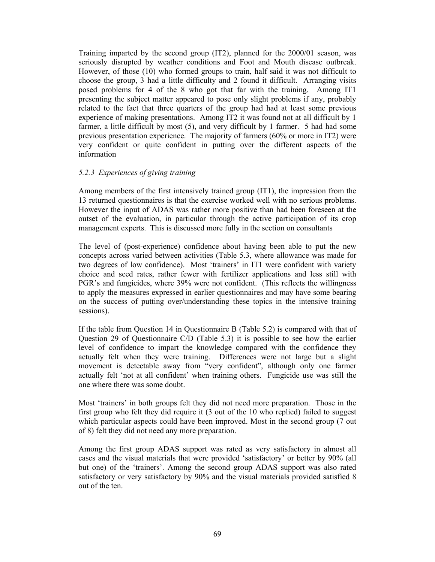Training imparted by the second group (IT2), planned for the 2000/01 season, was seriously disrupted by weather conditions and Foot and Mouth disease outbreak. However, of those (10) who formed groups to train, half said it was not difficult to choose the group, 3 had a little difficulty and 2 found it difficult. Arranging visits posed problems for 4 of the 8 who got that far with the training. Among IT1 presenting the subject matter appeared to pose only slight problems if any, probably related to the fact that three quarters of the group had had at least some previous experience of making presentations. Among IT2 it was found not at all difficult by 1 farmer, a little difficult by most (5), and very difficult by 1 farmer. 5 had had some previous presentation experience. The majority of farmers (60% or more in IT2) were very confident or quite confident in putting over the different aspects of the information

#### *5.2.3 Experiences of giving training*

Among members of the first intensively trained group (IT1), the impression from the 13 returned questionnaires is that the exercise worked well with no serious problems. However the input of ADAS was rather more positive than had been foreseen at the outset of the evaluation, in particular through the active participation of its crop management experts. This is discussed more fully in the section on consultants

The level of (post-experience) confidence about having been able to put the new concepts across varied between activities (Table 5.3, where allowance was made for two degrees of low confidence). Most 'trainers' in IT1 were confident with variety choice and seed rates, rather fewer with fertilizer applications and less still with PGR's and fungicides, where 39% were not confident. (This reflects the willingness to apply the measures expressed in earlier questionnaires and may have some bearing on the success of putting over/understanding these topics in the intensive training sessions).

If the table from Question 14 in Questionnaire B (Table 5.2) is compared with that of Question 29 of Questionnaire C/D (Table 5.3) it is possible to see how the earlier level of confidence to impart the knowledge compared with the confidence they actually felt when they were training. Differences were not large but a slight movement is detectable away from "very confident", although only one farmer actually felt 'not at all confident' when training others. Fungicide use was still the one where there was some doubt.

Most 'trainers' in both groups felt they did not need more preparation. Those in the first group who felt they did require it (3 out of the 10 who replied) failed to suggest which particular aspects could have been improved. Most in the second group (7 out of 8) felt they did not need any more preparation.

Among the first group ADAS support was rated as very satisfactory in almost all cases and the visual materials that were provided 'satisfactory' or better by 90% (all but one) of the 'trainers'. Among the second group ADAS support was also rated satisfactory or very satisfactory by 90% and the visual materials provided satisfied 8 out of the ten.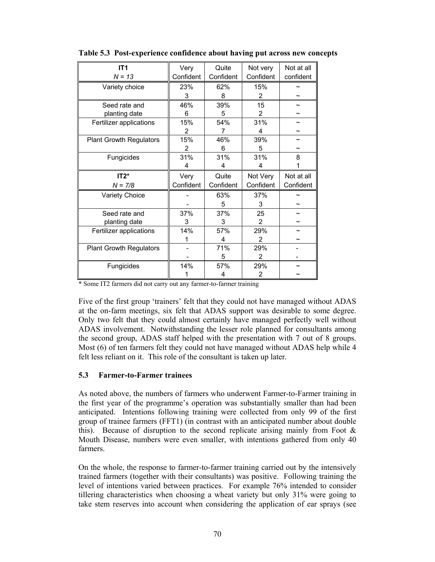| IT <sub>1</sub>                | Very      | Quite     | Not very  | Not at all |
|--------------------------------|-----------|-----------|-----------|------------|
| $N = 13$                       | Confident | Confident | Confident | confident  |
| Variety choice                 | 23%       | 62%       | 15%       |            |
|                                | 3         | 8         | 2         |            |
| Seed rate and                  | 46%       | 39%       | 15        |            |
| planting date                  | 6         | 5         | 2         |            |
| Fertilizer applications        | 15%       | 54%       | 31%       |            |
|                                | 2         | 7         | 4         |            |
| <b>Plant Growth Regulators</b> | 15%       | 46%       | 39%       |            |
|                                | 2         | 6         | 5         |            |
| Fungicides                     | 31%       | 31%       | 31%       | 8          |
|                                | 4         | 4         | 4         |            |
|                                |           |           |           |            |
| $IT2*$                         | Very      | Quite     | Not Very  | Not at all |
| $N = 7/8$                      | Confident | Confident | Confident | Confident  |
| Variety Choice                 |           | 63%       | 37%       |            |
|                                |           | 5         | 3         |            |
| Seed rate and                  | 37%       | 37%       | 25        |            |
| planting date                  | 3         | 3         | 2         |            |
| Fertilizer applications        | 14%       | 57%       | 29%       |            |
|                                |           | 4         | 2         |            |
| <b>Plant Growth Regulators</b> |           | 71%       | 29%       |            |
|                                |           | 5         | 2         |            |
| Fungicides                     | 14%       | 57%       | 29%       |            |

**Table 5.3 Post-experience confidence about having put across new concepts** 

\* Some IT2 farmers did not carry out any farmer-to-farmer training

Five of the first group 'trainers' felt that they could not have managed without ADAS at the on-farm meetings, six felt that ADAS support was desirable to some degree. Only two felt that they could almost certainly have managed perfectly well without ADAS involvement. Notwithstanding the lesser role planned for consultants among the second group, ADAS staff helped with the presentation with 7 out of 8 groups. Most (6) of ten farmers felt they could not have managed without ADAS help while 4 felt less reliant on it. This role of the consultant is taken up later.

#### **5.3 Farmer-to-Farmer trainees**

As noted above, the numbers of farmers who underwent Farmer-to-Farmer training in the first year of the programme's operation was substantially smaller than had been anticipated. Intentions following training were collected from only 99 of the first group of trainee farmers (FFT1) (in contrast with an anticipated number about double this). Because of disruption to the second replicate arising mainly from Foot  $\&$ Mouth Disease, numbers were even smaller, with intentions gathered from only 40 farmers.

On the whole, the response to farmer-to-farmer training carried out by the intensively trained farmers (together with their consultants) was positive. Following training the level of intentions varied between practices. For example 76% intended to consider tillering characteristics when choosing a wheat variety but only 31% were going to take stem reserves into account when considering the application of ear sprays (see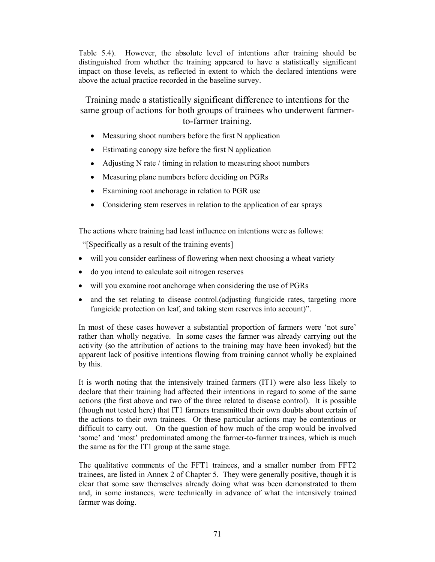Table 5.4). However, the absolute level of intentions after training should be distinguished from whether the training appeared to have a statistically significant impact on those levels, as reflected in extent to which the declared intentions were above the actual practice recorded in the baseline survey.

Training made a statistically significant difference to intentions for the same group of actions for both groups of trainees who underwent farmerto-farmer training.

- Measuring shoot numbers before the first N application
- Estimating canopy size before the first N application
- Adjusting N rate / timing in relation to measuring shoot numbers
- Measuring plane numbers before deciding on PGRs
- Examining root anchorage in relation to PGR use
- Considering stem reserves in relation to the application of ear sprays

The actions where training had least influence on intentions were as follows:

"[Specifically as a result of the training events]

- will you consider earliness of flowering when next choosing a wheat variety
- do you intend to calculate soil nitrogen reserves
- will you examine root anchorage when considering the use of PGRs
- and the set relating to disease control. (adjusting fungicide rates, targeting more fungicide protection on leaf, and taking stem reserves into account)".

In most of these cases however a substantial proportion of farmers were 'not sure' rather than wholly negative. In some cases the farmer was already carrying out the activity (so the attribution of actions to the training may have been invoked) but the apparent lack of positive intentions flowing from training cannot wholly be explained by this.

It is worth noting that the intensively trained farmers (IT1) were also less likely to declare that their training had affected their intentions in regard to some of the same actions (the first above and two of the three related to disease control). It is possible (though not tested here) that IT1 farmers transmitted their own doubts about certain of the actions to their own trainees. Or these particular actions may be contentious or difficult to carry out. On the question of how much of the crop would be involved 'some' and 'most' predominated among the farmer-to-farmer trainees, which is much the same as for the IT1 group at the same stage.

The qualitative comments of the FFT1 trainees, and a smaller number from FFT2 trainees, are listed in Annex 2 of Chapter 5. They were generally positive, though it is clear that some saw themselves already doing what was been demonstrated to them and, in some instances, were technically in advance of what the intensively trained farmer was doing.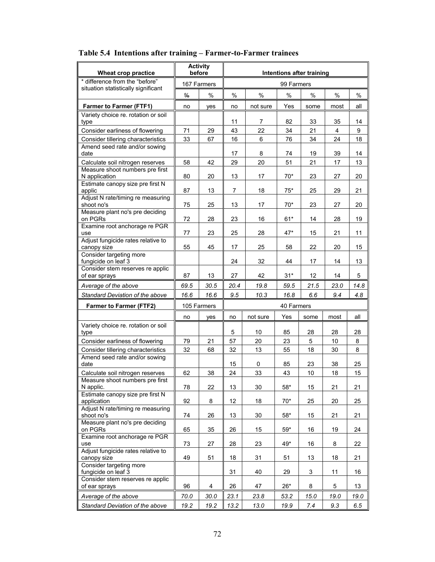| Wheat crop practice                                                 |               | <b>Activity</b><br>before | Intentions after training |          |              |      |      |      |  |  |
|---------------------------------------------------------------------|---------------|---------------------------|---------------------------|----------|--------------|------|------|------|--|--|
| * difference from the "before"                                      |               | 167 Farmers               |                           |          | 99 Farmers   |      |      |      |  |  |
| situation statistically significant                                 | $\frac{0}{0}$ | $\%$                      | $\%$                      | $\%$     | $\%$         | $\%$ | $\%$ | $\%$ |  |  |
| <b>Farmer to Farmer (FTF1)</b>                                      | no            | yes                       | no                        | not sure | Yes          | some | most | all  |  |  |
| Variety choice re. rotation or soil                                 |               |                           |                           |          |              |      |      |      |  |  |
| type                                                                |               |                           | 11                        | 7        | 82           | 33   | 35   | 14   |  |  |
| Consider earliness of flowering                                     | 71            | 29                        | 43                        | 22       | 34           | 21   | 4    | 9    |  |  |
| Consider tillering characteristics                                  | 33            | 67                        | 16                        | 6        | 76           | 34   | 24   | 18   |  |  |
| Amend seed rate and/or sowing<br>date                               |               |                           | 17                        | 8        | 74           | 19   | 39   | 14   |  |  |
| Calculate soil nitrogen reserves                                    | 58            | 42                        | 29                        | 20       | 51           | 21   | 17   | 13   |  |  |
| Measure shoot numbers pre first<br>N application                    | 80            | 20                        | 13                        | 17       | $70*$        | 23   | 27   | 20   |  |  |
| Estimate canopy size pre first N                                    |               |                           |                           |          |              |      |      |      |  |  |
| applic                                                              | 87            | 13                        | 7                         | 18       | $75*$        | 25   | 29   | 21   |  |  |
| Adjust N rate/timing re measuring<br>shoot no's                     | 75            | 25                        | 13                        | 17       | $70*$        | 23   | 27   | 20   |  |  |
| Measure plant no's pre deciding                                     |               |                           |                           |          |              |      |      |      |  |  |
| on PGRs                                                             | 72            | 28                        | 23                        | 16       | $61*$        | 14   | 28   | 19   |  |  |
| Examine root anchorage re PGR<br>use                                | 77            | 23                        | 25                        | 28       | $47*$        | 15   | 21   | 11   |  |  |
| Adjust fungicide rates relative to                                  |               |                           |                           |          |              |      |      |      |  |  |
| canopy size                                                         | 55            | 45                        | 17                        | 25       | 58           | 22   | 20   | 15   |  |  |
| Consider targeting more<br>fungicide on leaf 3                      |               |                           | 24                        | 32       | 44           | 17   | 14   | 13   |  |  |
| Consider stem reserves re applic                                    |               |                           |                           |          |              |      |      |      |  |  |
| of ear sprays                                                       | 87            | 13                        | 27                        | 42       | $31*$        | 12   | 14   | 5    |  |  |
| Average of the above                                                | 69.5          | 30.5                      | 20.4                      | 19.8     | 59.5         | 21.5 | 23.0 | 14.8 |  |  |
| Standard Deviation of the above                                     | 16.6          | 16.6                      | 9.5                       | 10.3     | 16.8         | 6.6  | 9.4  | 4.8  |  |  |
| <b>Farmer to Farmer (FTF2)</b>                                      |               | 105 Farmers               |                           |          | 40 Farmers   |      |      |      |  |  |
|                                                                     | no            | yes                       | no                        | not sure | Yes          | some | most | all  |  |  |
| Variety choice re. rotation or soil                                 |               |                           | 5                         | 10       | 85           | 28   | 28   | 28   |  |  |
| type                                                                |               |                           |                           |          |              |      |      |      |  |  |
| Consider earliness of flowering                                     | 79            | 21                        | 57                        | 20       | 23           | 5    | 10   | 8    |  |  |
| Consider tillering characteristics<br>Amend seed rate and/or sowing | 32            | 68                        | 32                        | 13       | 55           | 18   | 30   | 8    |  |  |
| date                                                                |               |                           | 15                        | 0        | 85           | 23   | 38   | 25   |  |  |
| Calculate soil nitrogen reserves                                    | 62            | 38                        | 24                        | 33       | 43           | 10   | 18   | 15   |  |  |
| Measure shoot numbers pre first<br>N applic.                        | 78            | 22                        | 13                        | 30       | $58^{\star}$ | 15   | 21   | 21   |  |  |
| Estimate canopy size pre first N                                    |               |                           |                           |          |              |      |      |      |  |  |
| application                                                         | 92            | 8                         | 12                        | 18       | $70*$        | 25   | 20   | 25   |  |  |
| Adjust N rate/timing re measuring<br>shoot no's                     | 74            | 26                        | 13                        | 30       | $58*$        | 15   | 21   | 21   |  |  |
| Measure plant no's pre deciding                                     |               |                           |                           |          |              |      |      |      |  |  |
| on PGRs                                                             | 65            | 35                        | 26                        | 15       | $59*$        | 16   | 19   | 24   |  |  |
| Examine root anchorage re PGR<br>use                                | 73            | 27                        | 28                        | 23       | 49*          | 16   | 8    | 22   |  |  |
| Adjust fungicide rates relative to                                  |               |                           |                           |          |              |      |      |      |  |  |
| canopy size<br>Consider targeting more                              | 49            | 51                        | 18                        | 31       | 51           | 13   | 18   | 21   |  |  |
| fungicide on leaf 3                                                 |               |                           | 31                        | 40       | 29           | 3    | 11   | 16   |  |  |
| Consider stem reserves re applic                                    | 96            | 4                         | 26                        | 47       | $26*$        | 8    | 5    | 13   |  |  |
| of ear sprays                                                       |               |                           |                           |          |              |      |      |      |  |  |
| Average of the above                                                | 70.0          | 30.0                      | 23.1                      | 23.8     | 53.2         | 15.0 | 19.0 | 19.0 |  |  |
| Standard Deviation of the above                                     | 19.2          | 19.2                      | 13.2                      | 13.0     | 19.9         | 7.4  | 9.3  | 6.5  |  |  |

# **Table 5.4 Intentions after training – Farmer-to-Farmer trainees**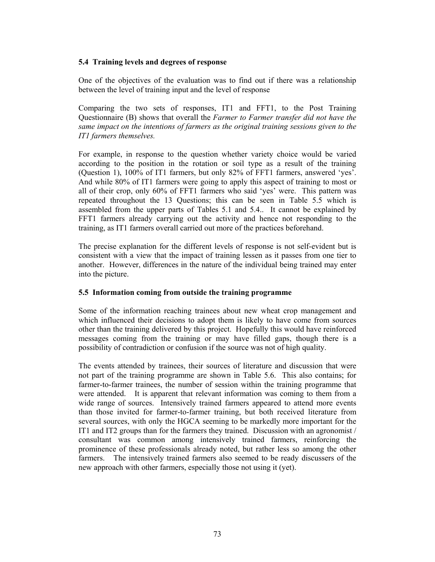### **5.4 Training levels and degrees of response**

One of the objectives of the evaluation was to find out if there was a relationship between the level of training input and the level of response

Comparing the two sets of responses, IT1 and FFT1, to the Post Training Questionnaire (B) shows that overall the *Farmer to Farmer transfer did not have the same impact on the intentions of farmers as the original training sessions given to the IT1 farmers themselves.*

For example, in response to the question whether variety choice would be varied according to the position in the rotation or soil type as a result of the training (Question 1), 100% of IT1 farmers, but only 82% of FFT1 farmers, answered 'yes'. And while 80% of IT1 farmers were going to apply this aspect of training to most or all of their crop, only 60% of FFT1 farmers who said 'yes' were. This pattern was repeated throughout the 13 Questions; this can be seen in Table 5.5 which is assembled from the upper parts of Tables 5.1 and 5.4.. It cannot be explained by FFT1 farmers already carrying out the activity and hence not responding to the training, as IT1 farmers overall carried out more of the practices beforehand.

The precise explanation for the different levels of response is not self-evident but is consistent with a view that the impact of training lessen as it passes from one tier to another. However, differences in the nature of the individual being trained may enter into the picture.

#### **5.5 Information coming from outside the training programme**

Some of the information reaching trainees about new wheat crop management and which influenced their decisions to adopt them is likely to have come from sources other than the training delivered by this project. Hopefully this would have reinforced messages coming from the training or may have filled gaps, though there is a possibility of contradiction or confusion if the source was not of high quality.

The events attended by trainees, their sources of literature and discussion that were not part of the training programme are shown in Table 5.6. This also contains; for farmer-to-farmer trainees, the number of session within the training programme that were attended. It is apparent that relevant information was coming to them from a wide range of sources. Intensively trained farmers appeared to attend more events than those invited for farmer-to-farmer training, but both received literature from several sources, with only the HGCA seeming to be markedly more important for the IT1 and IT2 groups than for the farmers they trained. Discussion with an agronomist / consultant was common among intensively trained farmers, reinforcing the prominence of these professionals already noted, but rather less so among the other farmers. The intensively trained farmers also seemed to be ready discussers of the new approach with other farmers, especially those not using it (yet).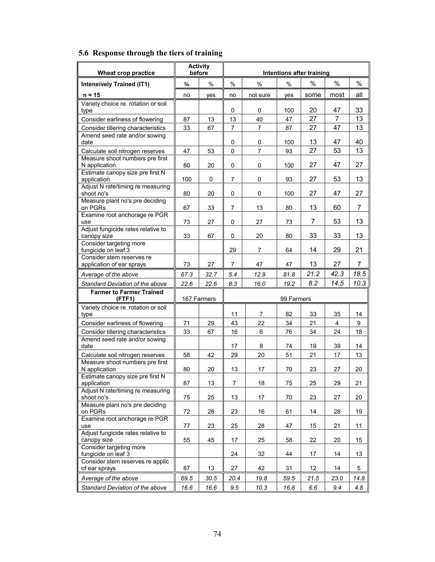| Wheat crop practice                                    | <b>Activity</b><br>before |             | Intentions after training |                |            |      |      |      |
|--------------------------------------------------------|---------------------------|-------------|---------------------------|----------------|------------|------|------|------|
| <b>Intensively Trained (IT1)</b>                       | $\frac{0}{0}$             | $\%$        | $\%$                      | $\%$           | $\%$       | $\%$ | $\%$ | $\%$ |
|                                                        |                           |             |                           |                |            |      |      |      |
| $n = 15$                                               | no                        | yes         | no                        | not sure       | yes        | some | most | all  |
| Variety choice re. rotation or soil<br>type            |                           |             | 0                         | 0              | 100        | 20   | 47   | 33   |
| Consider earliness of flowering                        | 87                        | 13          | 13                        | 40             | 47         | 27   | 7    | 13   |
| Consider tillering characteristics                     | 33                        | 67          | 7                         | $\overline{7}$ | 87         | 27   | 47   | 13   |
| Amend seed rate and/or sowing<br>date                  |                           |             | 0                         | 0              | 100        | 13   | 47   | 40   |
| Calculate soil nitrogen reserves                       | 47                        | 53          | 0                         | $\overline{7}$ | 93         | 27   | 53   | 13   |
| Measure shoot numbers pre first<br>N application.      | 80                        | 20          | 0                         | 0              | 100        | 27   | 47   | 27   |
| Estimate canopy size pre first N<br>application        | 100                       | 0           | 7                         | $\pmb{0}$      | 93         | 27   | 53   | 13   |
| Adjust N rate/timing re measuring<br>shoot no's        | 80                        | 20          | 0                         | 0              | 100        | 27   | 47   | 27   |
| Measure plant no's pre deciding                        |                           |             |                           |                |            |      |      |      |
| on PGRs                                                | 67                        | 33          | $\overline{7}$            | 13             | 80         | 13   | 60   | 7    |
| Examine root anchorage re PGR<br>use                   | 73                        | 27          | 0                         | 27             | 73         | 7    | 53   | 13   |
| Adjust fungicide rates relative to<br>canopy size      | 33                        | 67          | 0                         | 20             | 80         | 33   | 33   | 13   |
| Consider targeting more<br>fungicide on leaf 3         |                           |             | 29                        | 7              | 64         | 14   | 29   | 21   |
| Consider stem reserves re<br>application of ear sprays | 73                        | 27          | 7                         | 47             | 47         | 13   | 27   | 7    |
| Average of the above                                   | 67.3                      | 32.7        | 5.4                       | 12.9           | 81.8       | 21.2 | 42.3 | 18.5 |
| Standard Deviation of the above                        | 22.6                      | 22.6        | 8.3                       | 16.0           | 19.2       | 8.2  | 14.5 | 10.3 |
| <b>Farmer to Farmer Trained</b>                        |                           |             |                           |                |            |      |      |      |
| (FTF1)                                                 |                           | 167 Farmers |                           |                | 99 Farmers |      |      |      |
| Variety choice re. rotation or soil<br>type            |                           |             | 11                        | 7              | 82         | 33   | 35   | 14   |
| Consider earliness of flowering                        | 71                        | 29          | 43                        | 22             | 34         | 21   | 4    | 9    |
| Consider tillering characteristics                     | 33                        | 67          | 16                        | 6              | 76         | 34   | 24   | 18   |
| Amend seed rate and/or sowing                          |                           |             |                           |                |            |      |      |      |
| date                                                   |                           |             | 17                        | 8              | 74         | 19   | 39   | 14   |
| Calculate soil nitrogen reserves                       | 58                        | 42          | 29                        | 20             | 51         | 21   | 17   | 13   |
| Measure shoot numbers pre first                        |                           |             |                           |                |            |      |      |      |
| N application<br>Estimate canopy size pre first N      | 80                        | 20          | 13                        | 17             | 70         | 23   | 27   | 20   |
| application                                            | 87                        | 13          | $\overline{7}$            | 18             | 75         | 25   | 29   | 21   |
| Adjust N rate/timing re measuring<br>shoot no's        | 75                        | 25          | 13                        | 17             | 70         | 23   | 27   | 20   |
| Measure plant no's pre deciding<br>on PGRs             | 72                        | 28          | 23                        | 16             | 61         | 14   | 28   | 19   |
| Examine root anchorage re PGR                          |                           |             |                           |                |            |      |      |      |
| use                                                    | 77                        | 23          | 25                        | 28             | 47         | 15   | 21   | 11   |
| Adjust fungicide rates relative to<br>canopy size      | 55                        | 45          | 17                        | 25             | 58         | 22   | 20   | 15   |
| Consider targeting more<br>fungicide on leaf 3         |                           |             | 24                        | 32             | 44         | 17   | 14   | 13   |
| Consider stem reserves re applic                       |                           |             |                           |                |            |      |      |      |
| of ear sprays                                          | 87                        | 13          | 27                        | 42             | 31         | 12   | 14   | 5    |
| Average of the above                                   | 69.5                      | 30.5        | 20.4                      | 19.8           | 59.5       | 21.5 | 23.0 | 14.8 |
| Standard Deviation of the above                        | 16.6                      | 16.6        | 9.5                       | 10.3           | 16.8       | 6.6  | 9.4  | 4.8  |

# **5.6 Response through the tiers of training**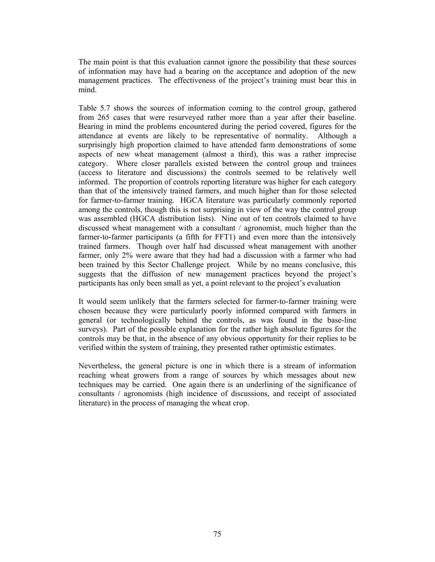The main point is that this evaluation cannot ignore the possibility that these sources of information may have had a bearing on the acceptance and adoption of the new management practices. The effectiveness of the project's training must bear this in mind.

Table 5.7 shows the sources of information coming to the control group, gathered from 265 cases that were resurveyed rather more than a year after their baseline. Bearing in mind the problems encountered during the period covered, figures for the attendance at events are likely to be representative of normality. Although a surprisingly high proportion claimed to have attended farm demonstrations of some aspects of new wheat management (almost a third), this was a rather imprecise category. Where closer parallels existed between the control group and trainees (access to literature and discussions) the controls seemed to be relatively well informed. The proportion of controls reporting literature was higher for each category than that of the intensively trained farmers, and much higher than for those selected for farmer-to-farmer training. HGCA literature was particularly commonly reported among the controls, though this is not surprising in view of the way the control group was assembled (HGCA distribution lists). Nine out of ten controls claimed to have discussed wheat management with a consultant / agronomist, much higher than the farmer-to-farmer participants (a fifth for FFT1) and even more than the intensively trained farmers. Though over half had discussed wheat management with another farmer, only 2% were aware that they had had a discussion with a farmer who had been trained by this Sector Challenge project. While by no means conclusive, this suggests that the diffusion of new management practices beyond the project's participants has only been small as yet, a point relevant to the project's evaluation

It would seem unlikely that the farmers selected for farmer-to-farmer training were chosen because they were particularly poorly informed compared with farmers in general (or technologically behind the controls, as was found in the base-line surveys). Part of the possible explanation for the rather high absolute figures for the controls may be that, in the absence of any obvious opportunity for their replies to be verified within the system of training, they presented rather optimistic estimates.

Nevertheless, the general picture is one in which there is a stream of information reaching wheat growers from a range of sources by which messages about new techniques may be carried. One again there is an underlining of the significance of consultants / agronomists (high incidence of discussions, and receipt of associated literature) in the process of managing the wheat crop.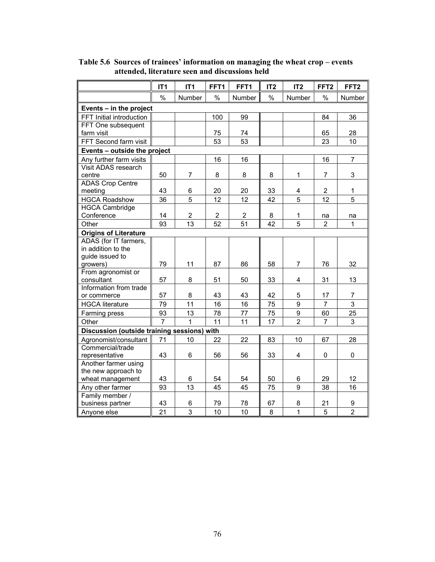|                                             | IT <sub>1</sub> | IT <sub>1</sub> | FFT1           | FFT1           | IT <sub>2</sub> | IT <sub>2</sub>         | FFT <sub>2</sub> | FFT <sub>2</sub> |
|---------------------------------------------|-----------------|-----------------|----------------|----------------|-----------------|-------------------------|------------------|------------------|
|                                             | $\%$            | Number          | $\frac{0}{0}$  | Number         | $\frac{0}{0}$   | Number                  | $\%$             | Number           |
| Events - in the project                     |                 |                 |                |                |                 |                         |                  |                  |
| FFT Initial introduction                    |                 |                 | 100            | 99             |                 |                         | 84               | 36               |
| FFT One subsequent                          |                 |                 |                |                |                 |                         |                  |                  |
| farm visit                                  |                 |                 | 75             | 74             |                 |                         | 65               | 28               |
| FFT Second farm visit                       |                 |                 | 53             | 53             |                 |                         | 23               | 10               |
| Events - outside the project                |                 |                 |                |                |                 |                         |                  |                  |
| Any further farm visits                     |                 |                 | 16             | 16             |                 |                         | 16               | $\overline{7}$   |
| Visit ADAS research                         |                 |                 |                |                |                 |                         |                  |                  |
| centre                                      | 50              | $\overline{7}$  | 8              | 8              | 8               | 1                       | $\overline{7}$   | 3                |
| <b>ADAS Crop Centre</b>                     |                 |                 |                |                |                 |                         |                  |                  |
| meeting                                     | 43              | 6               | 20             | 20             | 33              | 4                       | $\overline{2}$   | 1                |
| <b>HGCA Roadshow</b>                        | 36              | $\overline{5}$  | 12             | 12             | 42              | 5                       | 12               | 5                |
| <b>HGCA Cambridge</b>                       |                 |                 |                |                |                 |                         |                  |                  |
| Conference                                  | 14              | $\overline{2}$  | $\overline{2}$ | $\overline{2}$ | 8               | 1                       | na               | na               |
| Other                                       | 93              | 13              | 52             | 51             | 42              | 5                       | $\overline{2}$   | 1                |
| <b>Origins of Literature</b>                |                 |                 |                |                |                 |                         |                  |                  |
| ADAS (for IT farmers,                       |                 |                 |                |                |                 |                         |                  |                  |
| in addition to the                          |                 |                 |                |                |                 |                         |                  |                  |
| guide issued to                             |                 |                 |                |                |                 |                         |                  |                  |
| growers)                                    | 79              | 11              | 87             | 86             | 58              | $\overline{7}$          | 76               | 32               |
| From agronomist or                          |                 |                 |                |                |                 |                         |                  |                  |
| consultant                                  | 57              | 8               | 51             | 50             | 33              | $\overline{\mathbf{4}}$ | 31               | 13               |
| Information from trade                      |                 |                 |                |                |                 |                         |                  |                  |
| or commerce                                 | 57              | 8               | 43             | 43             | 42              | 5                       | 17               | $\overline{7}$   |
| <b>HGCA literature</b>                      | 79              | 11              | 16             | 16             | 75              | 9                       | $\overline{7}$   | $\mathbf{3}$     |
| Farming press                               | 93              | 13              | 78             | 77             | 75              | 9                       | 60               | 25               |
| Other                                       | 7               | 1               | 11             | 11             | 17              | $\overline{2}$          | $\overline{7}$   | 3                |
| Discussion (outside training sessions) with |                 |                 |                |                |                 |                         |                  |                  |
| Agronomist/consultant                       | 71              | 10              | 22             | 22             | 83              | 10                      | 67               | 28               |
| Commercial/trade                            |                 |                 |                |                |                 |                         |                  |                  |
| representative                              | 43              | 6               | 56             | 56             | 33              | $\overline{\mathbf{4}}$ | 0                | 0                |
| Another farmer using                        |                 |                 |                |                |                 |                         |                  |                  |
| the new approach to                         |                 |                 |                |                |                 |                         |                  |                  |
| wheat management                            | 43              | 6               | 54             | 54             | 50              | 6                       | 29               | 12               |
| Any other farmer                            | 93              | 13              | 45             | 45             | 75              | 9                       | 38               | 16               |
| Family member /                             |                 |                 |                |                |                 |                         |                  |                  |
| business partner                            | 43              | 6               | 79             | 78             | 67              | 8                       | 21               | 9                |
| Anyone else                                 | 21              | $\overline{3}$  | 10             | 10             | 8               | 1                       | 5                | $\overline{2}$   |

**Table 5.6 Sources of trainees' information on managing the wheat crop – events attended, literature seen and discussions held**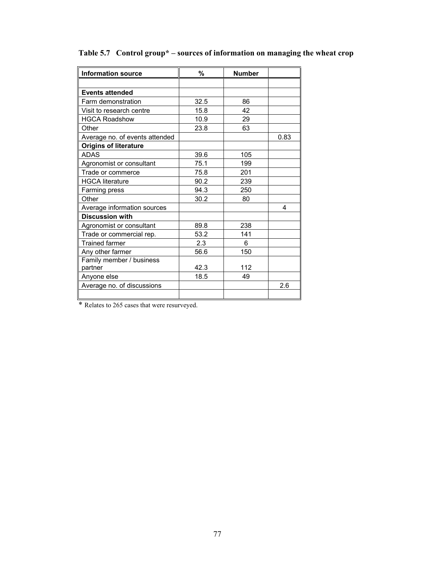| <b>Information source</b>      | %    | <b>Number</b> |      |
|--------------------------------|------|---------------|------|
|                                |      |               |      |
| <b>Events attended</b>         |      |               |      |
| Farm demonstration             | 32.5 | 86            |      |
| Visit to research centre       | 15.8 | 42            |      |
| <b>HGCA Roadshow</b>           | 10.9 | 29            |      |
| Other                          | 23.8 | 63            |      |
| Average no. of events attended |      |               | 0.83 |
| <b>Origins of literature</b>   |      |               |      |
| <b>ADAS</b>                    | 39.6 | 105           |      |
| Agronomist or consultant       | 75.1 | 199           |      |
| Trade or commerce              | 75.8 | 201           |      |
| <b>HGCA literature</b>         | 90.2 | 239           |      |
| Farming press                  | 94.3 | 250           |      |
| Other                          | 30.2 | 80            |      |
| Average information sources    |      |               | 4    |
| <b>Discussion with</b>         |      |               |      |
| Agronomist or consultant       | 89.8 | 238           |      |
| Trade or commercial rep.       | 53.2 | 141           |      |
| <b>Trained farmer</b>          | 2.3  | 6             |      |
| Any other farmer               | 56.6 | 150           |      |
| Family member / business       |      |               |      |
| partner                        | 42.3 | 112           |      |
| Anyone else                    | 18.5 | 49            |      |
| Average no. of discussions     |      |               | 2.6  |
|                                |      |               |      |

# **Table 5.7 Control group\* – sources of information on managing the wheat crop**

\* Relates to 265 cases that were resurveyed.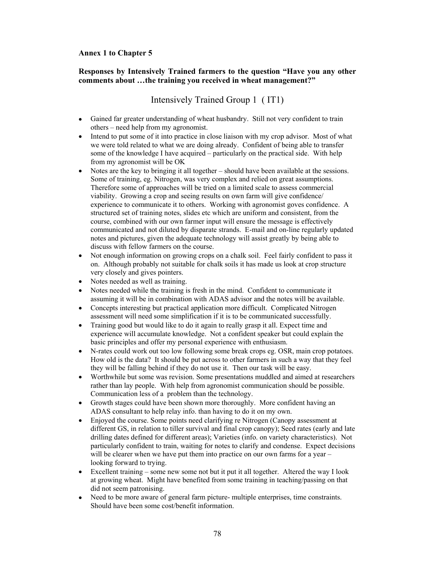### **Annex 1 to Chapter 5**

#### **Responses by Intensively Trained farmers to the question "Have you any other comments about …the training you received in wheat management?"**

# Intensively Trained Group 1( IT1)

- Gained far greater understanding of wheat husbandry. Still not very confident to train others – need help from my agronomist.
- Intend to put some of it into practice in close liaison with my crop advisor. Most of what we were told related to what we are doing already. Confident of being able to transfer some of the knowledge I have acquired – particularly on the practical side. With help from my agronomist will be OK
- Notes are the key to bringing it all together should have been available at the sessions. Some of training, eg. Nitrogen, was very complex and relied on great assumptions. Therefore some of approaches will be tried on a limited scale to assess commercial viability. Growing a crop and seeing results on own farm will give confidence/ experience to communicate it to others. Working with agronomist goves confidence. A structured set of training notes, slides etc which are uniform and consistent, from the course, combined with our own farmer input will ensure the message is effectively communicated and not diluted by disparate strands. E-mail and on-line regularly updated notes and pictures, given the adequate technology will assist greatly by being able to discuss with fellow farmers on the course.
- Not enough information on growing crops on a chalk soil. Feel fairly confident to pass it on. Although probably not suitable for chalk soils it has made us look at crop structure very closely and gives pointers.
- Notes needed as well as training.
- Notes needed while the training is fresh in the mind. Confident to communicate it assuming it will be in combination with ADAS advisor and the notes will be available.
- Concepts interesting but practical application more difficult. Complicated Nitrogen assessment will need some simplification if it is to be communicated successfully.
- Training good but would like to do it again to really grasp it all. Expect time and experience will accumulate knowledge. Not a confident speaker but could explain the basic principles and offer my personal experience with enthusiasm.
- N-rates could work out too low following some break crops eg. OSR, main crop potatoes. How old is the data? It should be put across to other farmers in such a way that they feel they will be falling behind if they do not use it. Then our task will be easy.
- Worthwhile but some was revision. Some presentations muddled and aimed at researchers rather than lay people. With help from agronomist communication should be possible. Communication less of a problem than the technology.
- Growth stages could have been shown more thoroughly. More confident having an ADAS consultant to help relay info. than having to do it on my own.
- Enjoyed the course. Some points need clarifying re Nitrogen (Canopy assessment at different GS, in relation to tiller survival and final crop canopy); Seed rates (early and late drilling dates defined for different areas); Varieties (info. on variety characteristics). Not particularly confident to train, waiting for notes to clarify and condense. Expect decisions will be clearer when we have put them into practice on our own farms for a year – looking forward to trying.
- Excellent training some new some not but it put it all together. Altered the way I look at growing wheat. Might have benefited from some training in teaching/passing on that did not seem patronising.
- Need to be more aware of general farm picture- multiple enterprises, time constraints. Should have been some cost/benefit information.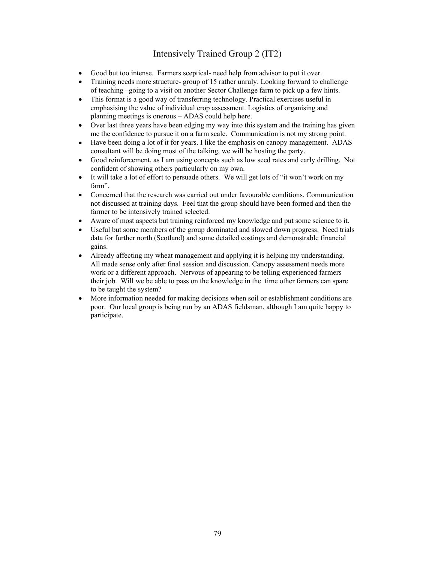# Intensively Trained Group 2 (IT2)

- Good but too intense. Farmers sceptical- need help from advisor to put it over.
- Training needs more structure-group of 15 rather unruly. Looking forward to challenge of teaching –going to a visit on another Sector Challenge farm to pick up a few hints.
- This format is a good way of transferring technology. Practical exercises useful in emphasising the value of individual crop assessment. Logistics of organising and planning meetings is onerous – ADAS could help here.
- Over last three years have been edging my way into this system and the training has given me the confidence to pursue it on a farm scale. Communication is not my strong point.
- Have been doing a lot of it for years. I like the emphasis on canopy management. ADAS consultant will be doing most of the talking, we will be hosting the party.
- Good reinforcement, as I am using concepts such as low seed rates and early drilling. Not confident of showing others particularly on my own.
- It will take a lot of effort to persuade others. We will get lots of "it won't work on my farm".
- Concerned that the research was carried out under favourable conditions. Communication not discussed at training days. Feel that the group should have been formed and then the farmer to be intensively trained selected.
- Aware of most aspects but training reinforced my knowledge and put some science to it.
- Useful but some members of the group dominated and slowed down progress. Need trials data for further north (Scotland) and some detailed costings and demonstrable financial gains.
- Already affecting my wheat management and applying it is helping my understanding. All made sense only after final session and discussion. Canopy assessment needs more work or a different approach. Nervous of appearing to be telling experienced farmers their job. Will we be able to pass on the knowledge in the time other farmers can spare to be taught the system?
- More information needed for making decisions when soil or establishment conditions are poor. Our local group is being run by an ADAS fieldsman, although I am quite happy to participate.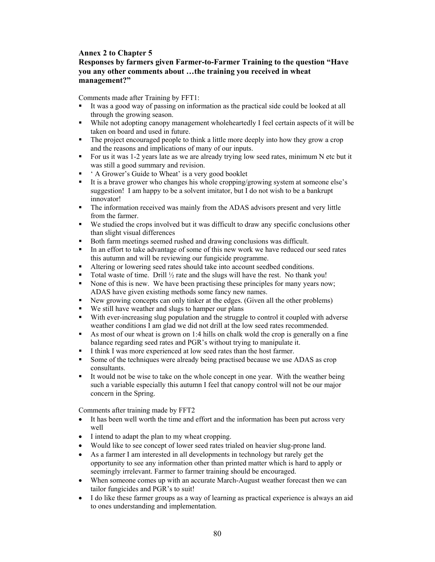## **Annex 2 to Chapter 5**

## **Responses by farmers given Farmer-to-Farmer Training to the question "Have you any other comments about …the training you received in wheat management?"**

Comments made after Training by FFT1:

- It was a good way of passing on information as the practical side could be looked at all through the growing season.
- While not adopting canopy management wholeheartedly I feel certain aspects of it will be taken on board and used in future.
- The project encouraged people to think a little more deeply into how they grow a crop and the reasons and implications of many of our inputs.
- For us it was 1-2 years late as we are already trying low seed rates, minimum N etc but it was still a good summary and revision.
- A Grower's Guide to Wheat' is a very good booklet
- It is a brave grower who changes his whole cropping/growing system at someone else's suggestion! I am happy to be a solvent imitator, but I do not wish to be a bankrupt innovator!
- The information received was mainly from the ADAS advisors present and very little from the farmer.
- We studied the crops involved but it was difficult to draw any specific conclusions other than slight visual differences
- Both farm meetings seemed rushed and drawing conclusions was difficult.
- In an effort to take advantage of some of this new work we have reduced our seed rates this autumn and will be reviewing our fungicide programme.
- Altering or lowering seed rates should take into account seedbed conditions.
- Total waste of time. Drill  $\frac{1}{2}$  rate and the slugs will have the rest. No thank you!
- None of this is new. We have been practising these principles for many years now; ADAS have given existing methods some fancy new names.
- New growing concepts can only tinker at the edges. (Given all the other problems)
- We still have weather and slugs to hamper our plans
- With ever-increasing slug population and the struggle to control it coupled with adverse weather conditions I am glad we did not drill at the low seed rates recommended.
- As most of our wheat is grown on 1:4 hills on chalk wold the crop is generally on a fine balance regarding seed rates and PGR's without trying to manipulate it.
- I think I was more experienced at low seed rates than the host farmer.
- Some of the techniques were already being practised because we use ADAS as crop consultants.
- It would not be wise to take on the whole concept in one year. With the weather being such a variable especially this autumn I feel that canopy control will not be our major concern in the Spring.

Comments after training made by FFT2

- It has been well worth the time and effort and the information has been put across very well
- I intend to adapt the plan to my wheat cropping.
- Would like to see concept of lower seed rates trialed on heavier slug-prone land.
- As a farmer I am interested in all developments in technology but rarely get the opportunity to see any information other than printed matter which is hard to apply or seemingly irrelevant. Farmer to farmer training should be encouraged.
- When someone comes up with an accurate March-August weather forecast then we can tailor fungicides and PGR's to suit!
- I do like these farmer groups as a way of learning as practical experience is always an aid to ones understanding and implementation.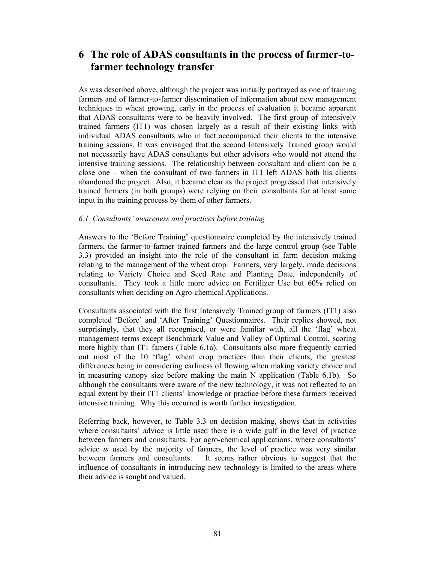# **6 The role of ADAS consultants in the process of farmer-tofarmer technology transfer**

As was described above, although the project was initially portrayed as one of training farmers and of farmer-to-farmer dissemination of information about new management techniques in wheat growing, early in the process of evaluation it became apparent that ADAS consultants were to be heavily involved. The first group of intensively trained farmers (IT1) was chosen largely as a result of their existing links with individual ADAS consultants who in fact accompanied their clients to the intensive training sessions. It was envisaged that the second Intensively Trained group would not necessarily have ADAS consultants but other advisors who would not attend the intensive training sessions. The relationship between consultant and client can be a close one – when the consultant of two farmers in IT1 left ADAS both his clients abandoned the project. Also, it became clear as the project progressed that intensively trained farmers (in both groups) were relying on their consultants for at least some input in the training process by them of other farmers.

### *6.1 Consultants' awareness and practices before training*

Answers to the 'Before Training' questionnaire completed by the intensively trained farmers, the farmer-to-farmer trained farmers and the large control group (see Table 3.3) provided an insight into the role of the consultant in farm decision making relating to the management of the wheat crop. Farmers, very largely, made decisions relating to Variety Choice and Seed Rate and Planting Date, independently of consultants. They took a little more advice on Fertilizer Use but 60% relied on consultants when deciding on Agro-chemical Applications.

Consultants associated with the first Intensively Trained group of farmers (IT1) also completed 'Before' and 'After Training' Questionnaires. Their replies showed, not surprisingly, that they all recognised, or were familiar with, all the 'flag' wheat management terms except Benchmark Value and Valley of Optimal Control, scoring more highly than IT1 famers (Table 6.1a). Consultants also more frequently carried out most of the 10 'flag' wheat crop practices than their clients, the greatest differences being in considering earliness of flowing when making variety choice and in measuring canopy size before making the main N application (Table 6.1b). So although the consultants were aware of the new technology, it was not reflected to an equal extent by their IT1 clients' knowledge or practice before these farmers received intensive training. Why this occurred is worth further investigation.

Referring back, however, to Table 3.3 on decision making, shows that in activities where consultants' advice is little used there is a wide gulf in the level of practice between farmers and consultants. For agro-chemical applications, where consultants' advice *is* used by the majority of farmers, the level of practice was very similar between farmers and consultants. It seems rather obvious to suggest that the influence of consultants in introducing new technology is limited to the areas where their advice is sought and valued.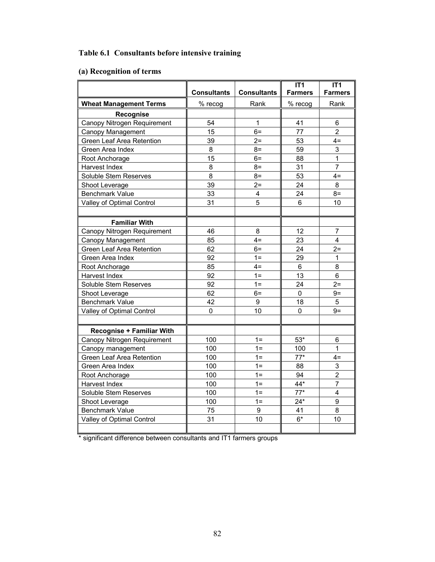# **Table 6.1 Consultants before intensive training**

# **(a) Recognition of terms**

|                                  |                    |                    | IT1             | IT1                     |
|----------------------------------|--------------------|--------------------|-----------------|-------------------------|
|                                  | <b>Consultants</b> | <b>Consultants</b> | <b>Farmers</b>  | <b>Farmers</b>          |
| <b>Wheat Management Terms</b>    | % recog            | Rank               | % recog         | Rank                    |
| <b>Recognise</b>                 |                    |                    |                 |                         |
| Canopy Nitrogen Requirement      | 54                 | 1                  | 41              | 6                       |
| Canopy Management                | 15                 | $6=$               | $\overline{77}$ | $\overline{2}$          |
| Green Leaf Area Retention        | 39                 | $2=$               | 53              | $4=$                    |
| Green Area Index                 | 8                  | $8=$               | 59              | 3                       |
| Root Anchorage                   | 15                 | $6=$               | 88              | 1                       |
| Harvest Index                    | 8                  | $8=$               | 31              | $\overline{7}$          |
| Soluble Stem Reserves            | 8                  | $8=$               | 53              | $4=$                    |
| Shoot Leverage                   | 39                 | $2=$               | 24              | 8                       |
| <b>Benchmark Value</b>           | 33                 | 4                  | 24              | $8=$                    |
| Valley of Optimal Control        | 31                 | 5                  | 6               | 10                      |
|                                  |                    |                    |                 |                         |
| <b>Familiar With</b>             |                    |                    |                 |                         |
| Canopy Nitrogen Requirement      | 46                 | 8                  | 12              | $\overline{7}$          |
| Canopy Management                | 85                 | $4=$               | 23              | $\overline{\mathbf{4}}$ |
| Green Leaf Area Retention        | 62                 | $6=$               | 24              | $2=$                    |
| Green Area Index                 | 92                 | $1 =$              | 29              | 1                       |
| Root Anchorage                   | 85                 | $4=$               | $6\phantom{1}$  | 8                       |
| Harvest Index                    | 92                 | $1 =$              | 13              | 6                       |
| Soluble Stem Reserves            | 92                 | $1 =$              | 24              | $2=$                    |
| Shoot Leverage                   | 62                 | $6=$               | $\mathbf{0}$    | $9=$                    |
| <b>Benchmark Value</b>           | 42                 | 9                  | 18              | 5                       |
| Valley of Optimal Control        | $\overline{0}$     | 10                 | $\mathbf 0$     | $9=$                    |
|                                  |                    |                    |                 |                         |
| <b>Recognise + Familiar With</b> |                    |                    |                 |                         |
| Canopy Nitrogen Requirement      | 100                | $1 =$              | $53*$           | 6                       |
| Canopy management                | 100                | $1 =$              | 100             | 1                       |
| <b>Green Leaf Area Retention</b> | 100                | $1 =$              | $77*$           | $4=$                    |
| Green Area Index                 | 100                | $1 =$              | 88              | 3                       |
| Root Anchorage                   | 100                | $1 =$              | 94              | $\overline{2}$          |
| Harvest Index                    | 100                | $1 =$              | 44*             | $\overline{7}$          |
| Soluble Stem Reserves            | 100                | $1 =$              | $77*$           | 4                       |
| Shoot Leverage                   | 100                | $1 =$              | $24*$           | 9                       |
| <b>Benchmark Value</b>           | 75                 | 9                  | 41              | 8                       |
| Valley of Optimal Control        | 31                 | 10                 | $6*$            | 10                      |
|                                  |                    |                    |                 |                         |

\* significant difference between consultants and IT1 farmers groups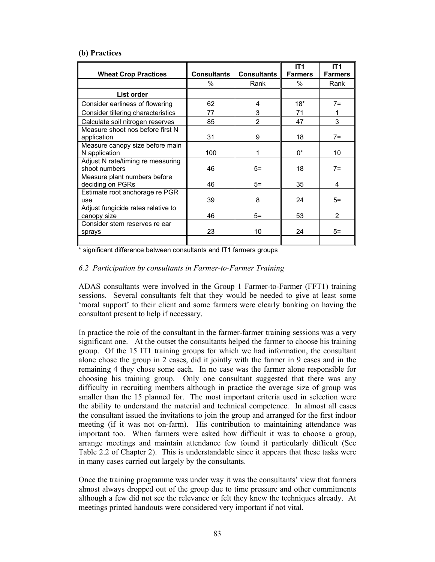#### **(b) Practices**

|                                                    |                    |                    | IT <sub>1</sub> | IT <sub>1</sub> |
|----------------------------------------------------|--------------------|--------------------|-----------------|-----------------|
| <b>Wheat Crop Practices</b>                        | <b>Consultants</b> | <b>Consultants</b> | <b>Farmers</b>  | <b>Farmers</b>  |
|                                                    | %                  | Rank               | %               | Rank            |
| List order                                         |                    |                    |                 |                 |
| Consider earliness of flowering                    | 62                 | 4                  | $18*$           | $7 =$           |
| Consider tillering characteristics                 | 77                 | 3                  | 71              |                 |
| Calculate soil nitrogen reserves                   | 85                 | $\overline{2}$     | 47              | 3               |
| Measure shoot nos before first N<br>application    | 31                 | 9                  | 18              | $7 =$           |
| Measure canopy size before main<br>N application   | 100                | 1                  | $0^*$           | 10              |
| Adjust N rate/timing re measuring<br>shoot numbers | 46                 | $5=$               | 18              | $7=$            |
| Measure plant numbers before<br>deciding on PGRs   | 46                 | $5=$               | 35              | 4               |
| Estimate root anchorage re PGR<br>use              | 39                 | 8                  | 24              | $5=$            |
| Adjust fungicide rates relative to<br>canopy size  | 46                 | $5=$               | 53              | $\overline{2}$  |
| Consider stem reserves re ear<br>sprays            | 23                 | 10                 | 24              | $5 =$           |
|                                                    |                    |                    |                 |                 |

\* significant difference between consultants and IT1 farmers groups

### *6.2 Participation by consultants in Farmer-to-Farmer Training*

ADAS consultants were involved in the Group 1 Farmer-to-Farmer (FFT1) training sessions. Several consultants felt that they would be needed to give at least some 'moral support' to their client and some farmers were clearly banking on having the consultant present to help if necessary.

In practice the role of the consultant in the farmer-farmer training sessions was a very significant one. At the outset the consultants helped the farmer to choose his training group. Of the 15 IT1 training groups for which we had information, the consultant alone chose the group in 2 cases, did it jointly with the farmer in 9 cases and in the remaining 4 they chose some each. In no case was the farmer alone responsible for choosing his training group. Only one consultant suggested that there was any difficulty in recruiting members although in practice the average size of group was smaller than the 15 planned for. The most important criteria used in selection were the ability to understand the material and technical competence. In almost all cases the consultant issued the invitations to join the group and arranged for the first indoor meeting (if it was not on-farm). His contribution to maintaining attendance was important too. When farmers were asked how difficult it was to choose a group, arrange meetings and maintain attendance few found it particularly difficult (See Table 2.2 of Chapter 2). This is understandable since it appears that these tasks were in many cases carried out largely by the consultants.

Once the training programme was under way it was the consultants' view that farmers almost always dropped out of the group due to time pressure and other commitments although a few did not see the relevance or felt they knew the techniques already. At meetings printed handouts were considered very important if not vital.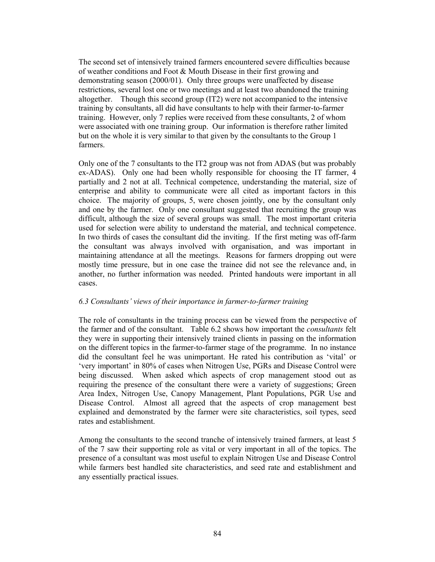The second set of intensively trained farmers encountered severe difficulties because of weather conditions and Foot & Mouth Disease in their first growing and demonstrating season (2000/01). Only three groups were unaffected by disease restrictions, several lost one or two meetings and at least two abandoned the training altogether. Though this second group (IT2) were not accompanied to the intensive training by consultants, all did have consultants to help with their farmer-to-farmer training. However, only 7 replies were received from these consultants, 2 of whom were associated with one training group. Our information is therefore rather limited but on the whole it is very similar to that given by the consultants to the Group 1 farmers.

Only one of the 7 consultants to the IT2 group was not from ADAS (but was probably ex-ADAS). Only one had been wholly responsible for choosing the IT farmer, 4 partially and 2 not at all. Technical competence, understanding the material, size of enterprise and ability to communicate were all cited as important factors in this choice. The majority of groups, 5, were chosen jointly, one by the consultant only and one by the farmer. Only one consultant suggested that recruiting the group was difficult, although the size of several groups was small. The most important criteria used for selection were ability to understand the material, and technical competence. In two thirds of cases the consultant did the inviting. If the first meting was off-farm the consultant was always involved with organisation, and was important in maintaining attendance at all the meetings. Reasons for farmers dropping out were mostly time pressure, but in one case the trainee did not see the relevance and, in another, no further information was needed. Printed handouts were important in all cases.

#### *6.3 Consultants' views of their importance in farmer-to-farmer training*

The role of consultants in the training process can be viewed from the perspective of the farmer and of the consultant. Table 6.2 shows how important the *consultants* felt they were in supporting their intensively trained clients in passing on the information on the different topics in the farmer-to-farmer stage of the programme. In no instance did the consultant feel he was unimportant. He rated his contribution as 'vital' or 'very important' in 80% of cases when Nitrogen Use, PGRs and Disease Control were being discussed. When asked which aspects of crop management stood out as requiring the presence of the consultant there were a variety of suggestions; Green Area Index, Nitrogen Use, Canopy Management, Plant Populations, PGR Use and Disease Control. Almost all agreed that the aspects of crop management best explained and demonstrated by the farmer were site characteristics, soil types, seed rates and establishment.

Among the consultants to the second tranche of intensively trained farmers, at least 5 of the 7 saw their supporting role as vital or very important in all of the topics. The presence of a consultant was most useful to explain Nitrogen Use and Disease Control while farmers best handled site characteristics, and seed rate and establishment and any essentially practical issues.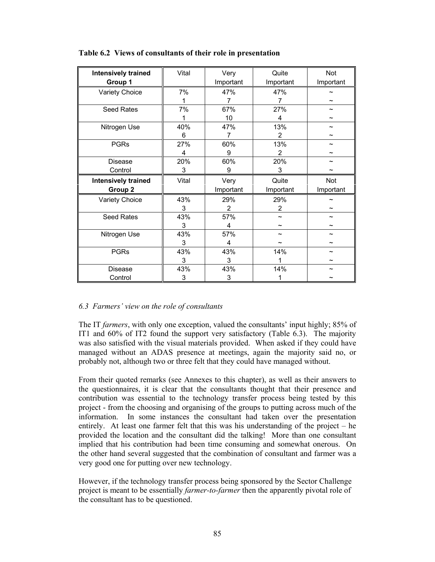| <b>Intensively trained</b> | Vital | Very           | Quite          | Not       |
|----------------------------|-------|----------------|----------------|-----------|
| Group 1                    |       | Important      | Important      | Important |
| Variety Choice             | 7%    | 47%            | 47%            |           |
|                            |       | 7              | $\overline{7}$ |           |
| Seed Rates                 | 7%    | 67%            | 27%            |           |
|                            |       | 10             | 4              |           |
| Nitrogen Use               | 40%   | 47%            | 13%            |           |
|                            | 6     | $\overline{7}$ | $\overline{2}$ |           |
| <b>PGRs</b>                | 27%   | 60%            | 13%            |           |
|                            | 4     | 9              | 2              |           |
| <b>Disease</b>             | 20%   | 60%            | 20%            |           |
| Control                    | 3     | 9              | 3              |           |
| <b>Intensively trained</b> | Vital | Very           | Quite          | Not       |
| Group 2                    |       | Important      | Important      | Important |
| Variety Choice             | 43%   | 29%            | 29%            |           |
|                            | 3     | $\overline{2}$ | $\overline{2}$ |           |
| Seed Rates                 | 43%   | 57%            | ∼              |           |
|                            | 3     | 4              |                |           |
| Nitrogen Use               | 43%   | 57%            |                |           |
|                            | 3     | 4              |                |           |
| <b>PGRs</b>                | 43%   | 43%            | 14%            |           |
|                            | 3     | 3              |                |           |
| Disease                    | 43%   | 43%            | 14%            |           |
| Control                    | 3     | 3              |                |           |

## **Table 6.2 Views of consultants of their role in presentation**

#### *6.3 Farmers' view on the role of consultants*

The IT *farmers*, with only one exception, valued the consultants' input highly; 85% of IT1 and 60% of IT2 found the support very satisfactory (Table 6.3). The majority was also satisfied with the visual materials provided. When asked if they could have managed without an ADAS presence at meetings, again the majority said no, or probably not, although two or three felt that they could have managed without.

From their quoted remarks (see Annexes to this chapter), as well as their answers to the questionnaires, it is clear that the consultants thought that their presence and contribution was essential to the technology transfer process being tested by this project - from the choosing and organising of the groups to putting across much of the information. In some instances the consultant had taken over the presentation entirely. At least one farmer felt that this was his understanding of the project – he provided the location and the consultant did the talking! More than one consultant implied that his contribution had been time consuming and somewhat onerous. On the other hand several suggested that the combination of consultant and farmer was a very good one for putting over new technology.

However, if the technology transfer process being sponsored by the Sector Challenge project is meant to be essentially *farmer-to-farmer* then the apparently pivotal role of the consultant has to be questioned.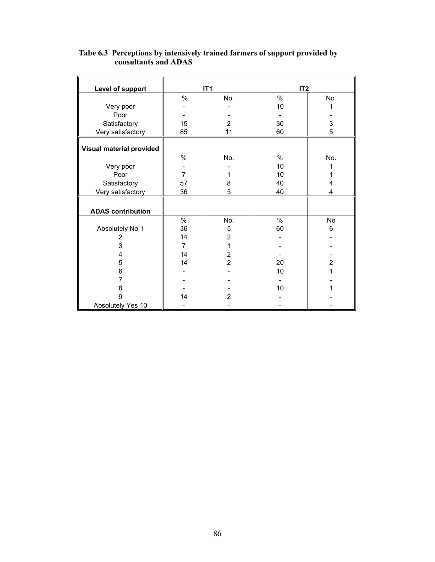| Level of support         |                | IT <sub>1</sub> | IT <sub>2</sub> |                |  |
|--------------------------|----------------|-----------------|-----------------|----------------|--|
|                          | $\%$           | No.             | $\%$            | No.            |  |
| Very poor                |                |                 | 10              | 1              |  |
| Poor                     |                |                 |                 |                |  |
| Satisfactory             | 15             | $\overline{2}$  | 30              | 3              |  |
| Very satisfactory        | 85             | 11              | 60              | 5              |  |
|                          |                |                 |                 |                |  |
| Visual material provided |                |                 |                 |                |  |
|                          | $\%$           | No.             | $\%$            | No.            |  |
| Very poor                |                |                 | 10              |                |  |
| Poor                     | 7              |                 | 10              |                |  |
| Satisfactory             | 57             | 8               | 40              | 4              |  |
| Very satisfactory        | 36             | 5               | 40              | 4              |  |
|                          |                |                 |                 |                |  |
| <b>ADAS</b> contribution |                |                 |                 |                |  |
|                          | %              | No.             | $\%$            | No             |  |
| Absolutely No 1          | 36             | 5               | 60              | 6              |  |
| 2                        | 14             | $\overline{2}$  |                 |                |  |
| 3                        | $\overline{7}$ | $\mathbf{1}$    |                 |                |  |
| 4                        | 14             | $\overline{2}$  |                 |                |  |
| 5                        | 14             | $\overline{2}$  | 20              | $\overline{2}$ |  |
| 6                        |                |                 | 10              | 1              |  |
| 7                        |                |                 |                 |                |  |
| 8                        |                |                 | 10              |                |  |
| 9                        | 14             | $\overline{2}$  |                 |                |  |
| Absolutely Yes 10        |                |                 |                 |                |  |

#### **Tabe 6.3 Perceptions by intensively trained farmers of support provided by consultants and ADAS**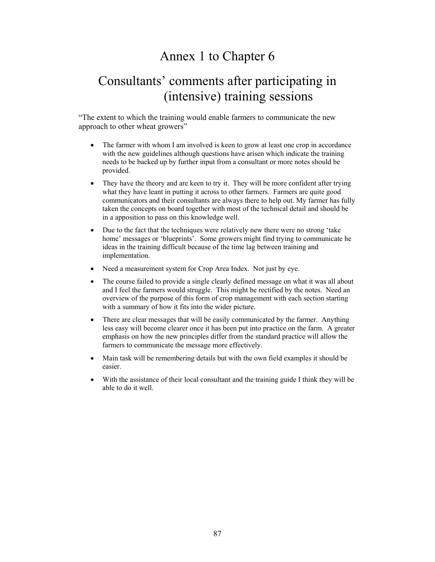# Annex 1 to Chapter 6

# Consultants' comments after participating in (intensive) training sessions

"The extent to which the training would enable farmers to communicate the new approach to other wheat growers"

- The farmer with whom I am involved is keen to grow at least one crop in accordance with the new guidelines although questions have arisen which indicate the training needs to be backed up by further input from a consultant or more notes should be provided.
- They have the theory and are keen to try it. They will be more confident after trying what they have leant in putting it across to other farmers. Farmers are quite good communicators and their consultants are always there to help out. My farmer has fully taken the concepts on board together with most of the technical detail and should be in a apposition to pass on this knowledge well.
- Due to the fact that the techniques were relatively new there were no strong 'take home' messages or 'blueprints'. Some growers might find trying to communicate he ideas in the training difficult because of the time lag between training and implementation.
- Need a measurement system for Crop Area Index. Not just by eye.
- The course failed to provide a single clearly defined message on what it was all about and I feel the farmers would struggle. This might be rectified by the notes. Need an overview of the purpose of this form of crop management with each section starting with a summary of how it fits into the wider picture.
- There are clear messages that will be easily communicated by the farmer. Anything less easy will become clearer once it has been put into practice on the farm. A greater emphasis on how the new principles differ from the standard practice will allow the farmers to communicate the message more effectively.
- Main task will be remembering details but with the own field examples it should be easier.
- With the assistance of their local consultant and the training guide I think they will be able to do it well.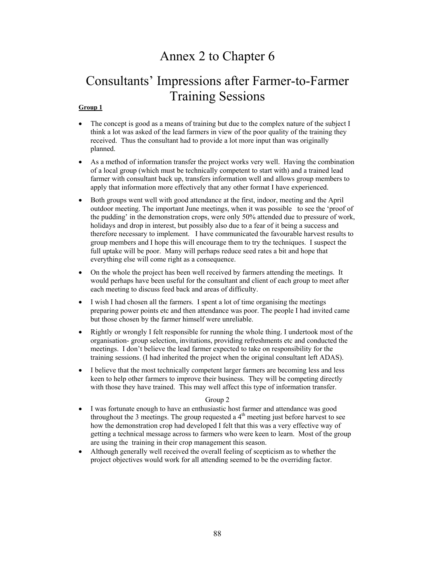# Annex 2 to Chapter 6

# Consultants' Impressions after Farmer-to-Farmer Training Sessions

#### **Group 1**

- The concept is good as a means of training but due to the complex nature of the subject I think a lot was asked of the lead farmers in view of the poor quality of the training they received. Thus the consultant had to provide a lot more input than was originally planned.
- As a method of information transfer the project works very well. Having the combination of a local group (which must be technically competent to start with) and a trained lead farmer with consultant back up, transfers information well and allows group members to apply that information more effectively that any other format I have experienced.
- Both groups went well with good attendance at the first, indoor, meeting and the April outdoor meeting. The important June meetings, when it was possible to see the 'proof of the pudding' in the demonstration crops, were only 50% attended due to pressure of work, holidays and drop in interest, but possibly also due to a fear of it being a success and therefore necessary to implement. I have communicated the favourable harvest results to group members and I hope this will encourage them to try the techniques. I suspect the full uptake will be poor. Many will perhaps reduce seed rates a bit and hope that everything else will come right as a consequence.
- On the whole the project has been well received by farmers attending the meetings. It would perhaps have been useful for the consultant and client of each group to meet after each meeting to discuss feed back and areas of difficulty.
- I wish I had chosen all the farmers. I spent a lot of time organising the meetings preparing power points etc and then attendance was poor. The people I had invited came but those chosen by the farmer himself were unreliable.
- Rightly or wrongly I felt responsible for running the whole thing. I undertook most of the organisation- group selection, invitations, providing refreshments etc and conducted the meetings. I don't believe the lead farmer expected to take on responsibility for the training sessions. (I had inherited the project when the original consultant left ADAS).
- I believe that the most technically competent larger farmers are becoming less and less keen to help other farmers to improve their business. They will be competing directly with those they have trained. This may well affect this type of information transfer.

#### Group 2

- I was fortunate enough to have an enthusiastic host farmer and attendance was good throughout the 3 meetings. The group requested a  $4<sup>th</sup>$  meeting just before harvest to see how the demonstration crop had developed I felt that this was a very effective way of getting a technical message across to farmers who were keen to learn. Most of the group are using the training in their crop management this season.
- Although generally well received the overall feeling of scepticism as to whether the project objectives would work for all attending seemed to be the overriding factor.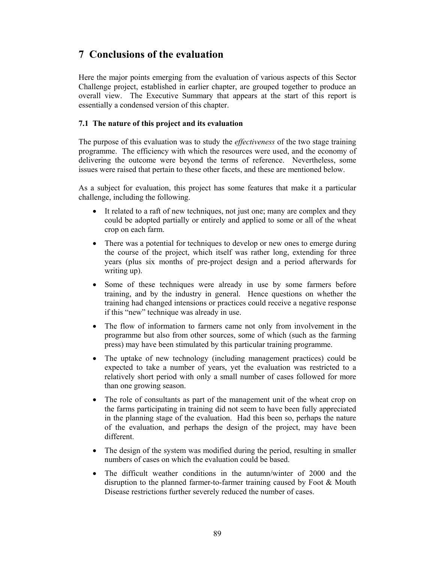# **7 Conclusions of the evaluation**

Here the major points emerging from the evaluation of various aspects of this Sector Challenge project, established in earlier chapter, are grouped together to produce an overall view. The Executive Summary that appears at the start of this report is essentially a condensed version of this chapter.

## **7.1 The nature of this project and its evaluation**

The purpose of this evaluation was to study the *effectiveness* of the two stage training programme. The efficiency with which the resources were used, and the economy of delivering the outcome were beyond the terms of reference. Nevertheless, some issues were raised that pertain to these other facets, and these are mentioned below.

As a subject for evaluation, this project has some features that make it a particular challenge, including the following.

- It related to a raft of new techniques, not just one; many are complex and they could be adopted partially or entirely and applied to some or all of the wheat crop on each farm.
- There was a potential for techniques to develop or new ones to emerge during the course of the project, which itself was rather long, extending for three years (plus six months of pre-project design and a period afterwards for writing up).
- Some of these techniques were already in use by some farmers before training, and by the industry in general. Hence questions on whether the training had changed intensions or practices could receive a negative response if this "new" technique was already in use.
- The flow of information to farmers came not only from involvement in the programme but also from other sources, some of which (such as the farming press) may have been stimulated by this particular training programme.
- The uptake of new technology (including management practices) could be expected to take a number of years, yet the evaluation was restricted to a relatively short period with only a small number of cases followed for more than one growing season.
- The role of consultants as part of the management unit of the wheat crop on the farms participating in training did not seem to have been fully appreciated in the planning stage of the evaluation. Had this been so, perhaps the nature of the evaluation, and perhaps the design of the project, may have been different.
- The design of the system was modified during the period, resulting in smaller numbers of cases on which the evaluation could be based.
- The difficult weather conditions in the autumn/winter of 2000 and the disruption to the planned farmer-to-farmer training caused by Foot & Mouth Disease restrictions further severely reduced the number of cases.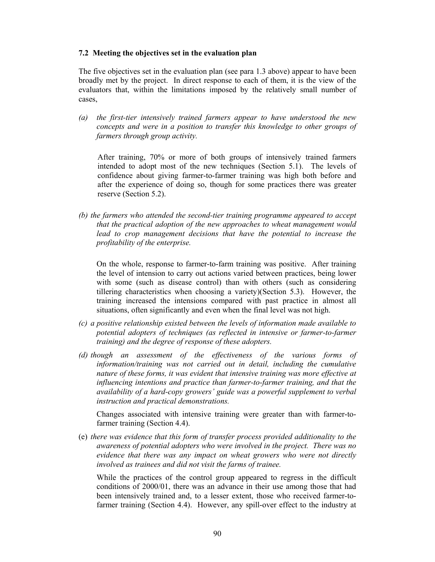#### **7.2 Meeting the objectives set in the evaluation plan**

The five objectives set in the evaluation plan (see para 1.3 above) appear to have been broadly met by the project. In direct response to each of them, it is the view of the evaluators that, within the limitations imposed by the relatively small number of cases,

*(a) the first-tier intensively trained farmers appear to have understood the new concepts and were in a position to transfer this knowledge to other groups of farmers through group activity.* 

 After training, 70% or more of both groups of intensively trained farmers intended to adopt most of the new techniques (Section 5.1). The levels of confidence about giving farmer-to-farmer training was high both before and after the experience of doing so, though for some practices there was greater reserve (Section 5.2).

*(b) the farmers who attended the second-tier training programme appeared to accept that the practical adoption of the new approaches to wheat management would*  lead to crop management decisions that have the potential to increase the *profitability of the enterprise.* 

On the whole, response to farmer-to-farm training was positive. After training the level of intension to carry out actions varied between practices, being lower with some (such as disease control) than with others (such as considering tillering characteristics when choosing a variety)(Section 5.3). However, the training increased the intensions compared with past practice in almost all situations, often significantly and even when the final level was not high.

- *(c) a positive relationship existed between the levels of information made available to potential adopters of techniques (as reflected in intensive or farmer-to-farmer training) and the degree of response of these adopters.*
- *(d) though an assessment of the effectiveness of the various forms of information/training was not carried out in detail, including the cumulative nature of these forms, it was evident that intensive training was more effective at influencing intentions and practice than farmer-to-farmer training, and that the availability of a hard-copy growers' guide was a powerful supplement to verbal instruction and practical demonstrations.*

Changes associated with intensive training were greater than with farmer-tofarmer training (Section 4.4).

(e) *there was evidence that this form of transfer process provided additionality to the awareness of potential adopters who were involved in the project. There was no evidence that there was any impact on wheat growers who were not directly involved as trainees and did not visit the farms of trainee.*

While the practices of the control group appeared to regress in the difficult conditions of 2000/01, there was an advance in their use among those that had been intensively trained and, to a lesser extent, those who received farmer-tofarmer training (Section 4.4). However, any spill-over effect to the industry at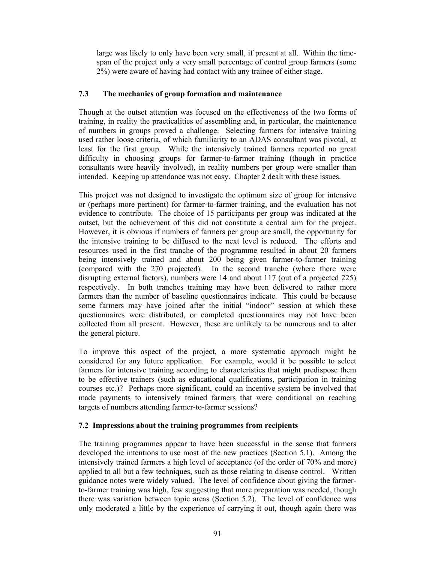large was likely to only have been very small, if present at all. Within the timespan of the project only a very small percentage of control group farmers (some 2%) were aware of having had contact with any trainee of either stage.

## **7.3 The mechanics of group formation and maintenance**

Though at the outset attention was focused on the effectiveness of the two forms of training, in reality the practicalities of assembling and, in particular, the maintenance of numbers in groups proved a challenge. Selecting farmers for intensive training used rather loose criteria, of which familiarity to an ADAS consultant was pivotal, at least for the first group. While the intensively trained farmers reported no great difficulty in choosing groups for farmer-to-farmer training (though in practice consultants were heavily involved), in reality numbers per group were smaller than intended. Keeping up attendance was not easy. Chapter 2 dealt with these issues.

This project was not designed to investigate the optimum size of group for intensive or (perhaps more pertinent) for farmer-to-farmer training, and the evaluation has not evidence to contribute. The choice of 15 participants per group was indicated at the outset, but the achievement of this did not constitute a central aim for the project. However, it is obvious if numbers of farmers per group are small, the opportunity for the intensive training to be diffused to the next level is reduced. The efforts and resources used in the first tranche of the programme resulted in about 20 farmers being intensively trained and about 200 being given farmer-to-farmer training (compared with the 270 projected). In the second tranche (where there were disrupting external factors), numbers were 14 and about 117 (out of a projected 225) respectively. In both tranches training may have been delivered to rather more farmers than the number of baseline questionnaires indicate. This could be because some farmers may have joined after the initial "indoor" session at which these questionnaires were distributed, or completed questionnaires may not have been collected from all present. However, these are unlikely to be numerous and to alter the general picture.

To improve this aspect of the project, a more systematic approach might be considered for any future application. For example, would it be possible to select farmers for intensive training according to characteristics that might predispose them to be effective trainers (such as educational qualifications, participation in training courses etc.)? Perhaps more significant, could an incentive system be involved that made payments to intensively trained farmers that were conditional on reaching targets of numbers attending farmer-to-farmer sessions?

## **7.2 Impressions about the training programmes from recipients**

The training programmes appear to have been successful in the sense that farmers developed the intentions to use most of the new practices (Section 5.1). Among the intensively trained farmers a high level of acceptance (of the order of 70% and more) applied to all but a few techniques, such as those relating to disease control. Written guidance notes were widely valued. The level of confidence about giving the farmerto-farmer training was high, few suggesting that more preparation was needed, though there was variation between topic areas (Section 5.2). The level of confidence was only moderated a little by the experience of carrying it out, though again there was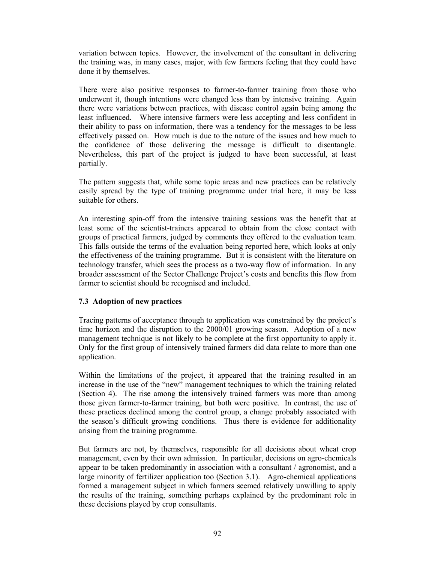variation between topics. However, the involvement of the consultant in delivering the training was, in many cases, major, with few farmers feeling that they could have done it by themselves.

There were also positive responses to farmer-to-farmer training from those who underwent it, though intentions were changed less than by intensive training. Again there were variations between practices, with disease control again being among the least influenced. Where intensive farmers were less accepting and less confident in their ability to pass on information, there was a tendency for the messages to be less effectively passed on. How much is due to the nature of the issues and how much to the confidence of those delivering the message is difficult to disentangle. Nevertheless, this part of the project is judged to have been successful, at least partially.

The pattern suggests that, while some topic areas and new practices can be relatively easily spread by the type of training programme under trial here, it may be less suitable for others.

An interesting spin-off from the intensive training sessions was the benefit that at least some of the scientist-trainers appeared to obtain from the close contact with groups of practical farmers, judged by comments they offered to the evaluation team. This falls outside the terms of the evaluation being reported here, which looks at only the effectiveness of the training programme. But it is consistent with the literature on technology transfer, which sees the process as a two-way flow of information. In any broader assessment of the Sector Challenge Project's costs and benefits this flow from farmer to scientist should be recognised and included.

## **7.3 Adoption of new practices**

Tracing patterns of acceptance through to application was constrained by the project's time horizon and the disruption to the 2000/01 growing season. Adoption of a new management technique is not likely to be complete at the first opportunity to apply it. Only for the first group of intensively trained farmers did data relate to more than one application.

Within the limitations of the project, it appeared that the training resulted in an increase in the use of the "new" management techniques to which the training related (Section 4). The rise among the intensively trained farmers was more than among those given farmer-to-farmer training, but both were positive. In contrast, the use of these practices declined among the control group, a change probably associated with the season's difficult growing conditions. Thus there is evidence for additionality arising from the training programme.

But farmers are not, by themselves, responsible for all decisions about wheat crop management, even by their own admission. In particular, decisions on agro-chemicals appear to be taken predominantly in association with a consultant / agronomist, and a large minority of fertilizer application too (Section 3.1). Agro-chemical applications formed a management subject in which farmers seemed relatively unwilling to apply the results of the training, something perhaps explained by the predominant role in these decisions played by crop consultants.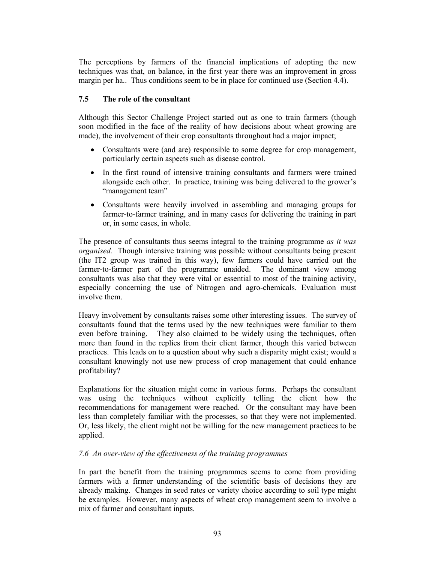The perceptions by farmers of the financial implications of adopting the new techniques was that, on balance, in the first year there was an improvement in gross margin per ha.. Thus conditions seem to be in place for continued use (Section 4.4).

## **7.5 The role of the consultant**

Although this Sector Challenge Project started out as one to train farmers (though soon modified in the face of the reality of how decisions about wheat growing are made), the involvement of their crop consultants throughout had a major impact;

- Consultants were (and are) responsible to some degree for crop management, particularly certain aspects such as disease control.
- In the first round of intensive training consultants and farmers were trained alongside each other. In practice, training was being delivered to the grower's "management team"
- Consultants were heavily involved in assembling and managing groups for farmer-to-farmer training, and in many cases for delivering the training in part or, in some cases, in whole.

The presence of consultants thus seems integral to the training programme *as it was organised.* Though intensive training was possible without consultants being present (the IT2 group was trained in this way), few farmers could have carried out the farmer-to-farmer part of the programme unaided. The dominant view among consultants was also that they were vital or essential to most of the training activity, especially concerning the use of Nitrogen and agro-chemicals. Evaluation must involve them.

Heavy involvement by consultants raises some other interesting issues. The survey of consultants found that the terms used by the new techniques were familiar to them even before training. They also claimed to be widely using the techniques, often more than found in the replies from their client farmer, though this varied between practices. This leads on to a question about why such a disparity might exist; would a consultant knowingly not use new process of crop management that could enhance profitability?

Explanations for the situation might come in various forms. Perhaps the consultant was using the techniques without explicitly telling the client how the recommendations for management were reached. Or the consultant may have been less than completely familiar with the processes, so that they were not implemented. Or, less likely, the client might not be willing for the new management practices to be applied.

## *7.6 An over-view of the effectiveness of the training programmes*

In part the benefit from the training programmes seems to come from providing farmers with a firmer understanding of the scientific basis of decisions they are already making. Changes in seed rates or variety choice according to soil type might be examples. However, many aspects of wheat crop management seem to involve a mix of farmer and consultant inputs.